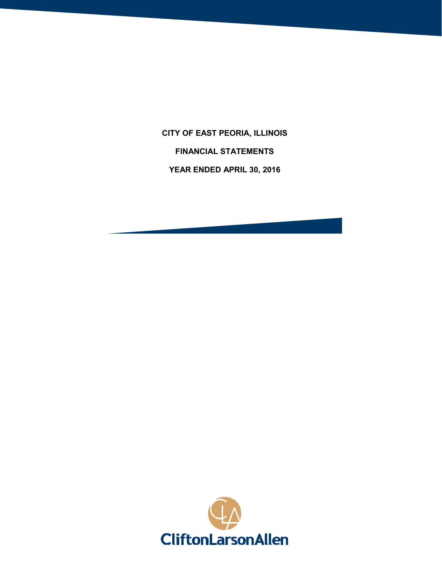# **CITY OF EAST PEORIA, ILLINOIS FINANCIAL STATEMENTS**

**YEAR ENDED APRIL 30, 2016**

 $\mathbb{Q}_{\!f}$ **CliftonLarsonAllen**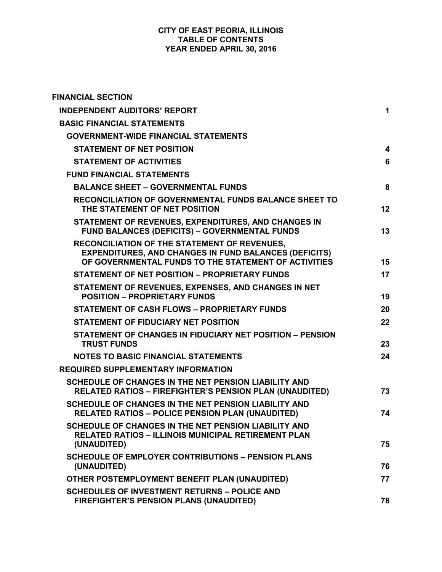#### **CITY OF EAST PEORIA, ILLINOIS TABLE OF CONTENTS YEAR ENDED APRIL 30, 2016**

| <b>FINANCIAL SECTION</b>                                                                                                                                             |    |
|----------------------------------------------------------------------------------------------------------------------------------------------------------------------|----|
| <b>INDEPENDENT AUDITORS' REPORT</b>                                                                                                                                  | 1  |
| <b>BASIC FINANCIAL STATEMENTS</b>                                                                                                                                    |    |
| <b>GOVERNMENT-WIDE FINANCIAL STATEMENTS</b>                                                                                                                          |    |
| <b>STATEMENT OF NET POSITION</b>                                                                                                                                     | 4  |
| <b>STATEMENT OF ACTIVITIES</b>                                                                                                                                       | 6  |
| <b>FUND FINANCIAL STATEMENTS</b>                                                                                                                                     |    |
| <b>BALANCE SHEET - GOVERNMENTAL FUNDS</b>                                                                                                                            | 8  |
| <b>RECONCILIATION OF GOVERNMENTAL FUNDS BALANCE SHEET TO</b><br>THE STATEMENT OF NET POSITION                                                                        | 12 |
| STATEMENT OF REVENUES, EXPENDITURES, AND CHANGES IN<br><b>FUND BALANCES (DEFICITS) - GOVERNMENTAL FUNDS</b>                                                          | 13 |
| RECONCILIATION OF THE STATEMENT OF REVENUES,<br><b>EXPENDITURES, AND CHANGES IN FUND BALANCES (DEFICITS)</b><br>OF GOVERNMENTAL FUNDS TO THE STATEMENT OF ACTIVITIES | 15 |
| <b>STATEMENT OF NET POSITION - PROPRIETARY FUNDS</b>                                                                                                                 | 17 |
| STATEMENT OF REVENUES, EXPENSES, AND CHANGES IN NET<br><b>POSITION - PROPRIETARY FUNDS</b>                                                                           | 19 |
| STATEMENT OF CASH FLOWS - PROPRIETARY FUNDS                                                                                                                          | 20 |
| <b>STATEMENT OF FIDUCIARY NET POSITION</b>                                                                                                                           | 22 |
| STATEMENT OF CHANGES IN FIDUCIARY NET POSITION - PENSION                                                                                                             |    |
| <b>TRUST FUNDS</b>                                                                                                                                                   | 23 |
| <b>NOTES TO BASIC FINANCIAL STATEMENTS</b>                                                                                                                           | 24 |
| <b>REQUIRED SUPPLEMENTARY INFORMATION</b>                                                                                                                            |    |
| SCHEDULE OF CHANGES IN THE NET PENSION LIABILITY AND<br><b>RELATED RATIOS - FIREFIGHTER'S PENSION PLAN (UNAUDITED)</b>                                               | 73 |
| <b>SCHEDULE OF CHANGES IN THE NET PENSION LIABILITY AND</b><br><b>RELATED RATIOS - POLICE PENSION PLAN (UNAUDITED)</b>                                               | 74 |
| <b>SCHEDULE OF CHANGES IN THE NET PENSION LIABILITY AND</b><br><b>RELATED RATIOS - ILLINOIS MUNICIPAL RETIREMENT PLAN</b><br>(UNAUDITED)                             | 75 |
| <b>SCHEDULE OF EMPLOYER CONTRIBUTIONS - PENSION PLANS</b>                                                                                                            |    |
| (UNAUDITED)                                                                                                                                                          | 76 |
| OTHER POSTEMPLOYMENT BENEFIT PLAN (UNAUDITED)                                                                                                                        | 77 |
| <b>SCHEDULES OF INVESTMENT RETURNS - POLICE AND</b><br><b>FIREFIGHTER'S PENSION PLANS (UNAUDITED)</b>                                                                | 78 |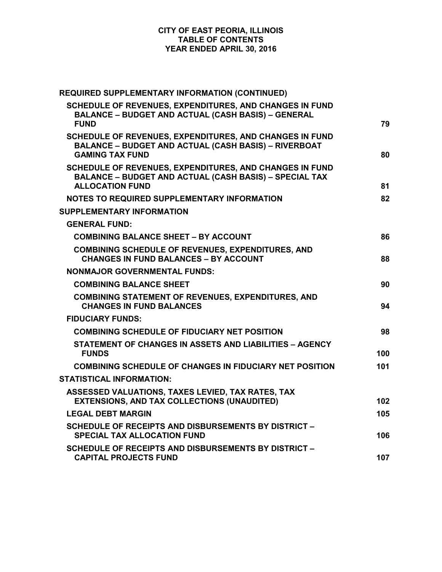#### **CITY OF EAST PEORIA, ILLINOIS TABLE OF CONTENTS YEAR ENDED APRIL 30, 2016**

| <b>REQUIRED SUPPLEMENTARY INFORMATION (CONTINUED)</b>                                                                                              |     |
|----------------------------------------------------------------------------------------------------------------------------------------------------|-----|
| <b>SCHEDULE OF REVENUES, EXPENDITURES, AND CHANGES IN FUND</b><br><b>BALANCE - BUDGET AND ACTUAL (CASH BASIS) - GENERAL</b><br><b>FUND</b>         | 79  |
| SCHEDULE OF REVENUES, EXPENDITURES, AND CHANGES IN FUND<br><b>BALANCE - BUDGET AND ACTUAL (CASH BASIS) - RIVERBOAT</b><br><b>GAMING TAX FUND</b>   | 80  |
| SCHEDULE OF REVENUES, EXPENDITURES, AND CHANGES IN FUND<br><b>BALANCE - BUDGET AND ACTUAL (CASH BASIS) - SPECIAL TAX</b><br><b>ALLOCATION FUND</b> | 81  |
| NOTES TO REQUIRED SUPPLEMENTARY INFORMATION                                                                                                        | 82  |
| <b>SUPPLEMENTARY INFORMATION</b>                                                                                                                   |     |
| <b>GENERAL FUND:</b>                                                                                                                               |     |
| <b>COMBINING BALANCE SHEET - BY ACCOUNT</b>                                                                                                        | 86  |
| <b>COMBINING SCHEDULE OF REVENUES, EXPENDITURES, AND</b><br><b>CHANGES IN FUND BALANCES - BY ACCOUNT</b>                                           | 88  |
| <b>NONMAJOR GOVERNMENTAL FUNDS:</b>                                                                                                                |     |
| <b>COMBINING BALANCE SHEET</b>                                                                                                                     | 90  |
| <b>COMBINING STATEMENT OF REVENUES, EXPENDITURES, AND</b><br><b>CHANGES IN FUND BALANCES</b>                                                       | 94  |
| <b>FIDUCIARY FUNDS:</b>                                                                                                                            |     |
| <b>COMBINING SCHEDULE OF FIDUCIARY NET POSITION</b>                                                                                                | 98  |
| STATEMENT OF CHANGES IN ASSETS AND LIABILITIES - AGENCY<br><b>FUNDS</b>                                                                            | 100 |
| <b>COMBINING SCHEDULE OF CHANGES IN FIDUCIARY NET POSITION</b>                                                                                     | 101 |
| <b>STATISTICAL INFORMATION:</b>                                                                                                                    |     |
| ASSESSED VALUATIONS, TAXES LEVIED, TAX RATES, TAX<br><b>EXTENSIONS, AND TAX COLLECTIONS (UNAUDITED)</b>                                            | 102 |
| <b>LEGAL DEBT MARGIN</b>                                                                                                                           | 105 |
| <b>SCHEDULE OF RECEIPTS AND DISBURSEMENTS BY DISTRICT -</b><br>SPECIAL TAX ALLOCATION FUND                                                         | 106 |
| <b>SCHEDULE OF RECEIPTS AND DISBURSEMENTS BY DISTRICT -</b><br><b>CAPITAL PROJECTS FUND</b>                                                        | 107 |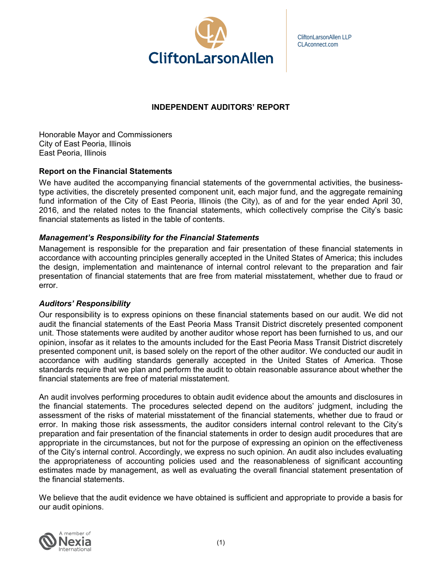

CliftonLarsonAllen LLP CLAconnect.com

# **INDEPENDENT AUDITORS' REPORT**

Honorable Mayor and Commissioners City of East Peoria, Illinois East Peoria, Illinois

## **Report on the Financial Statements**

We have audited the accompanying financial statements of the governmental activities, the businesstype activities, the discretely presented component unit, each major fund, and the aggregate remaining fund information of the City of East Peoria, Illinois (the City), as of and for the year ended April 30, 2016, and the related notes to the financial statements, which collectively comprise the City's basic financial statements as listed in the table of contents.

# *Management's Responsibility for the Financial Statements*

Management is responsible for the preparation and fair presentation of these financial statements in accordance with accounting principles generally accepted in the United States of America; this includes the design, implementation and maintenance of internal control relevant to the preparation and fair presentation of financial statements that are free from material misstatement, whether due to fraud or error.

## *Auditors' Responsibility*

Our responsibility is to express opinions on these financial statements based on our audit. We did not audit the financial statements of the East Peoria Mass Transit District discretely presented component unit. Those statements were audited by another auditor whose report has been furnished to us, and our opinion, insofar as it relates to the amounts included for the East Peoria Mass Transit District discretely presented component unit, is based solely on the report of the other auditor. We conducted our audit in accordance with auditing standards generally accepted in the United States of America. Those standards require that we plan and perform the audit to obtain reasonable assurance about whether the financial statements are free of material misstatement.

An audit involves performing procedures to obtain audit evidence about the amounts and disclosures in the financial statements. The procedures selected depend on the auditors' judgment, including the assessment of the risks of material misstatement of the financial statements, whether due to fraud or error. In making those risk assessments, the auditor considers internal control relevant to the City's preparation and fair presentation of the financial statements in order to design audit procedures that are appropriate in the circumstances, but not for the purpose of expressing an opinion on the effectiveness of the City's internal control. Accordingly, we express no such opinion. An audit also includes evaluating the appropriateness of accounting policies used and the reasonableness of significant accounting estimates made by management, as well as evaluating the overall financial statement presentation of the financial statements.

We believe that the audit evidence we have obtained is sufficient and appropriate to provide a basis for our audit opinions.

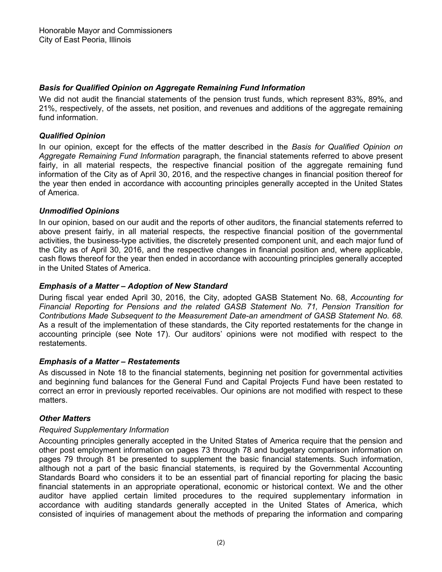# *Basis for Qualified Opinion on Aggregate Remaining Fund Information*

We did not audit the financial statements of the pension trust funds, which represent 83%, 89%, and 21%, respectively, of the assets, net position, and revenues and additions of the aggregate remaining fund information.

# *Qualified Opinion*

In our opinion, except for the effects of the matter described in the *Basis for Qualified Opinion on Aggregate Remaining Fund Information* paragraph, the financial statements referred to above present fairly, in all material respects, the respective financial position of the aggregate remaining fund information of the City as of April 30, 2016, and the respective changes in financial position thereof for the year then ended in accordance with accounting principles generally accepted in the United States of America.

# *Unmodified Opinions*

In our opinion, based on our audit and the reports of other auditors, the financial statements referred to above present fairly, in all material respects, the respective financial position of the governmental activities, the business-type activities, the discretely presented component unit, and each major fund of the City as of April 30, 2016, and the respective changes in financial position and, where applicable, cash flows thereof for the year then ended in accordance with accounting principles generally accepted in the United States of America.

# *Emphasis of a Matter – Adoption of New Standard*

During fiscal year ended April 30, 2016, the City, adopted GASB Statement No. 68, *Accounting for Financial Reporting for Pensions and the related GASB Statement No. 71, Pension Transition for Contributions Made Subsequent to the Measurement Date-an amendment of GASB Statement No. 68*. As a result of the implementation of these standards, the City reported restatements for the change in accounting principle (see Note 17). Our auditors' opinions were not modified with respect to the restatements.

## *Emphasis of a Matter – Restatements*

As discussed in Note 18 to the financial statements, beginning net position for governmental activities and beginning fund balances for the General Fund and Capital Projects Fund have been restated to correct an error in previously reported receivables. Our opinions are not modified with respect to these matters.

## *Other Matters*

## *Required Supplementary Information*

Accounting principles generally accepted in the United States of America require that the pension and other post employment information on pages 73 through 78 and budgetary comparison information on pages 79 through 81 be presented to supplement the basic financial statements. Such information, although not a part of the basic financial statements, is required by the Governmental Accounting Standards Board who considers it to be an essential part of financial reporting for placing the basic financial statements in an appropriate operational, economic or historical context. We and the other auditor have applied certain limited procedures to the required supplementary information in accordance with auditing standards generally accepted in the United States of America, which consisted of inquiries of management about the methods of preparing the information and comparing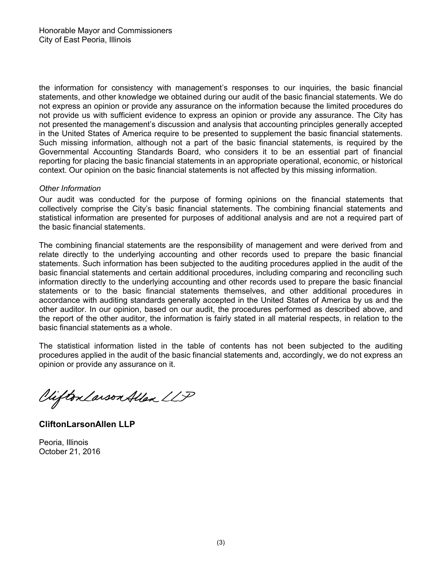the information for consistency with management's responses to our inquiries, the basic financial statements, and other knowledge we obtained during our audit of the basic financial statements. We do not express an opinion or provide any assurance on the information because the limited procedures do not provide us with sufficient evidence to express an opinion or provide any assurance. The City has not presented the management's discussion and analysis that accounting principles generally accepted in the United States of America require to be presented to supplement the basic financial statements. Such missing information, although not a part of the basic financial statements, is required by the Governmental Accounting Standards Board, who considers it to be an essential part of financial reporting for placing the basic financial statements in an appropriate operational, economic, or historical context. Our opinion on the basic financial statements is not affected by this missing information.

## *Other Information*

Our audit was conducted for the purpose of forming opinions on the financial statements that collectively comprise the City's basic financial statements. The combining financial statements and statistical information are presented for purposes of additional analysis and are not a required part of the basic financial statements.

The combining financial statements are the responsibility of management and were derived from and relate directly to the underlying accounting and other records used to prepare the basic financial statements. Such information has been subjected to the auditing procedures applied in the audit of the basic financial statements and certain additional procedures, including comparing and reconciling such information directly to the underlying accounting and other records used to prepare the basic financial statements or to the basic financial statements themselves, and other additional procedures in accordance with auditing standards generally accepted in the United States of America by us and the other auditor. In our opinion, based on our audit, the procedures performed as described above, and the report of the other auditor, the information is fairly stated in all material respects, in relation to the basic financial statements as a whole.

The statistical information listed in the table of contents has not been subjected to the auditing procedures applied in the audit of the basic financial statements and, accordingly, we do not express an opinion or provide any assurance on it.

Viifton Larson Allen LLP

**CliftonLarsonAllen LLP**

Peoria, Illinois October 21, 2016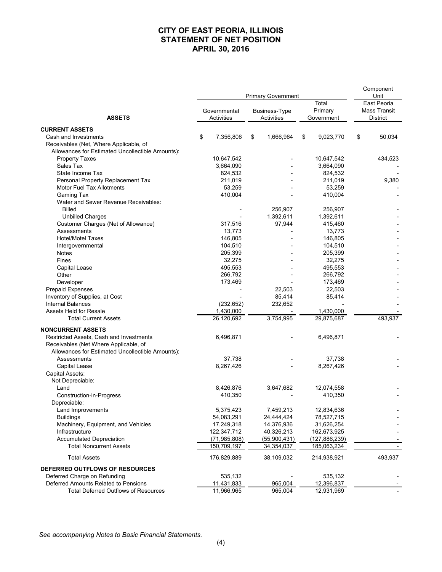## **CITY OF EAST PEORIA, ILLINOIS STATEMENT OF NET POSITION APRIL 30, 2016**

|                                                    | <b>Primary Government</b> |                |      |               |    |                 |             | Component    |  |
|----------------------------------------------------|---------------------------|----------------|------|---------------|----|-----------------|-------------|--------------|--|
|                                                    |                           |                | Unit |               |    |                 |             |              |  |
|                                                    |                           |                |      |               |    | Total           | East Peoria |              |  |
|                                                    |                           | Governmental   |      | Business-Type |    | Primary         |             | Mass Transit |  |
| <b>ASSETS</b>                                      |                           | Activities     |      | Activities    |    | Government      |             | District     |  |
| <b>CURRENT ASSETS</b>                              |                           |                |      |               |    |                 |             |              |  |
| Cash and Investments                               | \$                        | 7,356,806      | \$   | 1,666,964     | \$ | 9,023,770       | \$          | 50,034       |  |
| Receivables (Net, Where Applicable, of             |                           |                |      |               |    |                 |             |              |  |
| Allowances for Estimated Uncollectible Amounts):   |                           |                |      |               |    |                 |             |              |  |
| <b>Property Taxes</b>                              |                           | 10,647,542     |      |               |    | 10,647,542      |             | 434,523      |  |
| Sales Tax                                          |                           | 3,664,090      |      |               |    | 3,664,090       |             |              |  |
| State Income Tax                                   |                           | 824,532        |      |               |    | 824,532         |             |              |  |
| Personal Property Replacement Tax                  |                           | 211,019        |      |               |    | 211,019         |             | 9,380        |  |
| <b>Motor Fuel Tax Allotments</b>                   |                           | 53,259         |      |               |    | 53,259          |             |              |  |
| <b>Gaming Tax</b>                                  |                           | 410,004        |      |               |    | 410,004         |             |              |  |
| Water and Sewer Revenue Receivables:               |                           |                |      |               |    |                 |             |              |  |
| <b>Billed</b>                                      |                           |                |      | 256,907       |    | 256,907         |             |              |  |
| <b>Unbilled Charges</b>                            |                           |                |      | 1,392,611     |    | 1,392,611       |             |              |  |
|                                                    |                           | 317,516        |      | 97,944        |    | 415,460         |             |              |  |
| Customer Charges (Net of Allowance)<br>Assessments |                           | 13,773         |      |               |    | 13,773          |             |              |  |
|                                                    |                           |                |      |               |    |                 |             |              |  |
| <b>Hotel/Motel Taxes</b>                           |                           | 146,805        |      |               |    | 146,805         |             |              |  |
| Intergovernmental                                  |                           | 104,510        |      |               |    | 104,510         |             |              |  |
| <b>Notes</b>                                       |                           | 205,399        |      |               |    | 205,399         |             |              |  |
| <b>Fines</b>                                       |                           | 32,275         |      |               |    | 32,275          |             |              |  |
| Capital Lease                                      |                           | 495,553        |      |               |    | 495,553         |             |              |  |
| Other                                              |                           | 266,792        |      |               |    | 266,792         |             |              |  |
| Developer                                          |                           | 173,469        |      |               |    | 173,469         |             |              |  |
| <b>Prepaid Expenses</b>                            |                           |                |      | 22,503        |    | 22,503          |             |              |  |
| Inventory of Supplies, at Cost                     |                           |                |      | 85,414        |    | 85,414          |             |              |  |
| <b>Internal Balances</b>                           |                           | (232, 652)     |      | 232,652       |    |                 |             |              |  |
| Assets Held for Resale                             |                           | 1,430,000      |      |               |    | 1,430,000       |             |              |  |
| <b>Total Current Assets</b>                        |                           | 26,120,692     |      | 3,754,995     |    | 29,875,687      |             | 493,937      |  |
| <b>NONCURRENT ASSETS</b>                           |                           |                |      |               |    |                 |             |              |  |
| Restricted Assets, Cash and Investments            |                           | 6,496,871      |      |               |    | 6,496,871       |             |              |  |
| Receivables (Net Where Applicable, of              |                           |                |      |               |    |                 |             |              |  |
| Allowances for Estimated Uncollectible Amounts):   |                           |                |      |               |    |                 |             |              |  |
| Assessments                                        |                           | 37,738         |      |               |    | 37,738          |             |              |  |
| Capital Lease                                      |                           | 8,267,426      |      |               |    | 8,267,426       |             |              |  |
| Capital Assets:                                    |                           |                |      |               |    |                 |             |              |  |
| Not Depreciable:                                   |                           |                |      |               |    |                 |             |              |  |
| Land                                               |                           | 8,426,876      |      | 3,647,682     |    | 12,074,558      |             |              |  |
| Construction-in-Progress                           |                           | 410,350        |      |               |    | 410,350         |             |              |  |
|                                                    |                           |                |      |               |    |                 |             |              |  |
| Depreciable:                                       |                           |                |      |               |    |                 |             |              |  |
| Land Improvements                                  |                           | 5,375,423      |      | 7,459,213     |    | 12,834,636      |             |              |  |
| <b>Buildings</b>                                   |                           | 54,083,291     |      | 24,444,424    |    | 78,527,715      |             |              |  |
| Machinery, Equipment, and Vehicles                 |                           | 17,249,318     |      | 14,376,936    |    | 31,626,254      |             |              |  |
| Infrastructure                                     |                           | 122,347,712    |      | 40,326,213    |    | 162,673,925     |             |              |  |
| <b>Accumulated Depreciation</b>                    |                           | (71, 985, 808) |      | (55,900,431)  |    | (127, 886, 239) |             |              |  |
| <b>Total Noncurrent Assets</b>                     |                           | 150,709,197    |      | 34,354,037    |    | 185,063,234     |             |              |  |
| <b>Total Assets</b>                                |                           | 176,829,889    |      | 38,109,032    |    | 214,938,921     |             | 493,937      |  |
| DEFERRED OUTFLOWS OF RESOURCES                     |                           |                |      |               |    |                 |             |              |  |
| Deferred Charge on Refunding                       |                           | 535,132        |      |               |    | 535,132         |             |              |  |
| Deferred Amounts Related to Pensions               |                           | 11,431,833     |      | 965,004       |    | 12,396,837      |             |              |  |
| <b>Total Deferred Outflows of Resources</b>        |                           | 11,966,965     |      | 965,004       |    | 12,931,969      |             |              |  |
|                                                    |                           |                |      |               |    |                 |             |              |  |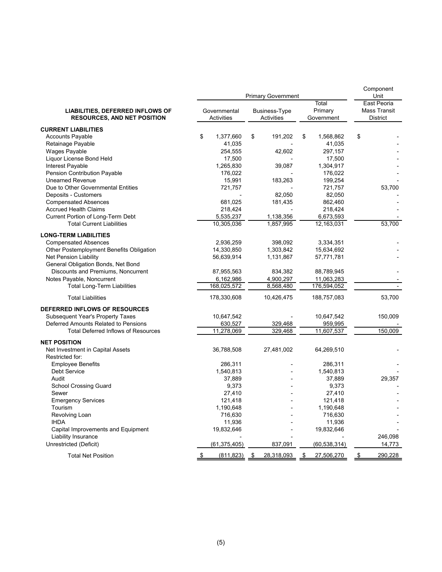|                                                           | <b>Primary Government</b> |                                      |    |            |    |                  |                                    | Component<br>Unit |  |  |
|-----------------------------------------------------------|---------------------------|--------------------------------------|----|------------|----|------------------|------------------------------------|-------------------|--|--|
| LIABILITIES, DEFERRED INFLOWS OF                          |                           | <b>Business-Type</b><br>Governmental |    |            |    | Total<br>Primary | East Peoria<br><b>Mass Transit</b> |                   |  |  |
| <b>RESOURCES, AND NET POSITION</b>                        | Activities                |                                      |    | Activities |    | Government       |                                    | District          |  |  |
| <b>CURRENT LIABILITIES</b>                                |                           |                                      |    |            |    |                  |                                    |                   |  |  |
| <b>Accounts Payable</b>                                   | \$                        | 1,377,660                            | \$ | 191,202    | \$ | 1,568,862        | \$                                 |                   |  |  |
| Retainage Payable                                         |                           | 41,035                               |    |            |    | 41,035           |                                    |                   |  |  |
| Wages Payable                                             |                           | 254,555                              |    | 42,602     |    | 297,157          |                                    |                   |  |  |
| Liquor License Bond Held                                  |                           | 17,500                               |    |            |    | 17,500           |                                    |                   |  |  |
| Interest Payable                                          |                           | 1,265,830                            |    | 39,087     |    | 1,304,917        |                                    |                   |  |  |
| <b>Pension Contribution Payable</b>                       |                           | 176,022                              |    |            |    | 176,022          |                                    |                   |  |  |
| <b>Unearned Revenue</b>                                   |                           | 15,991                               |    | 183,263    |    | 199,254          |                                    |                   |  |  |
| Due to Other Governmental Entities                        |                           | 721,757                              |    |            |    | 721,757          |                                    | 53,700            |  |  |
| Deposits - Customers                                      |                           |                                      |    | 82,050     |    | 82,050           |                                    |                   |  |  |
| <b>Compensated Absences</b>                               |                           | 681,025                              |    | 181,435    |    | 862,460          |                                    |                   |  |  |
| <b>Accrued Health Claims</b>                              |                           | 218,424                              |    |            |    | 218,424          |                                    |                   |  |  |
| Current Portion of Long-Term Debt                         |                           | 5,535,237                            |    | 1,138,356  |    | 6,673,593        |                                    |                   |  |  |
| <b>Total Current Liabilities</b>                          |                           | 10,305,036                           |    | 1,857,995  |    | 12,163,031       |                                    | 53,700            |  |  |
| <b>LONG-TERM LIABILITIES</b>                              |                           |                                      |    |            |    |                  |                                    |                   |  |  |
| <b>Compensated Absences</b>                               |                           | 2,936,259                            |    | 398,092    |    | 3,334,351        |                                    |                   |  |  |
| Other Postemployment Benefits Obligation                  |                           | 14,330,850                           |    | 1,303,842  |    | 15,634,692       |                                    |                   |  |  |
| Net Pension Liability                                     |                           | 56,639,914                           |    | 1,131,867  |    | 57,771,781       |                                    |                   |  |  |
| General Obligation Bonds, Net Bond                        |                           |                                      |    |            |    |                  |                                    |                   |  |  |
| Discounts and Premiums, Noncurrent                        |                           | 87,955,563                           |    | 834,382    |    | 88,789,945       |                                    |                   |  |  |
| Notes Payable, Noncurrent                                 |                           | 6,162,986                            |    | 4,900,297  |    | 11,063,283       |                                    |                   |  |  |
| <b>Total Long-Term Liabilities</b>                        |                           | 168,025,572                          |    | 8,568,480  |    | 176,594,052      |                                    |                   |  |  |
| <b>Total Liabilities</b>                                  |                           | 178,330,608                          |    | 10,426,475 |    | 188,757,083      |                                    | 53,700            |  |  |
| DEFERRED INFLOWS OF RESOURCES                             |                           |                                      |    |            |    |                  |                                    |                   |  |  |
| <b>Subsequent Year's Property Taxes</b>                   |                           | 10,647,542                           |    |            |    | 10,647,542       |                                    | 150,009           |  |  |
| Deferred Amounts Related to Pensions                      |                           | 630,527                              |    | 329,468    |    | 959,995          |                                    |                   |  |  |
| Total Deferred Inflows of Resources                       |                           | 11,278,069                           |    | 329,468    |    | 11,607,537       |                                    | 150,009           |  |  |
| <b>NET POSITION</b>                                       |                           |                                      |    |            |    |                  |                                    |                   |  |  |
| Net Investment in Capital Assets                          |                           | 36,788,508                           |    | 27,481,002 |    | 64,269,510       |                                    |                   |  |  |
| Restricted for:                                           |                           |                                      |    |            |    |                  |                                    |                   |  |  |
| <b>Employee Benefits</b>                                  |                           | 286,311                              |    |            |    | 286,311          |                                    |                   |  |  |
| <b>Debt Service</b>                                       |                           | 1,540,813                            |    |            |    | 1,540,813        |                                    |                   |  |  |
| Audit                                                     |                           | 37,889                               |    |            |    | 37,889           |                                    | 29,357            |  |  |
| <b>School Crossing Guard</b>                              |                           | 9,373                                |    |            |    | 9,373            |                                    |                   |  |  |
| Sewer                                                     |                           | 27,410                               |    |            |    | 27,410           |                                    |                   |  |  |
| <b>Emergency Services</b>                                 |                           | 121,418                              |    |            |    | 121,418          |                                    |                   |  |  |
| Tourism                                                   |                           | 1,190,648                            |    |            |    | 1,190,648        |                                    |                   |  |  |
| Revolving Loan                                            |                           | 716,630                              |    |            |    | 716,630          |                                    |                   |  |  |
| <b>IHDA</b>                                               |                           | 11,936                               |    |            |    | 11,936           |                                    |                   |  |  |
| Capital Improvements and Equipment<br>Liability Insurance |                           | 19,832,646                           |    |            |    | 19,832,646       |                                    | 246,098           |  |  |
| Unrestricted (Deficit)                                    |                           | (61,375,405)                         |    | 837,091    |    | (60,538,314)     |                                    | 14,773            |  |  |
| <b>Total Net Position</b>                                 | \$                        | (811, 823)                           | \$ | 28,318,093 | \$ | 27,506,270       | \$                                 | 290,228           |  |  |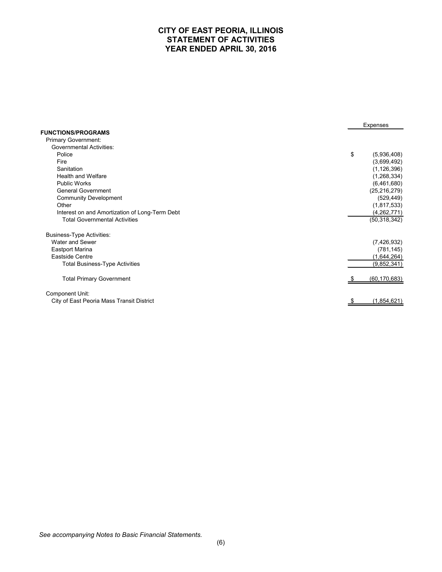## **CITY OF EAST PEORIA, ILLINOIS STATEMENT OF ACTIVITIES YEAR ENDED APRIL 30, 2016**

|                                                | Expenses          |
|------------------------------------------------|-------------------|
| <b>FUNCTIONS/PROGRAMS</b>                      |                   |
| Primary Government:                            |                   |
| <b>Governmental Activities:</b>                |                   |
| Police                                         | \$<br>(5,936,408) |
| Fire                                           | (3,699,492)       |
| Sanitation                                     | (1, 126, 396)     |
| <b>Health and Welfare</b>                      | (1, 268, 334)     |
| <b>Public Works</b>                            | (6,461,680)       |
| <b>General Government</b>                      | (25, 216, 279)    |
| <b>Community Development</b>                   | (529, 449)        |
| Other                                          | (1, 817, 533)     |
| Interest on and Amortization of Long-Term Debt | (4,262,771)       |
| <b>Total Governmental Activities</b>           | (50, 318, 342)    |
| <b>Business-Type Activities:</b>               |                   |
| Water and Sewer                                | (7,426,932)       |
| <b>Eastport Marina</b>                         | (781, 145)        |
| Eastside Centre                                | (1,644,264)       |
| <b>Total Business-Type Activities</b>          | (9,852,341)       |
| <b>Total Primary Government</b>                | (60, 170, 683)    |
| Component Unit:                                |                   |
| City of East Peoria Mass Transit District      | (1,854,621)       |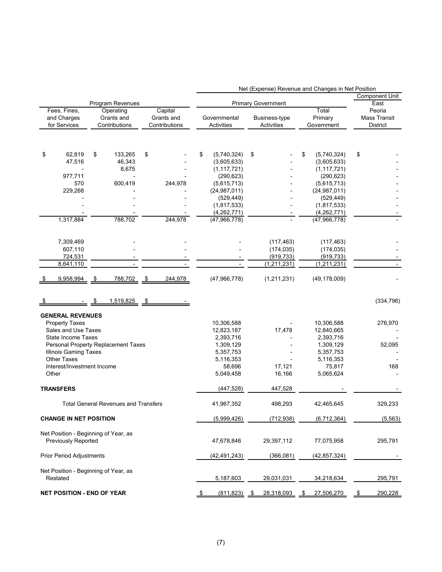|       |                                                                                                                                                                                               |    |                                             |                                 |                                        |                                                                                                                                                  |                               |                                                          | Net (Expense) Revenue and Changes in Net Position                                                                                              |    |                                                  |
|-------|-----------------------------------------------------------------------------------------------------------------------------------------------------------------------------------------------|----|---------------------------------------------|---------------------------------|----------------------------------------|--------------------------------------------------------------------------------------------------------------------------------------------------|-------------------------------|----------------------------------------------------------|------------------------------------------------------------------------------------------------------------------------------------------------|----|--------------------------------------------------|
|       |                                                                                                                                                                                               |    | Program Revenues                            |                                 |                                        |                                                                                                                                                  | <b>Component Unit</b><br>East |                                                          |                                                                                                                                                |    |                                                  |
|       | Fees, Fines,<br>Operating<br>and Charges<br>Grants and<br>for Services<br>Contributions                                                                                                       |    |                                             |                                 | Capital<br>Grants and<br>Contributions | Governmental<br>Activities                                                                                                                       |                               | <b>Primary Government</b><br>Business-type<br>Activities | Total<br>Primary<br>Government                                                                                                                 |    | Peoria<br><b>Mass Transit</b><br><b>District</b> |
| \$    | 62,819<br>47,516<br>977,711<br>570<br>229,268                                                                                                                                                 | \$ | 133,265<br>46,343<br>8,675<br>600,419       | \$                              | 244,978                                | \$<br>(5,740,324)<br>(3,605,633)<br>(1, 117, 721)<br>(290, 623)<br>(5,615,713)<br>(24, 987, 011)<br>(529, 449)<br>(1, 817, 533)<br>(4, 262, 771) | \$                            |                                                          | \$<br>(5,740,324)<br>(3,605,633)<br>(1, 117, 721)<br>(290, 623)<br>(5,615,713)<br>(24, 987, 011)<br>(529, 449)<br>(1, 817, 533)<br>(4,262,771) | \$ |                                                  |
|       | 1,317,884<br>7,309,469<br>607,110<br>724,531<br>8,641,110                                                                                                                                     |    | 788,702                                     |                                 | 244,978                                | (47,966,778)                                                                                                                                     |                               | (117, 463)<br>(174, 035)<br>(919, 733)<br>(1, 211, 231)  | (47,966,778)<br>(117, 463)<br>(174, 035)<br>(919, 733)<br>(1, 211, 231)                                                                        |    |                                                  |
|       | 9,958,994<br><b>GENERAL REVENUES</b>                                                                                                                                                          | \$ | 788,702<br><u>1,519,825</u>                 | $\mathfrak{s}$<br>$\mathcal{S}$ | 244,978                                | (47,966,778)                                                                                                                                     |                               | (1,211,231)                                              | (49, 178, 009)                                                                                                                                 |    | (334, 796)                                       |
| Other | <b>Property Taxes</b><br>Sales and Use Taxes<br>State Income Taxes<br>Personal Property Replacement Taxes<br><b>Illinois Gaming Taxes</b><br><b>Other Taxes</b><br>Interest/Investment Income |    |                                             |                                 |                                        | 10,306,588<br>12,823,187<br>2,393,716<br>1,309,129<br>5,357,753<br>5,116,353<br>58,696<br>5,049,458                                              |                               | 17,478<br>17,121<br>16,166                               | 10,306,588<br>12,840,665<br>2,393,716<br>1,309,129<br>5,357,753<br>5,116,353<br>75,817<br>5,065,624                                            |    | 276,970<br>52,095<br>168                         |
|       | <b>TRANSFERS</b>                                                                                                                                                                              |    |                                             |                                 |                                        | (447, 528)                                                                                                                                       |                               | 447,528                                                  |                                                                                                                                                |    |                                                  |
|       |                                                                                                                                                                                               |    | <b>Total General Revenues and Transfers</b> |                                 |                                        | 41,967,352                                                                                                                                       |                               | 498,293                                                  | 42,465,645                                                                                                                                     |    | 329,233                                          |
|       | <b>CHANGE IN NET POSITION</b>                                                                                                                                                                 |    |                                             |                                 |                                        | (5,999,426)                                                                                                                                      |                               | (712, 938)                                               | (6,712,364)                                                                                                                                    |    | (5, 563)                                         |
|       | Net Position - Beginning of Year, as<br>Previously Reported<br><b>Prior Period Adjustments</b>                                                                                                |    |                                             |                                 |                                        | 47,678,846<br>(42,491,243)                                                                                                                       |                               | 29,397,112<br>(366, 081)                                 | 77,075,958<br>(42, 857, 324)                                                                                                                   |    | 295,791                                          |
|       | Net Position - Beginning of Year, as<br>Restated                                                                                                                                              |    |                                             |                                 |                                        | 5,187,603                                                                                                                                        |                               | 29,031,031                                               | 34,218,634                                                                                                                                     |    | 295,791                                          |
|       | <b>NET POSITION - END OF YEAR</b>                                                                                                                                                             |    |                                             |                                 |                                        | (811, 823)                                                                                                                                       | - \$                          | 28,318,093                                               | \$<br>27,506,270                                                                                                                               | \$ | 290,228                                          |

Net (Expense) Revenue and Changes in Net Position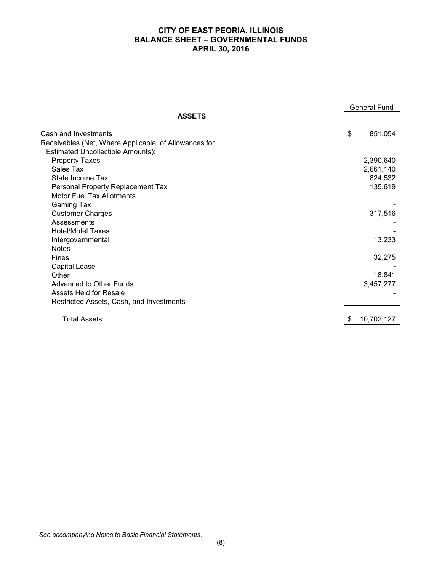## **CITY OF EAST PEORIA, ILLINOIS BALANCE SHEET – GOVERNMENTAL FUNDS APRIL 30, 2016**

|                                                       | <b>General Fund</b> |  |
|-------------------------------------------------------|---------------------|--|
| <b>ASSETS</b>                                         |                     |  |
| Cash and Investments                                  | \$<br>851,054       |  |
| Receivables (Net, Where Applicable, of Allowances for |                     |  |
| <b>Estimated Uncollectible Amounts):</b>              |                     |  |
| <b>Property Taxes</b>                                 | 2,390,640           |  |
| Sales Tax                                             | 2,661,140           |  |
| State Income Tax                                      | 824,532             |  |
| Personal Property Replacement Tax                     | 135,619             |  |
| <b>Motor Fuel Tax Allotments</b>                      |                     |  |
| Gaming Tax                                            |                     |  |
| <b>Customer Charges</b>                               | 317,516             |  |
| Assessments                                           |                     |  |
| <b>Hotel/Motel Taxes</b>                              |                     |  |
| Intergovernmental                                     | 13,233              |  |
| <b>Notes</b>                                          |                     |  |
| <b>Fines</b>                                          | 32,275              |  |
| Capital Lease                                         |                     |  |
| Other                                                 | 18,841              |  |
| Advanced to Other Funds                               | 3,457,277           |  |
| Assets Held for Resale                                |                     |  |
| Restricted Assets, Cash, and Investments              |                     |  |
| <b>Total Assets</b>                                   | 10,702,127          |  |
|                                                       |                     |  |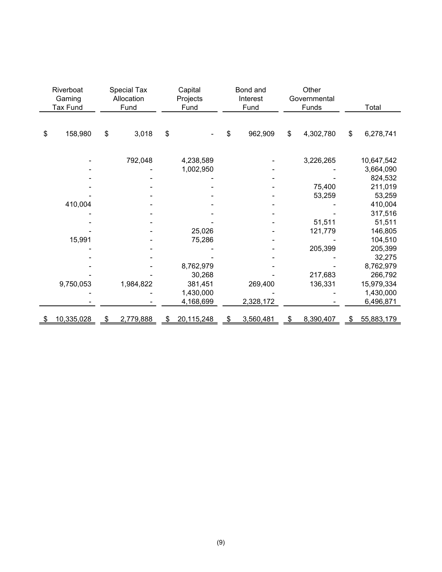| Riverboat<br>Gaming<br><b>Tax Fund</b> |            |               | Special Tax<br>Allocation<br>Fund | Capital<br>Projects<br>Fund |            | Bond and<br>Interest<br>Fund |    | Other<br>Governmental<br>Funds | Total            |
|----------------------------------------|------------|---------------|-----------------------------------|-----------------------------|------------|------------------------------|----|--------------------------------|------------------|
|                                        |            |               |                                   |                             |            |                              |    |                                |                  |
| \$                                     | 158,980    | \$            | 3,018                             | \$                          |            | \$<br>962,909                | \$ | 4,302,780                      | \$<br>6,278,741  |
|                                        |            |               | 792,048                           |                             | 4,238,589  |                              |    | 3,226,265                      | 10,647,542       |
|                                        |            |               |                                   |                             | 1,002,950  |                              |    |                                | 3,664,090        |
|                                        |            |               |                                   |                             |            |                              |    |                                | 824,532          |
|                                        |            |               |                                   |                             |            |                              |    | 75,400                         | 211,019          |
|                                        |            |               |                                   |                             |            |                              |    | 53,259                         | 53,259           |
|                                        | 410,004    |               |                                   |                             |            |                              |    |                                | 410,004          |
|                                        |            |               |                                   |                             |            |                              |    |                                | 317,516          |
|                                        |            |               |                                   |                             |            |                              |    | 51,511                         | 51,511           |
|                                        |            |               |                                   |                             | 25,026     |                              |    | 121,779                        | 146,805          |
|                                        | 15,991     |               |                                   |                             | 75,286     |                              |    |                                | 104,510          |
|                                        |            |               |                                   |                             |            |                              |    | 205,399                        | 205,399          |
|                                        |            |               |                                   |                             |            |                              |    |                                | 32,275           |
|                                        |            |               |                                   |                             | 8,762,979  |                              |    |                                | 8,762,979        |
|                                        |            |               |                                   |                             | 30,268     |                              |    | 217,683                        | 266,792          |
|                                        | 9,750,053  |               | 1,984,822                         |                             | 381,451    | 269,400                      |    | 136,331                        | 15,979,334       |
|                                        |            |               |                                   |                             | 1,430,000  |                              |    |                                | 1,430,000        |
|                                        |            |               |                                   |                             | 4,168,699  | 2,328,172                    |    |                                | 6,496,871        |
| \$                                     | 10,335,028 | $\frac{1}{2}$ | 2,779,888                         | \$                          | 20,115,248 | \$<br>3,560,481              | \$ | 8,390,407                      | \$<br>55,883,179 |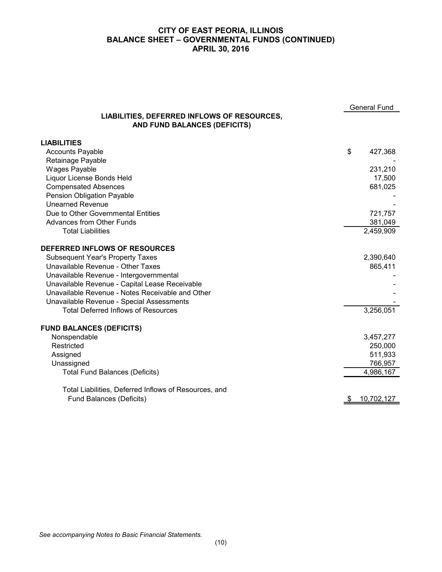#### **CITY OF EAST PEORIA, ILLINOIS BALANCE SHEET – GOVERNMENTAL FUNDS (CONTINUED) APRIL 30, 2016**

|                                                                             |            | <b>General Fund</b> |
|-----------------------------------------------------------------------------|------------|---------------------|
| LIABILITIES, DEFERRED INFLOWS OF RESOURCES,<br>AND FUND BALANCES (DEFICITS) |            |                     |
| <b>LIABILITIES</b>                                                          |            |                     |
| <b>Accounts Payable</b>                                                     | \$         | 427,368             |
| Retainage Payable                                                           |            |                     |
| Wages Payable                                                               |            | 231,210             |
| Liquor License Bonds Held                                                   |            | 17,500              |
| <b>Compensated Absences</b>                                                 |            | 681,025             |
| Pension Obligation Payable                                                  |            |                     |
| <b>Unearned Revenue</b>                                                     |            |                     |
| Due to Other Governmental Entities                                          |            | 721,757             |
| <b>Advances from Other Funds</b>                                            |            | 381,049             |
| <b>Total Liabilities</b>                                                    |            | 2,459,909           |
| DEFERRED INFLOWS OF RESOURCES                                               |            |                     |
| <b>Subsequent Year's Property Taxes</b>                                     |            | 2,390,640           |
| Unavailable Revenue - Other Taxes                                           |            | 865,411             |
| Unavailable Revenue - Intergovernmental                                     |            |                     |
| Unavailable Revenue - Capital Lease Receivable                              |            |                     |
| Unavailable Revenue - Notes Receivable and Other                            |            |                     |
| Unavailable Revenue - Special Assessments                                   |            |                     |
| <b>Total Deferred Inflows of Resources</b>                                  |            | 3,256,051           |
| <b>FUND BALANCES (DEFICITS)</b>                                             |            |                     |
| Nonspendable                                                                |            | 3,457,277           |
| Restricted                                                                  |            | 250,000             |
| Assigned                                                                    |            | 511,933             |
| Unassigned                                                                  |            | 766,957             |
| <b>Total Fund Balances (Deficits)</b>                                       |            | 4,986,167           |
| Total Liabilities, Deferred Inflows of Resources, and                       |            |                     |
| Fund Balances (Deficits)                                                    | <u>_\$</u> | 10,702,127          |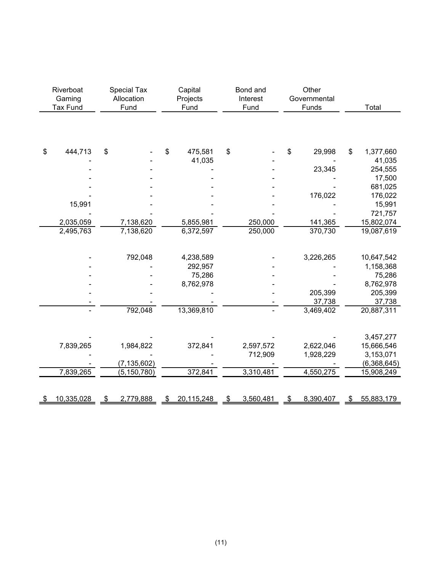| Riverboat<br>Gaming<br><b>Tax Fund</b> |            | <b>Special Tax</b><br>Allocation<br>Fund |               | Capital<br>Projects<br>Fund | Bond and<br>Interest<br>Fund |    | Other<br>Governmental<br>Funds | Total                     |
|----------------------------------------|------------|------------------------------------------|---------------|-----------------------------|------------------------------|----|--------------------------------|---------------------------|
|                                        |            |                                          |               |                             |                              |    |                                |                           |
| \$                                     | 444,713    | \$                                       |               | \$<br>475,581<br>41,035     | \$                           | \$ | 29,998                         | \$<br>1,377,660<br>41,035 |
|                                        |            |                                          |               |                             |                              |    | 23,345                         | 254,555                   |
|                                        |            |                                          |               |                             |                              |    |                                | 17,500                    |
|                                        |            |                                          |               |                             |                              |    |                                | 681,025                   |
|                                        |            |                                          |               |                             |                              |    | 176,022                        | 176,022                   |
|                                        | 15,991     |                                          |               |                             |                              |    |                                | 15,991                    |
|                                        |            |                                          |               |                             |                              |    |                                | 721,757                   |
|                                        | 2,035,059  |                                          | 7,138,620     | 5,855,981                   | 250,000                      |    | 141,365                        | 15,802,074                |
|                                        | 2,495,763  |                                          | 7,138,620     | 6,372,597                   | 250,000                      |    | 370,730                        | 19,087,619                |
|                                        |            |                                          |               |                             |                              |    |                                |                           |
|                                        |            |                                          | 792,048       | 4,238,589                   |                              |    | 3,226,265                      | 10,647,542                |
|                                        |            |                                          |               | 292,957                     |                              |    |                                | 1,158,368                 |
|                                        |            |                                          |               | 75,286                      |                              |    |                                | 75,286                    |
|                                        |            |                                          |               | 8,762,978                   |                              |    |                                | 8,762,978                 |
|                                        |            |                                          |               |                             |                              |    | 205,399                        | 205,399                   |
|                                        |            |                                          |               |                             |                              |    | 37,738                         | 37,738                    |
|                                        |            |                                          | 792,048       | 13,369,810                  |                              |    | 3,469,402                      | 20,887,311                |
|                                        |            |                                          |               |                             |                              |    |                                |                           |
|                                        |            |                                          |               |                             |                              |    |                                | 3,457,277                 |
|                                        | 7,839,265  |                                          | 1,984,822     | 372,841                     | 2,597,572                    |    | 2,622,046                      | 15,666,546                |
|                                        |            |                                          |               |                             | 712,909                      |    | 1,928,229                      | 3,153,071                 |
|                                        |            |                                          | (7, 135, 602) |                             |                              |    |                                | (6,368,645)               |
|                                        | 7,839,265  |                                          | (5, 150, 780) | 372,841                     | 3,310,481                    |    | 4,550,275                      | 15,908,249                |
|                                        |            |                                          |               |                             |                              |    |                                |                           |
|                                        |            |                                          |               |                             |                              |    |                                |                           |
|                                        | 10,335,028 | \$                                       | 2,779,888     | \$<br>20,115,248            | \$<br>3,560,481              | \$ | 8,390,407                      | \$<br>55,883,179          |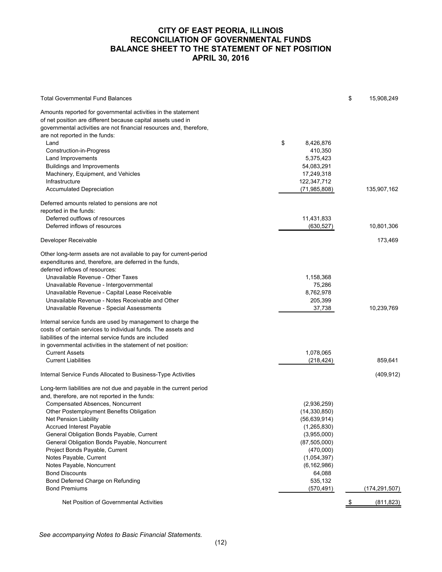## **CITY OF EAST PEORIA, ILLINOIS RECONCILIATION OF GOVERNMENTAL FUNDS BALANCE SHEET TO THE STATEMENT OF NET POSITION APRIL 30, 2016**

| <b>Total Governmental Fund Balances</b>                                                                                                                                                              |                              | \$<br>15,908,249 |
|------------------------------------------------------------------------------------------------------------------------------------------------------------------------------------------------------|------------------------------|------------------|
| Amounts reported for governmental activities in the statement<br>of net position are different because capital assets used in<br>governmental activities are not financial resources and, therefore, |                              |                  |
| are not reported in the funds:<br>Land                                                                                                                                                               | \$<br>8,426,876              |                  |
| Construction-in-Progress                                                                                                                                                                             | 410,350                      |                  |
| Land Improvements                                                                                                                                                                                    | 5,375,423                    |                  |
| Buildings and Improvements                                                                                                                                                                           | 54,083,291                   |                  |
| Machinery, Equipment, and Vehicles                                                                                                                                                                   | 17,249,318                   |                  |
| Infrastructure                                                                                                                                                                                       | 122,347,712                  |                  |
| <b>Accumulated Depreciation</b>                                                                                                                                                                      | (71, 985, 808)               | 135,907,162      |
| Deferred amounts related to pensions are not                                                                                                                                                         |                              |                  |
| reported in the funds:                                                                                                                                                                               |                              |                  |
| Deferred outflows of resources                                                                                                                                                                       | 11,431,833                   |                  |
| Deferred inflows of resources                                                                                                                                                                        | (630, 527)                   | 10,801,306       |
| Developer Receivable                                                                                                                                                                                 |                              | 173,469          |
| Other long-term assets are not available to pay for current-period                                                                                                                                   |                              |                  |
| expenditures and, therefore, are deferred in the funds,                                                                                                                                              |                              |                  |
| deferred inflows of resources:                                                                                                                                                                       |                              |                  |
| Unavailable Revenue - Other Taxes                                                                                                                                                                    | 1,158,368                    |                  |
| Unavailable Revenue - Intergovernmental<br>Unavailable Revenue - Capital Lease Receivable                                                                                                            | 75,286<br>8,762,978          |                  |
| Unavailable Revenue - Notes Receivable and Other                                                                                                                                                     | 205,399                      |                  |
| Unavailable Revenue - Special Assessments                                                                                                                                                            | 37,738                       | 10,239,769       |
|                                                                                                                                                                                                      |                              |                  |
| Internal service funds are used by management to charge the                                                                                                                                          |                              |                  |
| costs of certain services to individual funds. The assets and<br>liabilities of the internal service funds are included                                                                              |                              |                  |
| in governmental activities in the statement of net position:                                                                                                                                         |                              |                  |
| <b>Current Assets</b>                                                                                                                                                                                | 1,078,065                    |                  |
| <b>Current Liabilities</b>                                                                                                                                                                           | (218, 424)                   | 859,641          |
|                                                                                                                                                                                                      |                              |                  |
| Internal Service Funds Allocated to Business-Type Activities                                                                                                                                         |                              | (409, 912)       |
| Long-term liabilities are not due and payable in the current period                                                                                                                                  |                              |                  |
| and, therefore, are not reported in the funds:                                                                                                                                                       |                              |                  |
| Compensated Absences, Noncurrent                                                                                                                                                                     | (2,936,259)                  |                  |
| Other Postemployment Benefits Obligation                                                                                                                                                             | (14, 330, 850)               |                  |
| Net Pension Liability                                                                                                                                                                                | (56, 639, 914)               |                  |
| Accrued Interest Payable<br>General Obligation Bonds Payable, Current                                                                                                                                | (1, 265, 830)<br>(3,955,000) |                  |
| General Obligation Bonds Payable, Noncurrent                                                                                                                                                         | (87, 505, 000)               |                  |
| Project Bonds Payable, Current                                                                                                                                                                       | (470,000)                    |                  |
| Notes Payable, Current                                                                                                                                                                               | (1,054,397)                  |                  |
| Notes Payable, Noncurrent                                                                                                                                                                            | (6, 162, 986)                |                  |
| <b>Bond Discounts</b>                                                                                                                                                                                | 64,088                       |                  |
| Bond Deferred Charge on Refunding                                                                                                                                                                    | 535,132                      |                  |
| <b>Bond Premiums</b>                                                                                                                                                                                 | (570, 491)                   | (174, 291, 507)  |
| Net Position of Governmental Activities                                                                                                                                                              |                              | \$<br>(811, 823) |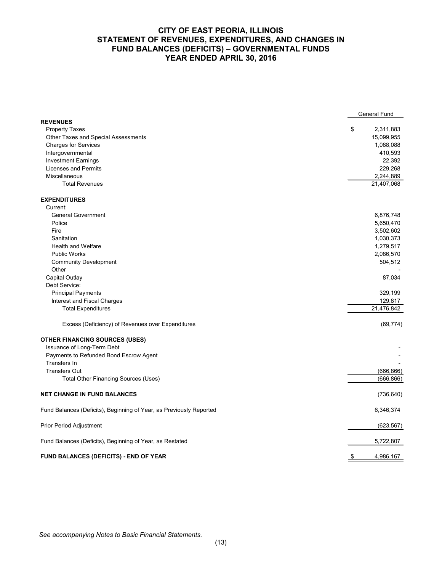## **CITY OF EAST PEORIA, ILLINOIS STATEMENT OF REVENUES, EXPENDITURES, AND CHANGES IN FUND BALANCES (DEFICITS) – GOVERNMENTAL FUNDS YEAR ENDED APRIL 30, 2016**

|                                                                     | General Fund    |
|---------------------------------------------------------------------|-----------------|
| <b>REVENUES</b>                                                     |                 |
| <b>Property Taxes</b>                                               | \$<br>2,311,883 |
| Other Taxes and Special Assessments                                 | 15,099,955      |
| <b>Charges for Services</b>                                         | 1,088,088       |
| Intergovernmental                                                   | 410,593         |
| <b>Investment Earnings</b>                                          | 22,392          |
| <b>Licenses and Permits</b>                                         | 229,268         |
| Miscellaneous                                                       | 2,244,889       |
| <b>Total Revenues</b>                                               | 21,407,068      |
| <b>EXPENDITURES</b>                                                 |                 |
| Current:                                                            |                 |
| <b>General Government</b>                                           | 6,876,748       |
| Police                                                              | 5,650,470       |
| Fire                                                                | 3,502,602       |
| Sanitation                                                          | 1,030,373       |
| <b>Health and Welfare</b>                                           | 1,279,517       |
| <b>Public Works</b>                                                 | 2,086,570       |
| <b>Community Development</b>                                        | 504,512         |
| Other                                                               |                 |
| Capital Outlay                                                      | 87,034          |
| Debt Service:                                                       |                 |
| <b>Principal Payments</b>                                           | 329,199         |
| Interest and Fiscal Charges                                         | 129,817         |
| <b>Total Expenditures</b>                                           | 21,476,842      |
| Excess (Deficiency) of Revenues over Expenditures                   | (69, 774)       |
| <b>OTHER FINANCING SOURCES (USES)</b>                               |                 |
| Issuance of Long-Term Debt                                          |                 |
| Payments to Refunded Bond Escrow Agent                              |                 |
| Transfers In                                                        |                 |
| <b>Transfers Out</b>                                                | (666, 866)      |
| <b>Total Other Financing Sources (Uses)</b>                         | (666, 866)      |
| <b>NET CHANGE IN FUND BALANCES</b>                                  | (736, 640)      |
| Fund Balances (Deficits), Beginning of Year, as Previously Reported | 6,346,374       |
| Prior Period Adjustment                                             | (623, 567)      |
| Fund Balances (Deficits), Beginning of Year, as Restated            | 5,722,807       |
| FUND BALANCES (DEFICITS) - END OF YEAR                              | \$<br>4,986,167 |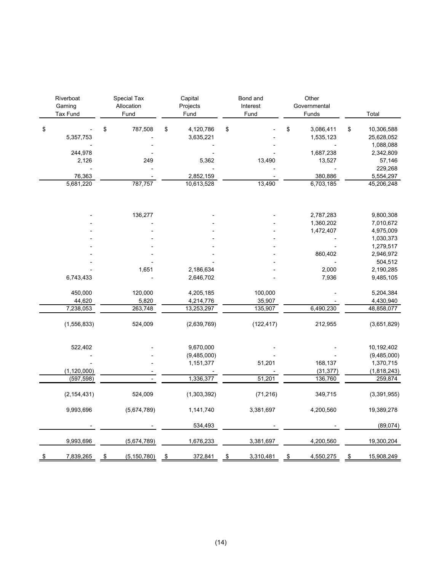| Riverboat       | Special Tax         | Capital   |             | Bond and        | Other           |               |                           |
|-----------------|---------------------|-----------|-------------|-----------------|-----------------|---------------|---------------------------|
| Gaming          | Allocation          |           | Projects    | Interest        | Governmental    |               |                           |
| Tax Fund        | Fund                |           | Fund        | Fund            | Funds           |               | Total                     |
| \$              | \$<br>787,508       | \$        | 4,120,786   | \$              | \$<br>3,086,411 | \$            | 10,306,588                |
| 5,357,753       |                     |           | 3,635,221   |                 | 1,535,123       |               | 25,628,052                |
|                 |                     |           |             |                 |                 |               | 1,088,088                 |
| 244,978         |                     |           |             |                 | 1,687,238       |               | 2,342,809                 |
|                 | 249                 |           | 5,362       | 13,490          | 13,527          |               |                           |
| 2,126           |                     |           |             |                 |                 |               | 57,146<br>229,268         |
| 76,363          |                     |           | 2,852,159   |                 | 380,886         |               | 5,554,297                 |
| 5,681,220       | 787,757             |           | 10,613,528  | 13,490          | 6,703,185       |               | 45,206,248                |
|                 |                     |           |             |                 |                 |               |                           |
|                 | 136,277             |           |             |                 | 2,787,283       |               | 9,800,308                 |
|                 |                     |           |             |                 | 1,360,202       |               | 7,010,672                 |
|                 |                     |           |             |                 | 1,472,407       |               | 4,975,009                 |
|                 |                     |           |             |                 |                 |               | 1,030,373                 |
|                 |                     |           |             |                 |                 |               | 1,279,517                 |
|                 |                     |           |             |                 | 860,402         |               | 2,946,972                 |
|                 |                     |           |             |                 |                 |               | 504,512                   |
|                 | 1,651               |           | 2,186,634   |                 | 2,000           |               | 2,190,285                 |
| 6,743,433       |                     |           | 2,646,702   |                 | 7,936           |               | 9,485,105                 |
| 450,000         | 120,000             |           | 4,205,185   | 100,000         |                 |               | 5,204,384                 |
| 44,620          | 5,820               |           | 4,214,776   | 35,907          |                 |               | 4,430,940                 |
| 7,238,053       | 263,748             |           | 13,253,297  | 135,907         | 6,490,230       |               | 48,858,077                |
| (1,556,833)     | 524,009             |           | (2,639,769) | (122, 417)      | 212,955         |               | (3,651,829)               |
|                 |                     |           | 9,670,000   |                 |                 |               |                           |
| 522,402         |                     |           | (9,485,000) |                 |                 |               | 10,192,402<br>(9,485,000) |
|                 |                     |           | 1,151,377   | 51,201          | 168,137         |               | 1,370,715                 |
|                 |                     |           |             |                 |                 |               |                           |
| (1, 120, 000)   |                     |           | 1,336,377   | 51,201          | (31, 377)       |               | (1,818,243)               |
| (597, 598)      |                     |           |             |                 | 136,760         |               | 259,874                   |
| (2, 154, 431)   | 524,009             |           | (1,303,392) | (71, 216)       | 349,715         |               | (3,391,955)               |
| 9,993,696       | (5,674,789)         |           | 1,141,740   | 3,381,697       | 4,200,560       |               | 19,389,278                |
|                 |                     |           | 534,493     |                 |                 |               | (89,074)                  |
| 9,993,696       | (5,674,789)         |           | 1,676,233   | 3,381,697       | 4,200,560       |               | 19,300,204                |
| \$<br>7,839,265 | \$<br>(5, 150, 780) | <u>\$</u> | 372,841     | \$<br>3,310,481 | \$<br>4,550,275 | $\frac{1}{2}$ | 15,908,249                |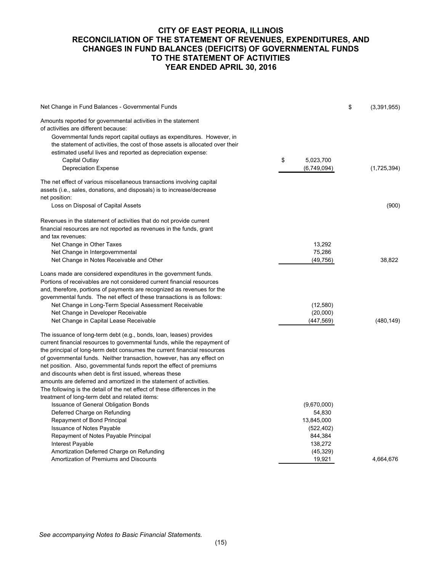## **CITY OF EAST PEORIA, ILLINOIS RECONCILIATION OF THE STATEMENT OF REVENUES, EXPENDITURES, AND CHANGES IN FUND BALANCES (DEFICITS) OF GOVERNMENTAL FUNDS TO THE STATEMENT OF ACTIVITIES YEAR ENDED APRIL 30, 2016**

| Net Change in Fund Balances - Governmental Funds                                                                                                                                                                                                                                                                                                                                                                                                                                                                                                                                                                                              |                      | \$<br>(3,391,955) |
|-----------------------------------------------------------------------------------------------------------------------------------------------------------------------------------------------------------------------------------------------------------------------------------------------------------------------------------------------------------------------------------------------------------------------------------------------------------------------------------------------------------------------------------------------------------------------------------------------------------------------------------------------|----------------------|-------------------|
| Amounts reported for governmental activities in the statement<br>of activities are different because:<br>Governmental funds report capital outlays as expenditures. However, in<br>the statement of activities, the cost of those assets is allocated over their                                                                                                                                                                                                                                                                                                                                                                              |                      |                   |
| estimated useful lives and reported as depreciation expense:<br>Capital Outlay                                                                                                                                                                                                                                                                                                                                                                                                                                                                                                                                                                | \$<br>5,023,700      |                   |
| Depreciation Expense                                                                                                                                                                                                                                                                                                                                                                                                                                                                                                                                                                                                                          | (6,749,094)          | (1,725,394)       |
| The net effect of various miscellaneous transactions involving capital<br>assets (i.e., sales, donations, and disposals) is to increase/decrease<br>net position:                                                                                                                                                                                                                                                                                                                                                                                                                                                                             |                      |                   |
| Loss on Disposal of Capital Assets                                                                                                                                                                                                                                                                                                                                                                                                                                                                                                                                                                                                            |                      | (900)             |
| Revenues in the statement of activities that do not provide current<br>financial resources are not reported as revenues in the funds, grant                                                                                                                                                                                                                                                                                                                                                                                                                                                                                                   |                      |                   |
| and tax revenues:<br>Net Change in Other Taxes                                                                                                                                                                                                                                                                                                                                                                                                                                                                                                                                                                                                | 13,292               |                   |
| Net Change in Intergovernmental                                                                                                                                                                                                                                                                                                                                                                                                                                                                                                                                                                                                               | 75,286               |                   |
| Net Change in Notes Receivable and Other                                                                                                                                                                                                                                                                                                                                                                                                                                                                                                                                                                                                      | (49, 756)            | 38.822            |
| Loans made are considered expenditures in the government funds.<br>Portions of receivables are not considered current financial resources<br>and, therefore, portions of payments are recognized as revenues for the<br>governmental funds. The net effect of these transactions is as follows:                                                                                                                                                                                                                                                                                                                                               |                      |                   |
| Net Change in Long-Term Special Assessment Receivable<br>Net Change in Developer Receivable                                                                                                                                                                                                                                                                                                                                                                                                                                                                                                                                                   | (12,580)<br>(20,000) |                   |
| Net Change in Capital Lease Receivable                                                                                                                                                                                                                                                                                                                                                                                                                                                                                                                                                                                                        | (447, 569)           | (480, 149)        |
| The issuance of long-term debt (e.g., bonds, loan, leases) provides<br>current financial resources to governmental funds, while the repayment of<br>the principal of long-term debt consumes the current financial resources<br>of governmental funds. Neither transaction, however, has any effect on<br>net position. Also, governmental funds report the effect of premiums<br>and discounts when debt is first issued, whereas these<br>amounts are deferred and amortized in the statement of activities.<br>The following is the detail of the net effect of these differences in the<br>treatment of long-term debt and related items: |                      |                   |
| <b>Issuance of General Obligation Bonds</b>                                                                                                                                                                                                                                                                                                                                                                                                                                                                                                                                                                                                   | (9,670,000)          |                   |
| Deferred Charge on Refunding                                                                                                                                                                                                                                                                                                                                                                                                                                                                                                                                                                                                                  | 54,830               |                   |
| Repayment of Bond Principal                                                                                                                                                                                                                                                                                                                                                                                                                                                                                                                                                                                                                   | 13,845,000           |                   |
| <b>Issuance of Notes Payable</b>                                                                                                                                                                                                                                                                                                                                                                                                                                                                                                                                                                                                              | (522, 402)           |                   |
| Repayment of Notes Payable Principal                                                                                                                                                                                                                                                                                                                                                                                                                                                                                                                                                                                                          | 844,384              |                   |
| Interest Payable                                                                                                                                                                                                                                                                                                                                                                                                                                                                                                                                                                                                                              | 138,272              |                   |
| Amortization Deferred Charge on Refunding                                                                                                                                                                                                                                                                                                                                                                                                                                                                                                                                                                                                     | (45, 329)            |                   |
| Amortization of Premiums and Discounts                                                                                                                                                                                                                                                                                                                                                                                                                                                                                                                                                                                                        | 19,921               | 4.664.676         |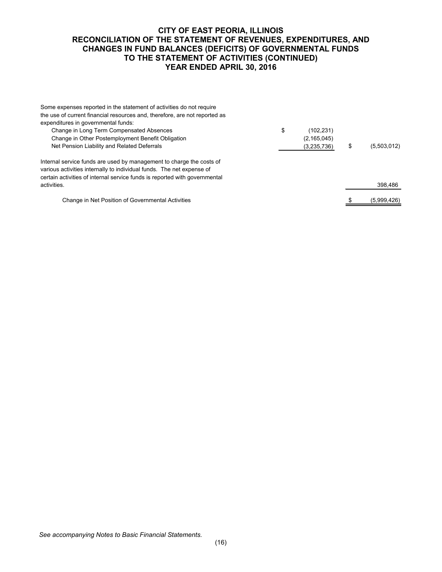## **CITY OF EAST PEORIA, ILLINOIS RECONCILIATION OF THE STATEMENT OF REVENUES, EXPENDITURES, AND CHANGES IN FUND BALANCES (DEFICITS) OF GOVERNMENTAL FUNDS TO THE STATEMENT OF ACTIVITIES (CONTINUED) YEAR ENDED APRIL 30, 2016**

| Some expenses reported in the statement of activities do not require       |                   |
|----------------------------------------------------------------------------|-------------------|
| the use of current financial resources and, therefore, are not reported as |                   |
| expenditures in governmental funds:                                        |                   |
| Change in Long Term Compensated Absences<br>\$<br>(102, 231)               |                   |
| Change in Other Postemployment Benefit Obligation<br>(2, 165, 045)         |                   |
| Net Pension Liability and Related Deferrals<br>(3,235,736)                 | \$<br>(5,503,012) |
| Internal service funds are used by management to charge the costs of       |                   |
| various activities internally to individual funds. The net expense of      |                   |
| certain activities of internal service funds is reported with governmental |                   |
| activities.                                                                | 398,486           |
| Change in Net Position of Governmental Activities                          | (5,999,426)       |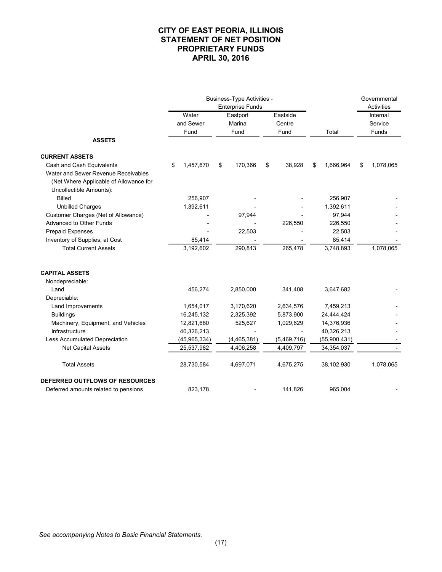## **CITY OF EAST PEORIA, ILLINOIS STATEMENT OF NET POSITION PROPRIETARY FUNDS APRIL 30, 2016**

|                                        | <b>Business-Type Activities -</b> |                         |                    |               |          |             |    |              |         | Governmental      |
|----------------------------------------|-----------------------------------|-------------------------|--------------------|---------------|----------|-------------|----|--------------|---------|-------------------|
|                                        |                                   | <b>Enterprise Funds</b> |                    |               |          |             |    |              |         | <b>Activities</b> |
|                                        |                                   | Water                   | Eastport<br>Marina |               | Eastside |             |    |              |         | Internal          |
|                                        |                                   | and Sewer               |                    |               |          | Centre      |    |              | Service |                   |
|                                        |                                   | Fund                    |                    | Fund          |          | Fund        |    | Total        |         | Funds             |
| <b>ASSETS</b>                          |                                   |                         |                    |               |          |             |    |              |         |                   |
| <b>CURRENT ASSETS</b>                  |                                   |                         |                    |               |          |             |    |              |         |                   |
| Cash and Cash Equivalents              | \$                                | 1,457,670               | \$                 | 170,366       | \$       | 38,928      | \$ | 1,666,964    | \$      | 1,078,065         |
| Water and Sewer Revenue Receivables    |                                   |                         |                    |               |          |             |    |              |         |                   |
| (Net Where Applicable of Allowance for |                                   |                         |                    |               |          |             |    |              |         |                   |
| Uncollectible Amounts):                |                                   |                         |                    |               |          |             |    |              |         |                   |
| <b>Billed</b>                          |                                   | 256,907                 |                    |               |          |             |    | 256,907      |         |                   |
| <b>Unbilled Charges</b>                |                                   | 1,392,611               |                    |               |          |             |    | 1,392,611    |         |                   |
| Customer Charges (Net of Allowance)    |                                   |                         |                    | 97,944        |          |             |    | 97,944       |         |                   |
| Advanced to Other Funds                |                                   |                         |                    |               |          | 226,550     |    | 226,550      |         |                   |
| <b>Prepaid Expenses</b>                |                                   |                         |                    | 22,503        |          |             |    | 22,503       |         |                   |
| Inventory of Supplies, at Cost         |                                   | 85,414                  |                    |               |          |             |    | 85,414       |         |                   |
| <b>Total Current Assets</b>            |                                   | 3,192,602               |                    | 290,813       |          | 265,478     |    | 3,748,893    |         | 1,078,065         |
| <b>CAPITAL ASSETS</b>                  |                                   |                         |                    |               |          |             |    |              |         |                   |
| Nondepreciable:                        |                                   |                         |                    |               |          |             |    |              |         |                   |
| Land                                   |                                   | 456,274                 |                    | 2,850,000     |          | 341,408     |    | 3,647,682    |         |                   |
| Depreciable:                           |                                   |                         |                    |               |          |             |    |              |         |                   |
| Land Improvements                      |                                   | 1,654,017               |                    | 3,170,620     |          | 2,634,576   |    | 7,459,213    |         |                   |
| <b>Buildings</b>                       |                                   | 16,245,132              |                    | 2,325,392     |          | 5,873,900   |    | 24,444,424   |         |                   |
| Machinery, Equipment, and Vehicles     |                                   | 12,821,680              |                    | 525,627       |          | 1,029,629   |    | 14,376,936   |         |                   |
| Infrastructure                         |                                   | 40,326,213              |                    |               |          |             |    | 40,326,213   |         |                   |
| Less Accumulated Depreciation          |                                   | (45, 965, 334)          |                    | (4, 465, 381) |          | (5,469,716) |    | (55,900,431) |         |                   |
| Net Capital Assets                     |                                   | 25,537,982              |                    | 4,406,258     |          | 4,409,797   |    | 34,354,037   |         |                   |
| <b>Total Assets</b>                    |                                   | 28,730,584              |                    | 4,697,071     |          | 4,675,275   |    | 38,102,930   |         | 1,078,065         |
| DEFERRED OUTFLOWS OF RESOURCES         |                                   |                         |                    |               |          |             |    |              |         |                   |
| Deferred amounts related to pensions   |                                   | 823,178                 |                    |               |          | 141,826     |    | 965,004      |         |                   |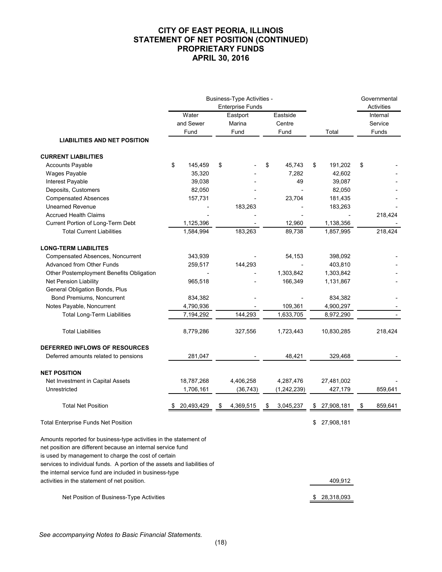## **CITY OF EAST PEORIA, ILLINOIS STATEMENT OF NET POSITION (CONTINUED) PROPRIETARY FUNDS APRIL 30, 2016**

|                                                                                                                                                                                                                                                                                                                                                                                | Business-Type Activities -<br><b>Enterprise Funds</b> |            |        |           |      |             |     |               |      | Governmental<br>Activities |
|--------------------------------------------------------------------------------------------------------------------------------------------------------------------------------------------------------------------------------------------------------------------------------------------------------------------------------------------------------------------------------|-------------------------------------------------------|------------|--------|-----------|------|-------------|-----|---------------|------|----------------------------|
|                                                                                                                                                                                                                                                                                                                                                                                | Water<br>Eastport<br>Eastside                         |            |        |           |      |             |     | Internal      |      |                            |
|                                                                                                                                                                                                                                                                                                                                                                                |                                                       | and Sewer  | Marina |           |      | Centre      |     |               |      | Service                    |
|                                                                                                                                                                                                                                                                                                                                                                                |                                                       | Fund       |        | Fund      |      | Fund        |     | Total         |      | Funds                      |
| <b>LIABILITIES AND NET POSITION</b>                                                                                                                                                                                                                                                                                                                                            |                                                       |            |        |           |      |             |     |               |      |                            |
| <b>CURRENT LIABILITIES</b>                                                                                                                                                                                                                                                                                                                                                     |                                                       |            |        |           |      |             |     |               |      |                            |
| <b>Accounts Payable</b>                                                                                                                                                                                                                                                                                                                                                        | \$                                                    | 145,459    | \$     |           | \$   | 45,743      | \$  | 191,202       | \$   |                            |
| Wages Payable                                                                                                                                                                                                                                                                                                                                                                  |                                                       | 35,320     |        |           |      | 7,282       |     | 42.602        |      |                            |
| Interest Payable                                                                                                                                                                                                                                                                                                                                                               |                                                       | 39,038     |        |           |      | 49          |     | 39,087        |      |                            |
| Deposits, Customers                                                                                                                                                                                                                                                                                                                                                            |                                                       | 82,050     |        |           |      |             |     | 82,050        |      |                            |
| <b>Compensated Absences</b>                                                                                                                                                                                                                                                                                                                                                    |                                                       | 157,731    |        |           |      | 23,704      |     | 181,435       |      |                            |
| <b>Unearned Revenue</b>                                                                                                                                                                                                                                                                                                                                                        |                                                       |            |        | 183,263   |      |             |     | 183,263       |      |                            |
| <b>Accrued Health Claims</b>                                                                                                                                                                                                                                                                                                                                                   |                                                       |            |        |           |      |             |     |               |      | 218,424                    |
| Current Portion of Long-Term Debt                                                                                                                                                                                                                                                                                                                                              |                                                       | 1,125,396  |        |           |      | 12,960      |     | 1,138,356     |      |                            |
| <b>Total Current Liabilities</b>                                                                                                                                                                                                                                                                                                                                               |                                                       | 1,584,994  |        | 183,263   |      | 89,738      |     | 1,857,995     |      | 218,424                    |
| <b>LONG-TERM LIABILITES</b>                                                                                                                                                                                                                                                                                                                                                    |                                                       |            |        |           |      |             |     |               |      |                            |
| Compensated Absences, Noncurrent                                                                                                                                                                                                                                                                                                                                               |                                                       | 343,939    |        |           |      | 54,153      |     | 398,092       |      |                            |
| <b>Advanced from Other Funds</b>                                                                                                                                                                                                                                                                                                                                               |                                                       | 259,517    |        | 144,293   |      |             |     | 403,810       |      |                            |
| Other Postemployment Benefits Obligation                                                                                                                                                                                                                                                                                                                                       |                                                       |            |        |           |      | 1,303,842   |     | 1,303,842     |      |                            |
| Net Pension Liability                                                                                                                                                                                                                                                                                                                                                          |                                                       | 965,518    |        |           |      | 166,349     |     | 1,131,867     |      |                            |
| General Obligation Bonds, Plus                                                                                                                                                                                                                                                                                                                                                 |                                                       |            |        |           |      |             |     |               |      |                            |
| Bond Premiums, Noncurrent                                                                                                                                                                                                                                                                                                                                                      |                                                       | 834,382    |        |           |      |             |     | 834,382       |      |                            |
| Notes Payable, Noncurrent                                                                                                                                                                                                                                                                                                                                                      |                                                       | 4,790,936  |        |           |      | 109,361     |     | 4,900,297     |      |                            |
| <b>Total Long-Term Liabilities</b>                                                                                                                                                                                                                                                                                                                                             |                                                       | 7,194,292  |        | 144,293   |      | 1,633,705   |     | 8,972,290     |      |                            |
| <b>Total Liabilities</b>                                                                                                                                                                                                                                                                                                                                                       |                                                       | 8,779,286  |        | 327,556   |      | 1,723,443   |     | 10,830,285    |      | 218,424                    |
| DEFERRED INFLOWS OF RESOURCES                                                                                                                                                                                                                                                                                                                                                  |                                                       |            |        |           |      |             |     |               |      |                            |
| Deferred amounts related to pensions                                                                                                                                                                                                                                                                                                                                           |                                                       | 281,047    |        |           |      | 48,421      |     | 329,468       |      |                            |
| <b>NET POSITION</b>                                                                                                                                                                                                                                                                                                                                                            |                                                       |            |        |           |      |             |     |               |      |                            |
| Net Investment in Capital Assets                                                                                                                                                                                                                                                                                                                                               |                                                       | 18,787,268 |        | 4,406,258 |      | 4,287,476   |     | 27,481,002    |      |                            |
| Unrestricted                                                                                                                                                                                                                                                                                                                                                                   |                                                       | 1,706,161  |        | (36, 743) |      | (1,242,239) |     | 427,179       |      | 859,641                    |
| <b>Total Net Position</b>                                                                                                                                                                                                                                                                                                                                                      |                                                       | 20,493,429 | - \$   | 4,369,515 | - \$ | 3,045,237   | SS. | 27,908,181    | - \$ | 859,641                    |
| <b>Total Enterprise Funds Net Position</b>                                                                                                                                                                                                                                                                                                                                     |                                                       |            |        |           |      |             | \$  | 27,908,181    |      |                            |
| Amounts reported for business-type activities in the statement of<br>net position are different because an internal service fund<br>is used by management to charge the cost of certain<br>services to individual funds. A portion of the assets and liabilities of<br>the internal service fund are included in business-type<br>activities in the statement of net position. |                                                       |            |        |           |      |             |     | 409,912       |      |                            |
| Net Position of Business-Type Activities                                                                                                                                                                                                                                                                                                                                       |                                                       |            |        |           |      |             |     | \$ 28,318,093 |      |                            |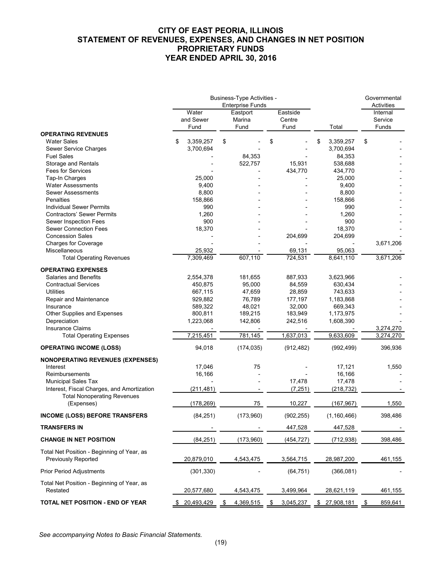## **CITY OF EAST PEORIA, ILLINOIS STATEMENT OF REVENUES, EXPENSES, AND CHANGES IN NET POSITION PROPRIETARY FUNDS YEAR ENDED APRIL 30, 2016**

|                                                        |                            | Business-Type Activities -<br><b>Enterprise Funds</b> |                            |                                | Governmental<br><b>Activities</b> |
|--------------------------------------------------------|----------------------------|-------------------------------------------------------|----------------------------|--------------------------------|-----------------------------------|
|                                                        | Water<br>and Sewer<br>Fund | Eastport<br>Marina<br>Fund                            | Eastside<br>Centre<br>Fund | Total                          | Internal<br>Service<br>Funds      |
| <b>OPERATING REVENUES</b>                              |                            |                                                       |                            |                                |                                   |
| <b>Water Sales</b>                                     | \$<br>3,359,257            | \$                                                    | \$                         | \$<br>3,359,257                | \$                                |
| Sewer Service Charges                                  | 3,700,694                  |                                                       |                            | 3,700,694                      |                                   |
| <b>Fuel Sales</b>                                      |                            | 84,353                                                |                            | 84,353                         |                                   |
| Storage and Rentals                                    |                            | 522,757                                               | 15,931                     | 538,688                        |                                   |
| <b>Fees for Services</b>                               |                            |                                                       | 434,770                    | 434,770                        |                                   |
| Tap-In Charges                                         | 25,000                     |                                                       |                            | 25,000                         |                                   |
| <b>Water Assessments</b>                               | 9,400                      |                                                       |                            | 9,400                          |                                   |
| Sewer Assessments                                      | 8,800                      |                                                       |                            | 8,800                          |                                   |
| Penalties                                              | 158,866                    |                                                       |                            | 158,866                        |                                   |
| <b>Individual Sewer Permits</b>                        | 990                        |                                                       |                            | 990                            |                                   |
| <b>Contractors' Sewer Permits</b>                      | 1,260                      |                                                       |                            | 1,260                          |                                   |
| Sewer Inspection Fees                                  | 900                        |                                                       |                            | 900                            |                                   |
| <b>Sewer Connection Fees</b>                           | 18,370                     |                                                       |                            | 18,370                         |                                   |
| <b>Concession Sales</b>                                |                            |                                                       | 204,699                    | 204,699                        |                                   |
| Charges for Coverage                                   |                            |                                                       |                            |                                | 3,671,206                         |
| Miscellaneous                                          | 25,932                     |                                                       | 69,131                     | 95,063                         |                                   |
| <b>Total Operating Revenues</b>                        | 7,309,469                  | 607,110                                               | 724,531                    | 8,641,110                      | 3,671,206                         |
| <b>OPERATING EXPENSES</b>                              |                            |                                                       |                            |                                |                                   |
| Salaries and Benefits                                  | 2,554,378                  | 181,655                                               | 887,933                    | 3,623,966                      |                                   |
| <b>Contractual Services</b>                            | 450,875                    | 95,000                                                | 84,559                     | 630,434                        |                                   |
| <b>Utilities</b>                                       | 667,115                    | 47,659                                                | 28,859                     | 743,633                        |                                   |
| Repair and Maintenance                                 | 929,882                    | 76,789                                                | 177,197                    | 1,183,868                      |                                   |
| Insurance                                              | 589,322                    | 48,021                                                | 32,000                     | 669,343                        |                                   |
| Other Supplies and Expenses                            | 800,811                    | 189,215                                               | 183,949                    | 1,173,975                      |                                   |
| Depreciation                                           | 1,223,068                  | 142,806                                               | 242,516                    | 1,608,390                      |                                   |
| <b>Insurance Claims</b>                                |                            |                                                       |                            |                                | 3,274,270                         |
| <b>Total Operating Expenses</b>                        | 7,215,451                  | 781,145                                               | 1,637,013                  | 9,633,609                      | 3,274,270                         |
|                                                        | 94,018                     | (174, 035)                                            | (912, 482)                 | (992, 499)                     | 396,936                           |
| <b>OPERATING INCOME (LOSS)</b>                         |                            |                                                       |                            |                                |                                   |
| <b>NONOPERATING REVENUES (EXPENSES)</b>                |                            |                                                       |                            |                                |                                   |
| Interest                                               | 17,046                     | 75                                                    |                            | 17,121                         | 1,550                             |
| Reimbursements                                         | 16,166                     |                                                       |                            | 16,166                         |                                   |
| <b>Municipal Sales Tax</b>                             |                            |                                                       | 17,478                     | 17,478                         |                                   |
| Interest, Fiscal Charges, and Amortization             | (211, 481)                 |                                                       | (7, 251)                   | (218, 732)                     |                                   |
| <b>Total Nonoperating Revenues</b>                     |                            |                                                       |                            |                                |                                   |
| (Expenses)                                             | (178, 269)                 | 75                                                    | 10,227                     | (167, 967)                     | 1,550                             |
| <b>INCOME (LOSS) BEFORE TRANSFERS</b>                  | (84, 251)                  | (173,960)                                             | (902, 255)                 | (1, 160, 466)                  | 398,486                           |
| TRANSFERS IN                                           |                            |                                                       | 447,528                    | 447,528                        |                                   |
| <b>CHANGE IN NET POSITION</b>                          | (84, 251)                  | (173,960)                                             | (454, 727)                 | (712, 938)                     | 398,486                           |
| Total Net Position - Beginning of Year, as             |                            |                                                       |                            |                                |                                   |
| Previously Reported                                    | 20,879,010                 | 4,543,475                                             | 3,564,715                  | 28,987,200                     | 461,155                           |
| <b>Prior Period Adjustments</b>                        | (301, 330)                 |                                                       | (64, 751)                  | (366,081)                      |                                   |
| Total Net Position - Beginning of Year, as<br>Restated | 20,577,680                 | 4,543,475                                             | 3,499,964                  | 28,621,119                     | 461,155                           |
| TOTAL NET POSITION - END OF YEAR                       | 20,493,429<br>S.           | 4,369,515                                             | 3,045,237<br>\$            | 27,908,181<br>$S$ <sub>-</sub> | 859,641                           |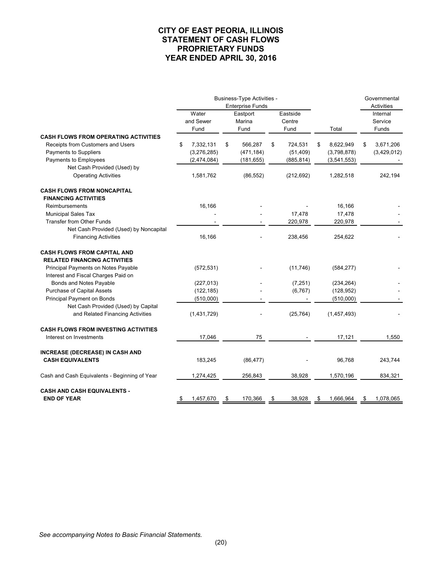## **CITY OF EAST PEORIA, ILLINOIS STATEMENT OF CASH FLOWS PROPRIETARY FUNDS YEAR ENDED APRIL 30, 2016**

|                                                                           |                            | <b>Business-Type Activities -</b><br><b>Enterprise Funds</b> |                            |                 | Governmental<br>Activities   |
|---------------------------------------------------------------------------|----------------------------|--------------------------------------------------------------|----------------------------|-----------------|------------------------------|
|                                                                           | Water<br>and Sewer<br>Fund | Eastport<br>Marina<br>Fund                                   | Eastside<br>Centre<br>Fund | Total           | Internal<br>Service<br>Funds |
| <b>CASH FLOWS FROM OPERATING ACTIVITIES</b>                               |                            |                                                              |                            |                 |                              |
| Receipts from Customers and Users                                         | 7,332,131<br>\$            | \$<br>566,287                                                | \$<br>724,531              | 8,622,949<br>\$ | 3,671,206<br>\$              |
| Payments to Suppliers                                                     | (3,276,285)                | (471, 184)                                                   | (51, 409)                  | (3,798,878)     | (3,429,012)                  |
| Payments to Employees                                                     | (2,474,084)                | (181, 655)                                                   | (885, 814)                 | (3,541,553)     |                              |
| Net Cash Provided (Used) by                                               |                            |                                                              |                            |                 |                              |
| <b>Operating Activities</b>                                               | 1,581,762                  | (86, 552)                                                    | (212, 692)                 | 1,282,518       | 242,194                      |
| <b>CASH FLOWS FROM NONCAPITAL</b>                                         |                            |                                                              |                            |                 |                              |
| <b>FINANCING ACTIVITIES</b>                                               |                            |                                                              |                            |                 |                              |
| Reimbursements                                                            | 16,166                     |                                                              |                            | 16,166          |                              |
| <b>Municipal Sales Tax</b>                                                |                            |                                                              | 17,478                     | 17,478          |                              |
| <b>Transfer from Other Funds</b>                                          |                            |                                                              | 220,978                    | 220,978         |                              |
| Net Cash Provided (Used) by Noncapital                                    |                            |                                                              |                            |                 |                              |
| <b>Financing Activities</b>                                               | 16,166                     |                                                              | 238,456                    | 254,622         |                              |
| <b>CASH FLOWS FROM CAPITAL AND</b><br><b>RELATED FINANCING ACTIVITIES</b> |                            |                                                              |                            |                 |                              |
| Principal Payments on Notes Payable                                       | (572, 531)                 |                                                              | (11,746)                   | (584, 277)      |                              |
| Interest and Fiscal Charges Paid on                                       |                            |                                                              |                            |                 |                              |
| <b>Bonds and Notes Payable</b>                                            | (227, 013)                 |                                                              | (7, 251)                   | (234, 264)      |                              |
| <b>Purchase of Capital Assets</b>                                         | (122, 185)                 |                                                              | (6, 767)                   | (128, 952)      |                              |
| Principal Payment on Bonds                                                | (510,000)                  |                                                              |                            | (510,000)       |                              |
| Net Cash Provided (Used) by Capital                                       |                            |                                                              |                            |                 |                              |
| and Related Financing Activities                                          | (1,431,729)                |                                                              | (25, 764)                  | (1,457,493)     |                              |
| <b>CASH FLOWS FROM INVESTING ACTIVITIES</b>                               |                            |                                                              |                            |                 |                              |
| Interest on Investments                                                   | 17,046                     | 75                                                           |                            | 17,121          | 1,550                        |
| <b>INCREASE (DECREASE) IN CASH AND</b><br><b>CASH EQUIVALENTS</b>         | 183,245                    | (86, 477)                                                    |                            | 96,768          | 243,744                      |
| Cash and Cash Equivalents - Beginning of Year                             | 1,274,425                  | 256,843                                                      | 38,928                     | 1,570,196       | 834,321                      |
| <b>CASH AND CASH EQUIVALENTS -</b>                                        |                            |                                                              |                            |                 |                              |
| <b>END OF YEAR</b>                                                        | 1,457,670<br>\$            | 170,366<br>\$                                                | 38,928<br>\$               | 1,666,964<br>\$ | 1,078,065<br>\$              |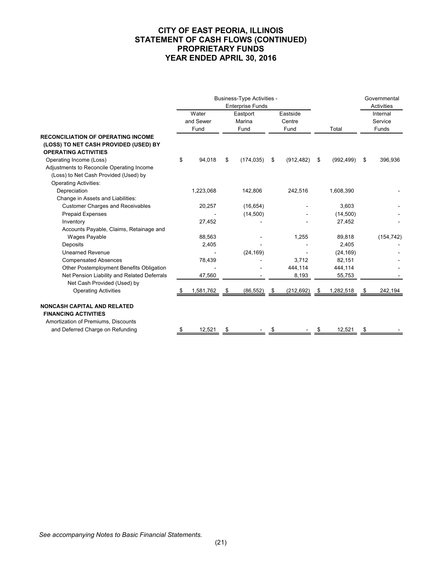## **CITY OF EAST PEORIA, ILLINOIS STATEMENT OF CASH FLOWS (CONTINUED) PROPRIETARY FUNDS YEAR ENDED APRIL 30, 2016**

|                                             |       |           |          | <b>Business-Type Activities -</b> |          |            |    |            |         | Governmental |
|---------------------------------------------|-------|-----------|----------|-----------------------------------|----------|------------|----|------------|---------|--------------|
|                                             |       |           |          | <b>Enterprise Funds</b>           |          |            |    |            |         | Activities   |
|                                             | Water |           | Eastport |                                   | Eastside |            |    |            |         | Internal     |
|                                             |       | and Sewer | Marina   |                                   |          | Centre     |    |            | Service |              |
|                                             |       | Fund      |          | Fund                              |          | Fund       |    | Total      |         | Funds        |
| <b>RECONCILIATION OF OPERATING INCOME</b>   |       |           |          |                                   |          |            |    |            |         |              |
| (LOSS) TO NET CASH PROVIDED (USED) BY       |       |           |          |                                   |          |            |    |            |         |              |
| <b>OPERATING ACTIVITIES</b>                 |       |           |          |                                   |          |            |    |            |         |              |
| Operating Income (Loss)                     | \$    | 94,018    | \$       | (174, 035)                        | \$       | (912, 482) | \$ | (992, 499) | \$      | 396,936      |
| Adjustments to Reconcile Operating Income   |       |           |          |                                   |          |            |    |            |         |              |
| (Loss) to Net Cash Provided (Used) by       |       |           |          |                                   |          |            |    |            |         |              |
| <b>Operating Activities:</b>                |       |           |          |                                   |          |            |    |            |         |              |
| Depreciation                                |       | 1,223,068 |          | 142,806                           |          | 242,516    |    | 1,608,390  |         |              |
| Change in Assets and Liabilities:           |       |           |          |                                   |          |            |    |            |         |              |
| <b>Customer Charges and Receivables</b>     |       | 20,257    |          | (16, 654)                         |          |            |    | 3,603      |         |              |
| <b>Prepaid Expenses</b>                     |       |           |          | (14,500)                          |          |            |    | (14,500)   |         |              |
| Inventory                                   |       | 27,452    |          |                                   |          |            |    | 27,452     |         |              |
| Accounts Payable, Claims, Retainage and     |       |           |          |                                   |          |            |    |            |         |              |
| <b>Wages Payable</b>                        |       | 88,563    |          |                                   |          | 1,255      |    | 89,818     |         | (154, 742)   |
| Deposits                                    |       | 2,405     |          |                                   |          |            |    | 2.405      |         |              |
| <b>Unearned Revenue</b>                     |       |           |          | (24, 169)                         |          |            |    | (24, 169)  |         |              |
| <b>Compensated Absences</b>                 |       | 78,439    |          |                                   |          | 3.712      |    | 82,151     |         |              |
| Other Postemployment Benefits Obligation    |       |           |          |                                   |          | 444,114    |    | 444,114    |         |              |
| Net Pension Liability and Related Deferrals |       | 47,560    |          |                                   |          | 8,193      |    | 55,753     |         |              |
| Net Cash Provided (Used) by                 |       |           |          |                                   |          |            |    |            |         |              |
| <b>Operating Activities</b>                 |       | 1,581,762 | -\$      | (86, 552)                         | - \$     | (212, 692) | \$ | 1,282,518  | \$      | 242,194      |
| <b>NONCASH CAPITAL AND RELATED</b>          |       |           |          |                                   |          |            |    |            |         |              |
| <b>FINANCING ACTIVITIES</b>                 |       |           |          |                                   |          |            |    |            |         |              |
| Amortization of Premiums, Discounts         |       |           |          |                                   |          |            |    |            |         |              |
| and Deferred Charge on Refunding            |       | 12,521    | \$       |                                   |          |            |    | 12,521     |         |              |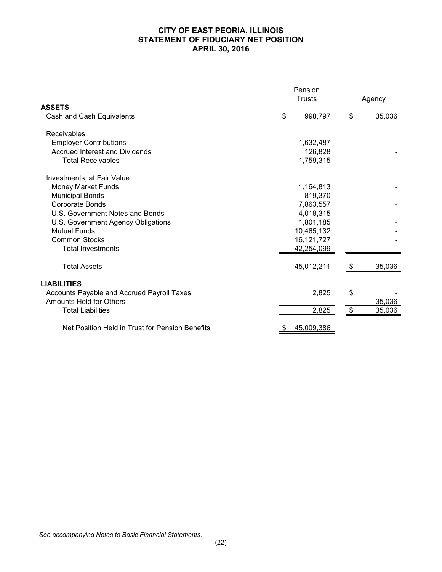# **CITY OF EAST PEORIA, ILLINOIS STATEMENT OF FIDUCIARY NET POSITION APRIL 30, 2016**

|                                                 | Pension |              | Agency        |        |  |
|-------------------------------------------------|---------|--------------|---------------|--------|--|
| <b>ASSETS</b>                                   |         |              |               |        |  |
| Cash and Cash Equivalents                       | \$      | 998,797      | \$            | 35,036 |  |
| Receivables:                                    |         |              |               |        |  |
| <b>Employer Contributions</b>                   |         | 1,632,487    |               |        |  |
| <b>Accrued Interest and Dividends</b>           |         | 126,828      |               |        |  |
| <b>Total Receivables</b>                        |         | 1,759,315    |               |        |  |
| Investments, at Fair Value:                     |         |              |               |        |  |
| <b>Money Market Funds</b>                       |         | 1,164,813    |               |        |  |
| <b>Municipal Bonds</b>                          |         | 819,370      |               |        |  |
| Corporate Bonds                                 |         | 7,863,557    |               |        |  |
| U.S. Government Notes and Bonds                 |         | 4,018,315    |               |        |  |
| U.S. Government Agency Obligations              |         | 1,801,185    |               |        |  |
| <b>Mutual Funds</b>                             |         | 10,465,132   |               |        |  |
| <b>Common Stocks</b>                            |         | 16, 121, 727 |               |        |  |
| <b>Total Investments</b>                        |         | 42,254,099   |               |        |  |
| <b>Total Assets</b>                             |         | 45,012,211   | - \$          | 35,036 |  |
| <b>LIABILITIES</b>                              |         |              |               |        |  |
| Accounts Payable and Accrued Payroll Taxes      |         | 2,825        | \$            |        |  |
| Amounts Held for Others                         |         |              |               | 35,036 |  |
| <b>Total Liabilities</b>                        |         | 2,825        | $\sqrt[6]{3}$ | 35,036 |  |
| Net Position Held in Trust for Pension Benefits |         | 45,009,386   |               |        |  |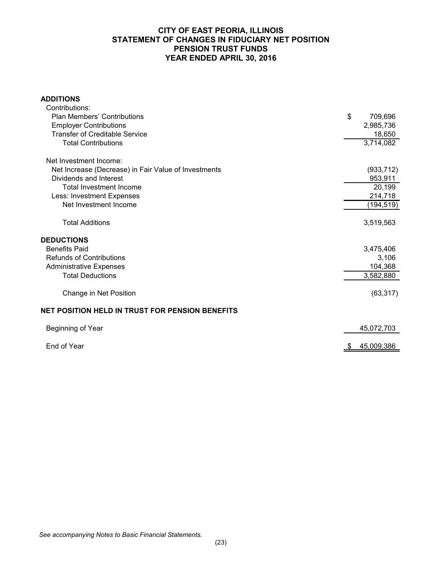## **CITY OF EAST PEORIA, ILLINOIS STATEMENT OF CHANGES IN FIDUCIARY NET POSITION PENSION TRUST FUNDS YEAR ENDED APRIL 30, 2016**

| Contributions:                                       |               |  |
|------------------------------------------------------|---------------|--|
| <b>Plan Members' Contributions</b>                   | \$<br>709,696 |  |
| <b>Employer Contributions</b>                        | 2,985,736     |  |
| <b>Transfer of Creditable Service</b>                | 18,650        |  |
| <b>Total Contributions</b>                           | 3,714,082     |  |
| Net Investment Income:                               |               |  |
| Net Increase (Decrease) in Fair Value of Investments | (933, 712)    |  |
| Dividends and Interest                               | 953,911       |  |
| <b>Total Investment Income</b>                       | 20,199        |  |
| Less: Investment Expenses                            | 214,718       |  |
| Net Investment Income                                | (194, 519)    |  |
| <b>Total Additions</b>                               | 3,519,563     |  |
| <b>DEDUCTIONS</b>                                    |               |  |
| <b>Benefits Paid</b>                                 | 3,475,406     |  |
| <b>Refunds of Contributions</b>                      | 3,106         |  |
| <b>Administrative Expenses</b>                       | 104,368       |  |
| <b>Total Deductions</b>                              | 3,582,880     |  |
| Change in Net Position                               | (63, 317)     |  |
| NET POSITION HELD IN TRUST FOR PENSION BENEFITS      |               |  |
|                                                      |               |  |

| Beginning of Year |    | 45,072,703 |
|-------------------|----|------------|
| End of Year       | S. | 45,009,386 |

**ADDITIONS**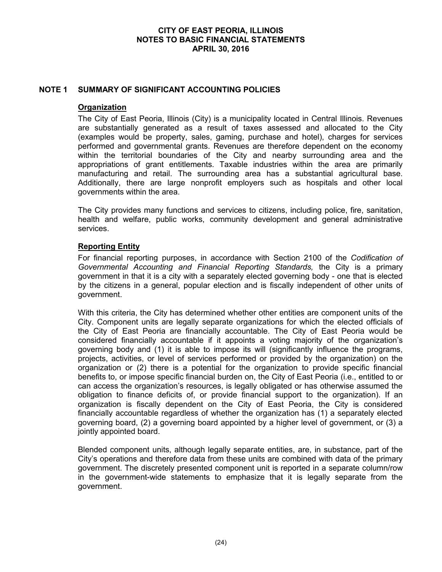## **NOTE 1 SUMMARY OF SIGNIFICANT ACCOUNTING POLICIES**

#### **Organization**

The City of East Peoria, Illinois (City) is a municipality located in Central Illinois. Revenues are substantially generated as a result of taxes assessed and allocated to the City (examples would be property, sales, gaming, purchase and hotel), charges for services performed and governmental grants. Revenues are therefore dependent on the economy within the territorial boundaries of the City and nearby surrounding area and the appropriations of grant entitlements. Taxable industries within the area are primarily manufacturing and retail. The surrounding area has a substantial agricultural base. Additionally, there are large nonprofit employers such as hospitals and other local governments within the area.

The City provides many functions and services to citizens, including police, fire, sanitation, health and welfare, public works, community development and general administrative services.

## **Reporting Entity**

For financial reporting purposes, in accordance with Section 2100 of the *Codification of Governmental Accounting and Financial Reporting Standards,* the City is a primary government in that it is a city with a separately elected governing body - one that is elected by the citizens in a general, popular election and is fiscally independent of other units of government.

With this criteria, the City has determined whether other entities are component units of the City. Component units are legally separate organizations for which the elected officials of the City of East Peoria are financially accountable. The City of East Peoria would be considered financially accountable if it appoints a voting majority of the organization's governing body and (1) it is able to impose its will (significantly influence the programs, projects, activities, or level of services performed or provided by the organization) on the organization or (2) there is a potential for the organization to provide specific financial benefits to, or impose specific financial burden on, the City of East Peoria (i.e., entitled to or can access the organization's resources, is legally obligated or has otherwise assumed the obligation to finance deficits of, or provide financial support to the organization). If an organization is fiscally dependent on the City of East Peoria, the City is considered financially accountable regardless of whether the organization has (1) a separately elected governing board, (2) a governing board appointed by a higher level of government, or (3) a jointly appointed board.

Blended component units, although legally separate entities, are, in substance, part of the City's operations and therefore data from these units are combined with data of the primary government. The discretely presented component unit is reported in a separate column/row in the government-wide statements to emphasize that it is legally separate from the government.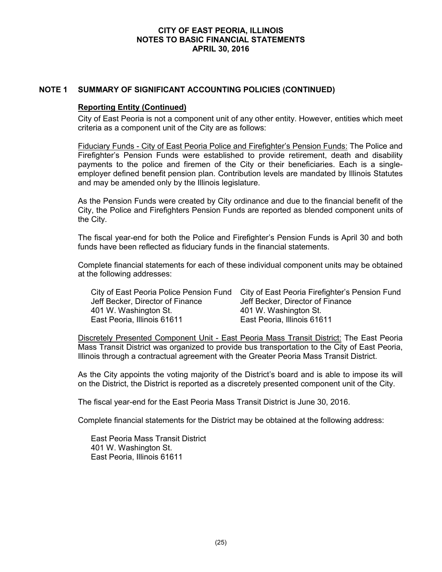## **NOTE 1 SUMMARY OF SIGNIFICANT ACCOUNTING POLICIES (CONTINUED)**

## **Reporting Entity (Continued)**

City of East Peoria is not a component unit of any other entity. However, entities which meet criteria as a component unit of the City are as follows:

Fiduciary Funds - City of East Peoria Police and Firefighter's Pension Funds: The Police and Firefighter's Pension Funds were established to provide retirement, death and disability payments to the police and firemen of the City or their beneficiaries. Each is a singleemployer defined benefit pension plan. Contribution levels are mandated by Illinois Statutes and may be amended only by the Illinois legislature.

As the Pension Funds were created by City ordinance and due to the financial benefit of the City, the Police and Firefighters Pension Funds are reported as blended component units of the City.

The fiscal year-end for both the Police and Firefighter's Pension Funds is April 30 and both funds have been reflected as fiduciary funds in the financial statements.

Complete financial statements for each of these individual component units may be obtained at the following addresses:

| City of East Peoria Police Pension Fund | City of East Peoria Firefighter's Pension Fund |
|-----------------------------------------|------------------------------------------------|
| Jeff Becker, Director of Finance        | Jeff Becker, Director of Finance               |
| 401 W. Washington St.                   | 401 W. Washington St.                          |
| East Peoria, Illinois 61611             | East Peoria, Illinois 61611                    |

Discretely Presented Component Unit - East Peoria Mass Transit District: The East Peoria Mass Transit District was organized to provide bus transportation to the City of East Peoria, Illinois through a contractual agreement with the Greater Peoria Mass Transit District.

As the City appoints the voting majority of the District's board and is able to impose its will on the District, the District is reported as a discretely presented component unit of the City.

The fiscal year-end for the East Peoria Mass Transit District is June 30, 2016.

Complete financial statements for the District may be obtained at the following address:

East Peoria Mass Transit District 401 W. Washington St. East Peoria, Illinois 61611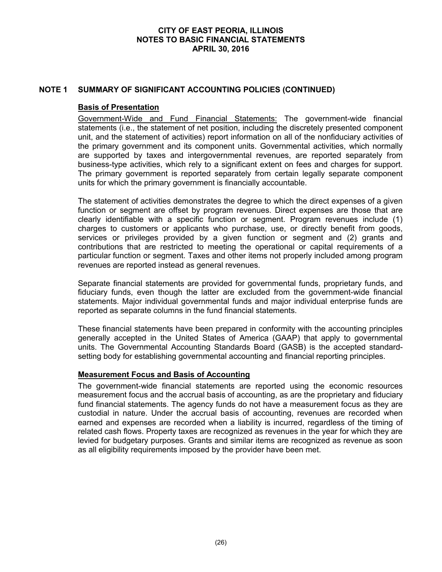## **NOTE 1 SUMMARY OF SIGNIFICANT ACCOUNTING POLICIES (CONTINUED)**

#### **Basis of Presentation**

Government-Wide and Fund Financial Statements: The government-wide financial statements (i.e., the statement of net position, including the discretely presented component unit, and the statement of activities) report information on all of the nonfiduciary activities of the primary government and its component units. Governmental activities, which normally are supported by taxes and intergovernmental revenues, are reported separately from business-type activities, which rely to a significant extent on fees and charges for support. The primary government is reported separately from certain legally separate component units for which the primary government is financially accountable.

The statement of activities demonstrates the degree to which the direct expenses of a given function or segment are offset by program revenues. Direct expenses are those that are clearly identifiable with a specific function or segment. Program revenues include (1) charges to customers or applicants who purchase, use, or directly benefit from goods, services or privileges provided by a given function or segment and (2) grants and contributions that are restricted to meeting the operational or capital requirements of a particular function or segment. Taxes and other items not properly included among program revenues are reported instead as general revenues.

Separate financial statements are provided for governmental funds, proprietary funds, and fiduciary funds, even though the latter are excluded from the government-wide financial statements. Major individual governmental funds and major individual enterprise funds are reported as separate columns in the fund financial statements.

These financial statements have been prepared in conformity with the accounting principles generally accepted in the United States of America (GAAP) that apply to governmental units. The Governmental Accounting Standards Board (GASB) is the accepted standardsetting body for establishing governmental accounting and financial reporting principles.

#### **Measurement Focus and Basis of Accounting**

The government-wide financial statements are reported using the economic resources measurement focus and the accrual basis of accounting, as are the proprietary and fiduciary fund financial statements. The agency funds do not have a measurement focus as they are custodial in nature. Under the accrual basis of accounting, revenues are recorded when earned and expenses are recorded when a liability is incurred, regardless of the timing of related cash flows. Property taxes are recognized as revenues in the year for which they are levied for budgetary purposes. Grants and similar items are recognized as revenue as soon as all eligibility requirements imposed by the provider have been met.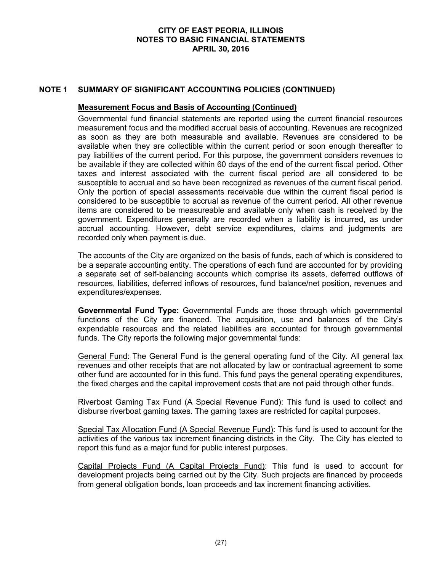## **NOTE 1 SUMMARY OF SIGNIFICANT ACCOUNTING POLICIES (CONTINUED)**

#### **Measurement Focus and Basis of Accounting (Continued)**

Governmental fund financial statements are reported using the current financial resources measurement focus and the modified accrual basis of accounting. Revenues are recognized as soon as they are both measurable and available. Revenues are considered to be available when they are collectible within the current period or soon enough thereafter to pay liabilities of the current period. For this purpose, the government considers revenues to be available if they are collected within 60 days of the end of the current fiscal period. Other taxes and interest associated with the current fiscal period are all considered to be susceptible to accrual and so have been recognized as revenues of the current fiscal period. Only the portion of special assessments receivable due within the current fiscal period is considered to be susceptible to accrual as revenue of the current period. All other revenue items are considered to be measureable and available only when cash is received by the government. Expenditures generally are recorded when a liability is incurred, as under accrual accounting. However, debt service expenditures, claims and judgments are recorded only when payment is due.

The accounts of the City are organized on the basis of funds, each of which is considered to be a separate accounting entity. The operations of each fund are accounted for by providing a separate set of self-balancing accounts which comprise its assets, deferred outflows of resources, liabilities, deferred inflows of resources, fund balance/net position, revenues and expenditures/expenses.

**Governmental Fund Type:** Governmental Funds are those through which governmental functions of the City are financed. The acquisition, use and balances of the City's expendable resources and the related liabilities are accounted for through governmental funds. The City reports the following major governmental funds:

General Fund: The General Fund is the general operating fund of the City. All general tax revenues and other receipts that are not allocated by law or contractual agreement to some other fund are accounted for in this fund. This fund pays the general operating expenditures, the fixed charges and the capital improvement costs that are not paid through other funds.

Riverboat Gaming Tax Fund (A Special Revenue Fund): This fund is used to collect and disburse riverboat gaming taxes. The gaming taxes are restricted for capital purposes.

Special Tax Allocation Fund (A Special Revenue Fund): This fund is used to account for the activities of the various tax increment financing districts in the City. The City has elected to report this fund as a major fund for public interest purposes.

Capital Projects Fund (A Capital Projects Fund): This fund is used to account for development projects being carried out by the City. Such projects are financed by proceeds from general obligation bonds, loan proceeds and tax increment financing activities.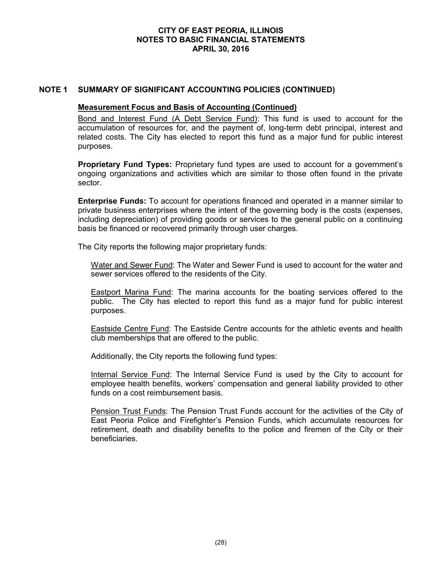## **NOTE 1 SUMMARY OF SIGNIFICANT ACCOUNTING POLICIES (CONTINUED)**

#### **Measurement Focus and Basis of Accounting (Continued)**

Bond and Interest Fund (A Debt Service Fund): This fund is used to account for the accumulation of resources for, and the payment of, long-term debt principal, interest and related costs. The City has elected to report this fund as a major fund for public interest purposes.

**Proprietary Fund Types:** Proprietary fund types are used to account for a government's ongoing organizations and activities which are similar to those often found in the private sector.

**Enterprise Funds:** To account for operations financed and operated in a manner similar to private business enterprises where the intent of the governing body is the costs (expenses, including depreciation) of providing goods or services to the general public on a continuing basis be financed or recovered primarily through user charges.

The City reports the following major proprietary funds:

Water and Sewer Fund: The Water and Sewer Fund is used to account for the water and sewer services offered to the residents of the City.

Eastport Marina Fund: The marina accounts for the boating services offered to the public. The City has elected to report this fund as a major fund for public interest purposes.

Eastside Centre Fund: The Eastside Centre accounts for the athletic events and health club memberships that are offered to the public.

Additionally, the City reports the following fund types:

Internal Service Fund: The Internal Service Fund is used by the City to account for employee health benefits, workers' compensation and general liability provided to other funds on a cost reimbursement basis.

Pension Trust Funds: The Pension Trust Funds account for the activities of the City of East Peoria Police and Firefighter's Pension Funds, which accumulate resources for retirement, death and disability benefits to the police and firemen of the City or their beneficiaries.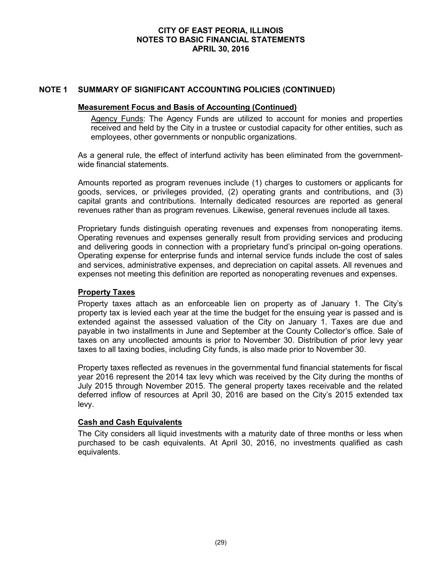## **NOTE 1 SUMMARY OF SIGNIFICANT ACCOUNTING POLICIES (CONTINUED)**

#### **Measurement Focus and Basis of Accounting (Continued)**

Agency Funds: The Agency Funds are utilized to account for monies and properties received and held by the City in a trustee or custodial capacity for other entities, such as employees, other governments or nonpublic organizations.

As a general rule, the effect of interfund activity has been eliminated from the governmentwide financial statements.

Amounts reported as program revenues include (1) charges to customers or applicants for goods, services, or privileges provided, (2) operating grants and contributions, and (3) capital grants and contributions. Internally dedicated resources are reported as general revenues rather than as program revenues. Likewise, general revenues include all taxes.

Proprietary funds distinguish operating revenues and expenses from nonoperating items. Operating revenues and expenses generally result from providing services and producing and delivering goods in connection with a proprietary fund's principal on-going operations. Operating expense for enterprise funds and internal service funds include the cost of sales and services, administrative expenses, and depreciation on capital assets. All revenues and expenses not meeting this definition are reported as nonoperating revenues and expenses.

#### **Property Taxes**

Property taxes attach as an enforceable lien on property as of January 1. The City's property tax is levied each year at the time the budget for the ensuing year is passed and is extended against the assessed valuation of the City on January 1. Taxes are due and payable in two installments in June and September at the County Collector's office. Sale of taxes on any uncollected amounts is prior to November 30. Distribution of prior levy year taxes to all taxing bodies, including City funds, is also made prior to November 30.

Property taxes reflected as revenues in the governmental fund financial statements for fiscal year 2016 represent the 2014 tax levy which was received by the City during the months of July 2015 through November 2015. The general property taxes receivable and the related deferred inflow of resources at April 30, 2016 are based on the City's 2015 extended tax levy.

#### **Cash and Cash Equivalents**

The City considers all liquid investments with a maturity date of three months or less when purchased to be cash equivalents. At April 30, 2016, no investments qualified as cash equivalents.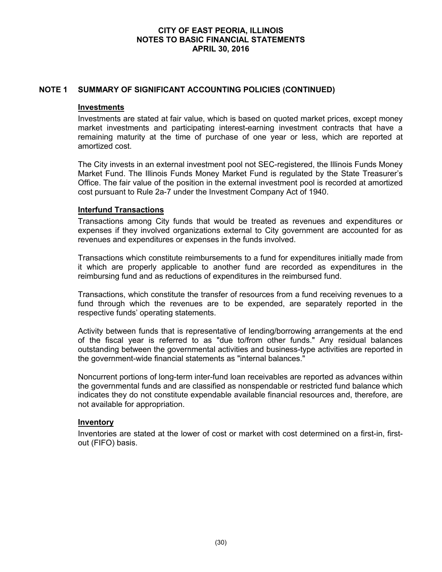## **NOTE 1 SUMMARY OF SIGNIFICANT ACCOUNTING POLICIES (CONTINUED)**

#### **Investments**

Investments are stated at fair value, which is based on quoted market prices, except money market investments and participating interest-earning investment contracts that have a remaining maturity at the time of purchase of one year or less, which are reported at amortized cost.

The City invests in an external investment pool not SEC-registered, the Illinois Funds Money Market Fund. The Illinois Funds Money Market Fund is regulated by the State Treasurer's Office. The fair value of the position in the external investment pool is recorded at amortized cost pursuant to Rule 2a-7 under the Investment Company Act of 1940.

## **Interfund Transactions**

Transactions among City funds that would be treated as revenues and expenditures or expenses if they involved organizations external to City government are accounted for as revenues and expenditures or expenses in the funds involved.

Transactions which constitute reimbursements to a fund for expenditures initially made from it which are properly applicable to another fund are recorded as expenditures in the reimbursing fund and as reductions of expenditures in the reimbursed fund.

Transactions, which constitute the transfer of resources from a fund receiving revenues to a fund through which the revenues are to be expended, are separately reported in the respective funds' operating statements.

Activity between funds that is representative of lending/borrowing arrangements at the end of the fiscal year is referred to as "due to/from other funds." Any residual balances outstanding between the governmental activities and business-type activities are reported in the government-wide financial statements as "internal balances."

Noncurrent portions of long-term inter-fund loan receivables are reported as advances within the governmental funds and are classified as nonspendable or restricted fund balance which indicates they do not constitute expendable available financial resources and, therefore, are not available for appropriation.

#### **Inventory**

Inventories are stated at the lower of cost or market with cost determined on a first-in, firstout (FIFO) basis.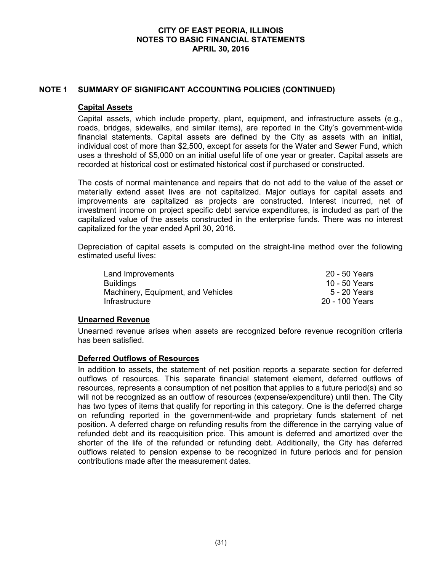## **NOTE 1 SUMMARY OF SIGNIFICANT ACCOUNTING POLICIES (CONTINUED)**

#### **Capital Assets**

Capital assets, which include property, plant, equipment, and infrastructure assets (e.g., roads, bridges, sidewalks, and similar items), are reported in the City's government-wide financial statements. Capital assets are defined by the City as assets with an initial, individual cost of more than \$2,500, except for assets for the Water and Sewer Fund, which uses a threshold of \$5,000 on an initial useful life of one year or greater. Capital assets are recorded at historical cost or estimated historical cost if purchased or constructed.

The costs of normal maintenance and repairs that do not add to the value of the asset or materially extend asset lives are not capitalized. Major outlays for capital assets and improvements are capitalized as projects are constructed. Interest incurred, net of investment income on project specific debt service expenditures, is included as part of the capitalized value of the assets constructed in the enterprise funds. There was no interest capitalized for the year ended April 30, 2016.

Depreciation of capital assets is computed on the straight-line method over the following estimated useful lives:

| Land Improvements                  | 20 - 50 Years  |
|------------------------------------|----------------|
| <b>Buildings</b>                   | 10 - 50 Years  |
| Machinery, Equipment, and Vehicles | 5 - 20 Years   |
| Infrastructure                     | 20 - 100 Years |

#### **Unearned Revenue**

Unearned revenue arises when assets are recognized before revenue recognition criteria has been satisfied.

#### **Deferred Outflows of Resources**

In addition to assets, the statement of net position reports a separate section for deferred outflows of resources. This separate financial statement element, deferred outflows of resources, represents a consumption of net position that applies to a future period(s) and so will not be recognized as an outflow of resources (expense/expenditure) until then. The City has two types of items that qualify for reporting in this category. One is the deferred charge on refunding reported in the government-wide and proprietary funds statement of net position. A deferred charge on refunding results from the difference in the carrying value of refunded debt and its reacquisition price. This amount is deferred and amortized over the shorter of the life of the refunded or refunding debt. Additionally, the City has deferred outflows related to pension expense to be recognized in future periods and for pension contributions made after the measurement dates.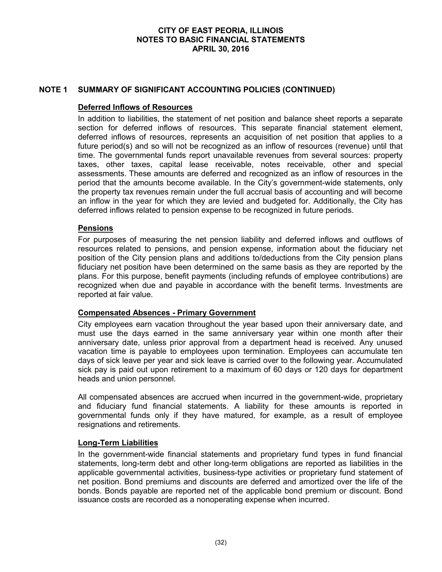## **NOTE 1 SUMMARY OF SIGNIFICANT ACCOUNTING POLICIES (CONTINUED)**

#### **Deferred Inflows of Resources**

In addition to liabilities, the statement of net position and balance sheet reports a separate section for deferred inflows of resources. This separate financial statement element, deferred inflows of resources, represents an acquisition of net position that applies to a future period(s) and so will not be recognized as an inflow of resources (revenue) until that time. The governmental funds report unavailable revenues from several sources: property taxes, other taxes, capital lease receivable, notes receivable, other and special assessments. These amounts are deferred and recognized as an inflow of resources in the period that the amounts become available. In the City's government-wide statements, only the property tax revenues remain under the full accrual basis of accounting and will become an inflow in the year for which they are levied and budgeted for. Additionally, the City has deferred inflows related to pension expense to be recognized in future periods.

## **Pensions**

For purposes of measuring the net pension liability and deferred inflows and outflows of resources related to pensions, and pension expense, information about the fiduciary net position of the City pension plans and additions to/deductions from the City pension plans fiduciary net position have been determined on the same basis as they are reported by the plans. For this purpose, benefit payments (including refunds of employee contributions) are recognized when due and payable in accordance with the benefit terms. Investments are reported at fair value.

#### **Compensated Absences - Primary Government**

City employees earn vacation throughout the year based upon their anniversary date, and must use the days earned in the same anniversary year within one month after their anniversary date, unless prior approval from a department head is received. Any unused vacation time is payable to employees upon termination. Employees can accumulate ten days of sick leave per year and sick leave is carried over to the following year. Accumulated sick pay is paid out upon retirement to a maximum of 60 days or 120 days for department heads and union personnel.

All compensated absences are accrued when incurred in the government-wide, proprietary and fiduciary fund financial statements. A liability for these amounts is reported in governmental funds only if they have matured, for example, as a result of employee resignations and retirements.

#### **Long-Term Liabilities**

In the government-wide financial statements and proprietary fund types in fund financial statements, long-term debt and other long-term obligations are reported as liabilities in the applicable governmental activities, business-type activities or proprietary fund statement of net position. Bond premiums and discounts are deferred and amortized over the life of the bonds. Bonds payable are reported net of the applicable bond premium or discount. Bond issuance costs are recorded as a nonoperating expense when incurred.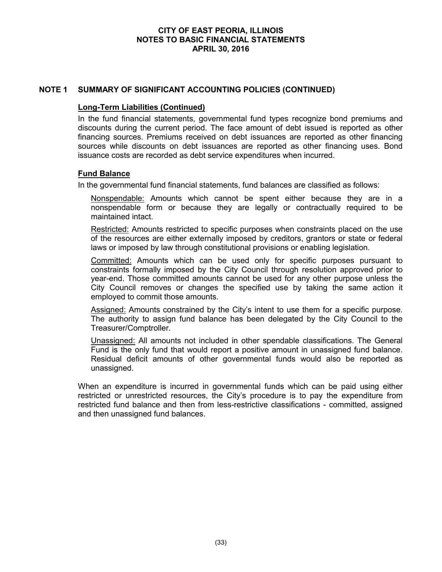## **NOTE 1 SUMMARY OF SIGNIFICANT ACCOUNTING POLICIES (CONTINUED)**

#### **Long-Term Liabilities (Continued)**

In the fund financial statements, governmental fund types recognize bond premiums and discounts during the current period. The face amount of debt issued is reported as other financing sources. Premiums received on debt issuances are reported as other financing sources while discounts on debt issuances are reported as other financing uses. Bond issuance costs are recorded as debt service expenditures when incurred.

## **Fund Balance**

In the governmental fund financial statements, fund balances are classified as follows:

Nonspendable: Amounts which cannot be spent either because they are in a nonspendable form or because they are legally or contractually required to be maintained intact.

Restricted: Amounts restricted to specific purposes when constraints placed on the use of the resources are either externally imposed by creditors, grantors or state or federal laws or imposed by law through constitutional provisions or enabling legislation.

Committed: Amounts which can be used only for specific purposes pursuant to constraints formally imposed by the City Council through resolution approved prior to year-end. Those committed amounts cannot be used for any other purpose unless the City Council removes or changes the specified use by taking the same action it employed to commit those amounts.

Assigned: Amounts constrained by the City's intent to use them for a specific purpose. The authority to assign fund balance has been delegated by the City Council to the Treasurer/Comptroller.

Unassigned: All amounts not included in other spendable classifications. The General Fund is the only fund that would report a positive amount in unassigned fund balance. Residual deficit amounts of other governmental funds would also be reported as unassigned.

When an expenditure is incurred in governmental funds which can be paid using either restricted or unrestricted resources, the City's procedure is to pay the expenditure from restricted fund balance and then from less-restrictive classifications - committed, assigned and then unassigned fund balances.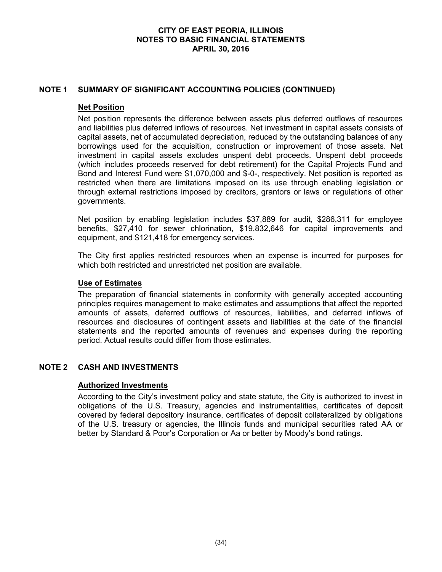# **NOTE 1 SUMMARY OF SIGNIFICANT ACCOUNTING POLICIES (CONTINUED)**

# **Net Position**

Net position represents the difference between assets plus deferred outflows of resources and liabilities plus deferred inflows of resources. Net investment in capital assets consists of capital assets, net of accumulated depreciation, reduced by the outstanding balances of any borrowings used for the acquisition, construction or improvement of those assets. Net investment in capital assets excludes unspent debt proceeds. Unspent debt proceeds (which includes proceeds reserved for debt retirement) for the Capital Projects Fund and Bond and Interest Fund were \$1,070,000 and \$-0-, respectively. Net position is reported as restricted when there are limitations imposed on its use through enabling legislation or through external restrictions imposed by creditors, grantors or laws or regulations of other governments.

Net position by enabling legislation includes \$37,889 for audit, \$286,311 for employee benefits, \$27,410 for sewer chlorination, \$19,832,646 for capital improvements and equipment, and \$121,418 for emergency services.

The City first applies restricted resources when an expense is incurred for purposes for which both restricted and unrestricted net position are available.

# **Use of Estimates**

The preparation of financial statements in conformity with generally accepted accounting principles requires management to make estimates and assumptions that affect the reported amounts of assets, deferred outflows of resources, liabilities, and deferred inflows of resources and disclosures of contingent assets and liabilities at the date of the financial statements and the reported amounts of revenues and expenses during the reporting period. Actual results could differ from those estimates.

# **NOTE 2 CASH AND INVESTMENTS**

#### **Authorized Investments**

According to the City's investment policy and state statute, the City is authorized to invest in obligations of the U.S. Treasury, agencies and instrumentalities, certificates of deposit covered by federal depository insurance, certificates of deposit collateralized by obligations of the U.S. treasury or agencies, the Illinois funds and municipal securities rated AA or better by Standard & Poor's Corporation or Aa or better by Moody's bond ratings.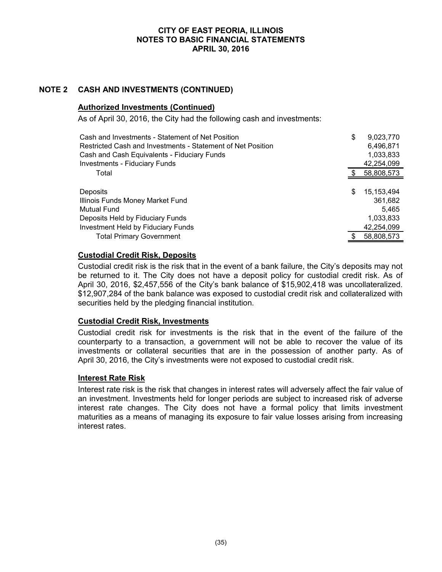# **NOTE 2 CASH AND INVESTMENTS (CONTINUED)**

### **Authorized Investments (Continued)**

As of April 30, 2016, the City had the following cash and investments:

| Cash and Investments - Statement of Net Position<br>Restricted Cash and Investments - Statement of Net Position<br>Cash and Cash Equivalents - Fiduciary Funds<br><b>Investments - Fiduciary Funds</b> | \$  | 9,023,770<br>6,496,871<br>1,033,833<br>42,254,099           |
|--------------------------------------------------------------------------------------------------------------------------------------------------------------------------------------------------------|-----|-------------------------------------------------------------|
| Total                                                                                                                                                                                                  |     | 58,808,573                                                  |
| <b>Deposits</b><br>Illinois Funds Money Market Fund<br>Mutual Fund<br>Deposits Held by Fiduciary Funds<br>Investment Held by Fiduciary Funds                                                           | \$. | 15, 153, 494<br>361,682<br>5.465<br>1,033,833<br>42,254,099 |
| <b>Total Primary Government</b>                                                                                                                                                                        |     | 58,808,573                                                  |

# **Custodial Credit Risk, Deposits**

Custodial credit risk is the risk that in the event of a bank failure, the City's deposits may not be returned to it. The City does not have a deposit policy for custodial credit risk. As of April 30, 2016, \$2,457,556 of the City's bank balance of \$15,902,418 was uncollateralized. \$12,907,284 of the bank balance was exposed to custodial credit risk and collateralized with securities held by the pledging financial institution.

# **Custodial Credit Risk, Investments**

Custodial credit risk for investments is the risk that in the event of the failure of the counterparty to a transaction, a government will not be able to recover the value of its investments or collateral securities that are in the possession of another party. As of April 30, 2016, the City's investments were not exposed to custodial credit risk.

#### **Interest Rate Risk**

Interest rate risk is the risk that changes in interest rates will adversely affect the fair value of an investment. Investments held for longer periods are subject to increased risk of adverse interest rate changes. The City does not have a formal policy that limits investment maturities as a means of managing its exposure to fair value losses arising from increasing interest rates.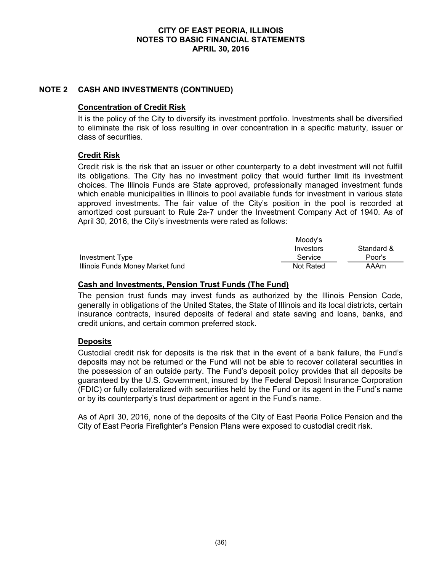# **NOTE 2 CASH AND INVESTMENTS (CONTINUED)**

# **Concentration of Credit Risk**

It is the policy of the City to diversify its investment portfolio. Investments shall be diversified to eliminate the risk of loss resulting in over concentration in a specific maturity, issuer or class of securities.

# **Credit Risk**

Credit risk is the risk that an issuer or other counterparty to a debt investment will not fulfill its obligations. The City has no investment policy that would further limit its investment choices. The Illinois Funds are State approved, professionally managed investment funds which enable municipalities in Illinois to pool available funds for investment in various state approved investments. The fair value of the City's position in the pool is recorded at amortized cost pursuant to Rule 2a-7 under the Investment Company Act of 1940. As of April 30, 2016, the City's investments were rated as follows:

|                                  | Moody's   |            |
|----------------------------------|-----------|------------|
|                                  | Investors | Standard & |
| Investment Type                  | Service   | Poor's     |
| Illinois Funds Money Market fund | Not Rated | AAAm       |

### **Cash and Investments, Pension Trust Funds (The Fund)**

The pension trust funds may invest funds as authorized by the Illinois Pension Code, generally in obligations of the United States, the State of Illinois and its local districts, certain insurance contracts, insured deposits of federal and state saving and loans, banks, and credit unions, and certain common preferred stock.

# **Deposits**

Custodial credit risk for deposits is the risk that in the event of a bank failure, the Fund's deposits may not be returned or the Fund will not be able to recover collateral securities in the possession of an outside party. The Fund's deposit policy provides that all deposits be guaranteed by the U.S. Government, insured by the Federal Deposit Insurance Corporation (FDIC) or fully collateralized with securities held by the Fund or its agent in the Fund's name or by its counterparty's trust department or agent in the Fund's name.

As of April 30, 2016, none of the deposits of the City of East Peoria Police Pension and the City of East Peoria Firefighter's Pension Plans were exposed to custodial credit risk.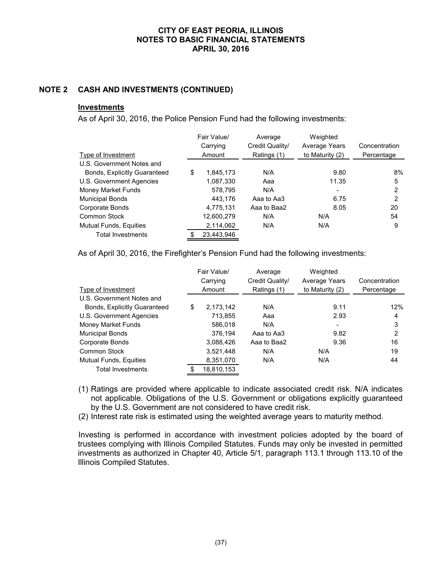# **NOTE 2 CASH AND INVESTMENTS (CONTINUED)**

#### **Investments**

As of April 30, 2016, the Police Pension Fund had the following investments:

|                               | Fair Value/     | Average         | Weighted        |               |
|-------------------------------|-----------------|-----------------|-----------------|---------------|
|                               | Carrying        | Credit Quality/ | Average Years   | Concentration |
| Type of Investment            | Amount          | Ratings (1)     | to Maturity (2) | Percentage    |
| U.S. Government Notes and     |                 |                 |                 |               |
| Bonds, Explicitly Guaranteed  | \$<br>1.845.173 | N/A             | 9.80            | 8%            |
| U.S. Government Agencies      | 1,087,330       | Aaa             | 11.35           | 5             |
| Money Market Funds            | 578,795         | N/A             | -               | 2             |
| <b>Municipal Bonds</b>        | 443,176         | Aaa to Aa3      | 6.75            | 2             |
| Corporate Bonds               | 4.775.131       | Aaa to Baa2     | 8.05            | 20            |
| Common Stock                  | 12,600,279      | N/A             | N/A             | 54            |
| <b>Mutual Funds, Equities</b> | 2,114,062       | N/A             | N/A             | 9             |
| <b>Total Investments</b>      | 23,443,946      |                 |                 |               |

As of April 30, 2016, the Firefighter's Pension Fund had the following investments:

|                              | Fair Value/<br>Carrying | Average<br>Credit Quality/ | Weighted<br>Average Years | Concentration |
|------------------------------|-------------------------|----------------------------|---------------------------|---------------|
| <b>Type of Investment</b>    | Amount                  | Ratings (1)                | to Maturity (2)           | Percentage    |
| U.S. Government Notes and    |                         |                            |                           |               |
| Bonds, Explicitly Guaranteed | \$<br>2,173,142         | N/A                        | 9.11                      | 12%           |
| U.S. Government Agencies     | 713,855                 | Aaa                        | 2.93                      | 4             |
| Money Market Funds           | 586.018                 | N/A                        | -                         | 3             |
| <b>Municipal Bonds</b>       | 376.194                 | Aaa to Aa3                 | 9.82                      | 2             |
| Corporate Bonds              | 3,088,426               | Aaa to Baa2                | 9.36                      | 16            |
| Common Stock                 | 3,521,448               | N/A                        | N/A                       | 19            |
| Mutual Funds, Equities       | 8,351,070               | N/A                        | N/A                       | 44            |
| <b>Total Investments</b>     | 18,810,153              |                            |                           |               |

- (1) Ratings are provided where applicable to indicate associated credit risk. N/A indicates not applicable. Obligations of the U.S. Government or obligations explicitly guaranteed by the U.S. Government are not considered to have credit risk.
- (2) Interest rate risk is estimated using the weighted average years to maturity method.

Investing is performed in accordance with investment policies adopted by the board of trustees complying with Illinois Compiled Statutes. Funds may only be invested in permitted investments as authorized in Chapter 40, Article 5/1, paragraph 113.1 through 113.10 of the Illinois Compiled Statutes.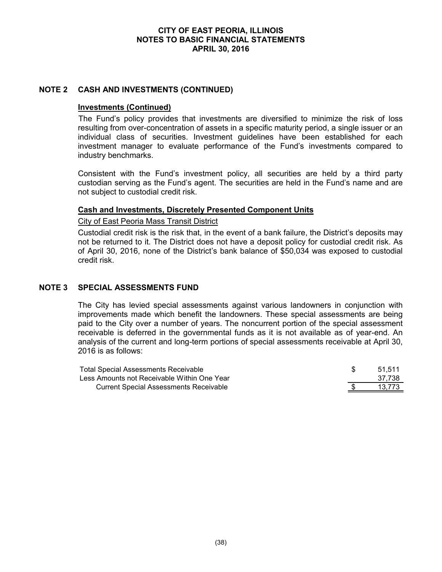### **NOTE 2 CASH AND INVESTMENTS (CONTINUED)**

#### **Investments (Continued)**

The Fund's policy provides that investments are diversified to minimize the risk of loss resulting from over-concentration of assets in a specific maturity period, a single issuer or an individual class of securities. Investment guidelines have been established for each investment manager to evaluate performance of the Fund's investments compared to industry benchmarks.

Consistent with the Fund's investment policy, all securities are held by a third party custodian serving as the Fund's agent. The securities are held in the Fund's name and are not subject to custodial credit risk.

#### **Cash and Investments, Discretely Presented Component Units**

#### City of East Peoria Mass Transit District

Custodial credit risk is the risk that, in the event of a bank failure, the District's deposits may not be returned to it. The District does not have a deposit policy for custodial credit risk. As of April 30, 2016, none of the District's bank balance of \$50,034 was exposed to custodial credit risk.

#### **NOTE 3 SPECIAL ASSESSMENTS FUND**

The City has levied special assessments against various landowners in conjunction with improvements made which benefit the landowners. These special assessments are being paid to the City over a number of years. The noncurrent portion of the special assessment receivable is deferred in the governmental funds as it is not available as of year-end. An analysis of the current and long-term portions of special assessments receivable at April 30, 2016 is as follows:

| Total Special Assessments Receivable          | 51.511 |
|-----------------------------------------------|--------|
| Less Amounts not Receivable Within One Year   | 37.738 |
| <b>Current Special Assessments Receivable</b> | 13.773 |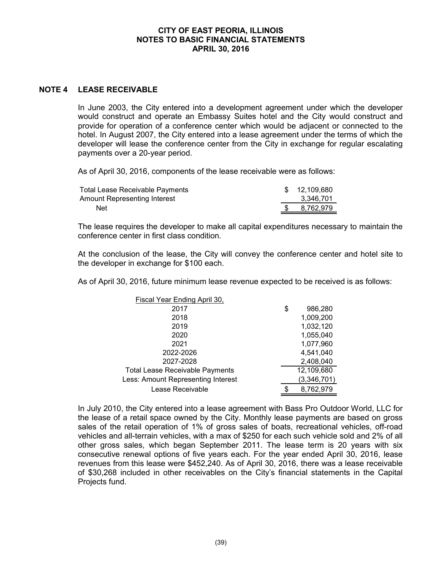# **NOTE 4 LEASE RECEIVABLE**

In June 2003, the City entered into a development agreement under which the developer would construct and operate an Embassy Suites hotel and the City would construct and provide for operation of a conference center which would be adjacent or connected to the hotel. In August 2007, the City entered into a lease agreement under the terms of which the developer will lease the conference center from the City in exchange for regular escalating payments over a 20-year period.

As of April 30, 2016, components of the lease receivable were as follows:

| <b>Total Lease Receivable Payments</b> | \$ 12.109.680 |
|----------------------------------------|---------------|
| Amount Representing Interest           | 3,346,701     |
| Net                                    | 8.762.979     |

The lease requires the developer to make all capital expenditures necessary to maintain the conference center in first class condition.

At the conclusion of the lease, the City will convey the conference center and hotel site to the developer in exchange for \$100 each.

As of April 30, 2016, future minimum lease revenue expected to be received is as follows:

| Fiscal Year Ending April 30,           |                 |
|----------------------------------------|-----------------|
| 2017                                   | \$<br>986,280   |
| 2018                                   | 1,009,200       |
| 2019                                   | 1,032,120       |
| 2020                                   | 1,055,040       |
| 2021                                   | 1,077,960       |
| 2022-2026                              | 4,541,040       |
| 2027-2028                              | 2,408,040       |
| <b>Total Lease Receivable Payments</b> | 12,109,680      |
| Less: Amount Representing Interest     | (3,346,701)     |
| Lease Receivable                       | \$<br>8,762,979 |

In July 2010, the City entered into a lease agreement with Bass Pro Outdoor World, LLC for the lease of a retail space owned by the City. Monthly lease payments are based on gross sales of the retail operation of 1% of gross sales of boats, recreational vehicles, off-road vehicles and all-terrain vehicles, with a max of \$250 for each such vehicle sold and 2% of all other gross sales, which began September 2011. The lease term is 20 years with six consecutive renewal options of five years each. For the year ended April 30, 2016, lease revenues from this lease were \$452,240. As of April 30, 2016, there was a lease receivable of \$30,268 included in other receivables on the City's financial statements in the Capital Projects fund.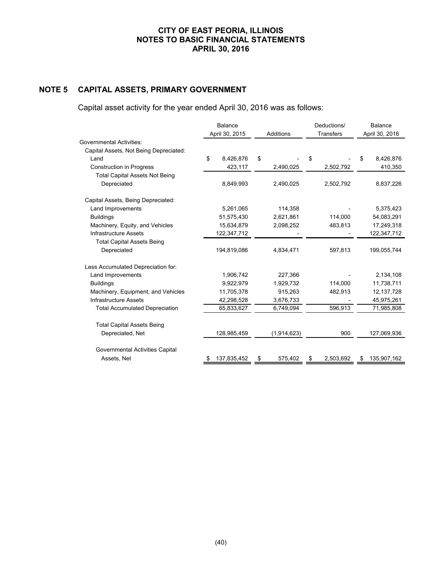# **NOTE 5 CAPITAL ASSETS, PRIMARY GOVERNMENT**

Capital asset activity for the year ended April 30, 2016 was as follows:

|                                        | <b>Balance</b> |                |    |             | Deductions/ | <b>Balance</b> |                |             |
|----------------------------------------|----------------|----------------|----|-------------|-------------|----------------|----------------|-------------|
|                                        |                | April 30, 2015 |    | Additions   |             | Transfers      | April 30, 2016 |             |
| Governmental Activities:               |                |                |    |             |             |                |                |             |
| Capital Assets, Not Being Depreciated: |                |                |    |             |             |                |                |             |
| Land                                   | \$             | 8,426,876      | \$ |             | S           |                | S              | 8,426,876   |
| <b>Construction in Progress</b>        |                | 423,117        |    | 2,490,025   |             | 2,502,792      |                | 410,350     |
| <b>Total Capital Assets Not Being</b>  |                |                |    |             |             |                |                |             |
| Depreciated                            |                | 8,849,993      |    | 2,490,025   |             | 2,502,792      |                | 8,837,226   |
| Capital Assets, Being Depreciated:     |                |                |    |             |             |                |                |             |
| Land Improvements                      |                | 5,261,065      |    | 114,358     |             |                |                | 5,375,423   |
| <b>Buildings</b>                       |                | 51,575,430     |    | 2,621,861   |             | 114,000        |                | 54,083,291  |
| Machinery, Equity, and Vehicles        |                | 15,634,879     |    | 2,098,252   |             | 483,813        |                | 17,249,318  |
| <b>Infrastructure Assets</b>           |                | 122,347,712    |    |             |             |                |                | 122,347,712 |
| <b>Total Capital Assets Being</b>      |                |                |    |             |             |                |                |             |
| Depreciated                            |                | 194,819,086    |    | 4,834,471   |             | 597,813        |                | 199,055,744 |
| Less Accumulated Depreciation for:     |                |                |    |             |             |                |                |             |
| Land Improvements                      |                | 1,906,742      |    | 227,366     |             |                |                | 2,134,108   |
| <b>Buildings</b>                       |                | 9,922,979      |    | 1,929,732   |             | 114,000        |                | 11,738,711  |
| Machinery, Equipment, and Vehicles     |                | 11,705,378     |    | 915,263     |             | 482,913        |                | 12,137,728  |
| <b>Infrastructure Assets</b>           |                | 42,298,528     |    | 3,676,733   |             |                |                | 45,975,261  |
| <b>Total Accumulated Depreciation</b>  |                | 65,833,627     |    | 6,749,094   |             | 596,913        |                | 71,985,808  |
| <b>Total Capital Assets Being</b>      |                |                |    |             |             |                |                |             |
| Depreciated, Net                       |                | 128,985,459    |    | (1,914,623) |             | 900            |                | 127,069,936 |
| Governmental Activities Capital        |                |                |    |             |             |                |                |             |
| Assets, Net                            | \$             | 137,835,452    | S  | 575,402     | S           | 2,503,692      | S              | 135,907,162 |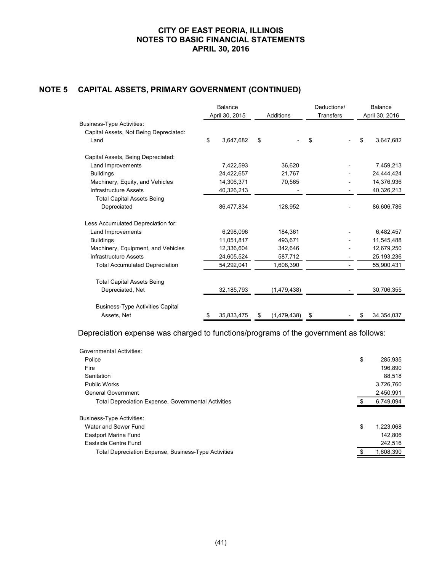# **NOTE 5 CAPITAL ASSETS, PRIMARY GOVERNMENT (CONTINUED)**

|                                         | <b>Balance</b><br>April 30, 2015 |            | Additions   | Deductions/<br><b>Transfers</b> | <b>Balance</b><br>April 30, 2016 |            |  |  |
|-----------------------------------------|----------------------------------|------------|-------------|---------------------------------|----------------------------------|------------|--|--|
| <b>Business-Type Activities:</b>        |                                  |            |             |                                 |                                  |            |  |  |
| Capital Assets, Not Being Depreciated:  |                                  |            |             |                                 |                                  |            |  |  |
| Land                                    | \$                               | 3,647,682  | \$          | \$                              | \$                               | 3,647,682  |  |  |
| Capital Assets, Being Depreciated:      |                                  |            |             |                                 |                                  |            |  |  |
| Land Improvements                       |                                  | 7,422,593  | 36,620      |                                 |                                  | 7,459,213  |  |  |
| <b>Buildings</b>                        |                                  | 24,422,657 | 21,767      |                                 |                                  | 24,444,424 |  |  |
| Machinery, Equity, and Vehicles         |                                  | 14,306,371 | 70,565      |                                 |                                  | 14,376,936 |  |  |
| <b>Infrastructure Assets</b>            |                                  | 40,326,213 |             |                                 |                                  | 40,326,213 |  |  |
| <b>Total Capital Assets Being</b>       |                                  |            |             |                                 |                                  |            |  |  |
| Depreciated                             |                                  | 86,477,834 | 128,952     |                                 |                                  | 86,606,786 |  |  |
| Less Accumulated Depreciation for:      |                                  |            |             |                                 |                                  |            |  |  |
| Land Improvements                       |                                  | 6,298,096  | 184,361     |                                 |                                  | 6,482,457  |  |  |
| <b>Buildings</b>                        |                                  | 11,051,817 | 493,671     |                                 |                                  | 11,545,488 |  |  |
| Machinery, Equipment, and Vehicles      |                                  | 12,336,604 | 342,646     |                                 |                                  | 12,679,250 |  |  |
| Infrastructure Assets                   |                                  | 24,605,524 | 587,712     |                                 |                                  | 25,193,236 |  |  |
| <b>Total Accumulated Depreciation</b>   |                                  | 54,292,041 | 1,608,390   |                                 |                                  | 55,900,431 |  |  |
| <b>Total Capital Assets Being</b>       |                                  |            |             |                                 |                                  |            |  |  |
| Depreciated, Net                        |                                  | 32,185,793 | (1,479,438) |                                 |                                  | 30,706,355 |  |  |
| <b>Business-Type Activities Capital</b> |                                  |            |             |                                 |                                  |            |  |  |
| Assets, Net                             |                                  | 35,833,475 | (1,479,438) |                                 |                                  | 34,354,037 |  |  |

Depreciation expense was charged to functions/programs of the government as follows:

| <b>Governmental Activities:</b>                            |                 |
|------------------------------------------------------------|-----------------|
| Police                                                     | \$<br>285,935   |
| Fire                                                       | 196,890         |
| Sanitation                                                 | 88,518          |
| <b>Public Works</b>                                        | 3,726,760       |
| General Government                                         | 2,450,991       |
| <b>Total Depreciation Expense, Governmental Activities</b> | 6,749,094       |
| <b>Business-Type Activities:</b>                           |                 |
| Water and Sewer Fund                                       | \$<br>1.223.068 |
| Eastport Marina Fund                                       | 142.806         |
| Eastside Centre Fund                                       | 242,516         |
| Total Depreciation Expense, Business-Type Activities       | 1.608.390       |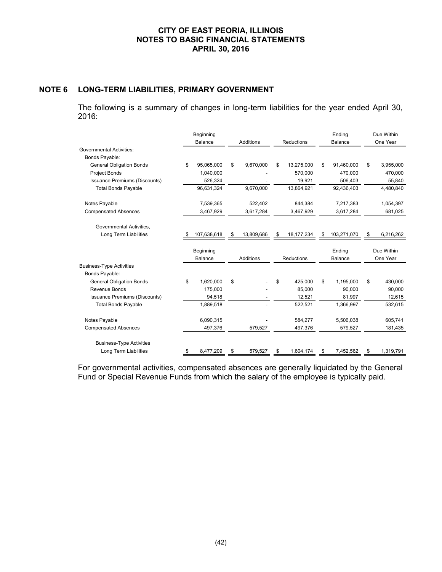# **NOTE 6 LONG-TERM LIABILITIES, PRIMARY GOVERNMENT**

The following is a summary of changes in long-term liabilities for the year ended April 30, 2016:

|                                      | Beginning<br>Balance | Additions        | Reductions         | Ending<br>Balance |    | Due Within<br>One Year |
|--------------------------------------|----------------------|------------------|--------------------|-------------------|----|------------------------|
| <b>Governmental Activities:</b>      |                      |                  |                    |                   |    |                        |
| Bonds Payable:                       |                      |                  |                    |                   |    |                        |
| <b>General Obligation Bonds</b>      | \$<br>95,065,000     | \$<br>9,670,000  | \$<br>13,275,000   | \$<br>91,460,000  | \$ | 3,955,000              |
| <b>Project Bonds</b>                 | 1,040,000            |                  | 570.000            | 470.000           |    | 470,000                |
| <b>Issuance Premiums (Discounts)</b> | 526,324              |                  | 19,921             | 506,403           |    | 55,840                 |
| <b>Total Bonds Payable</b>           | 96,631,324           | 9,670,000        | 13,864,921         | 92,436,403        |    | 4,480,840              |
|                                      |                      |                  |                    |                   |    |                        |
| Notes Payable                        | 7,539,365            | 522,402          | 844,384            | 7,217,383         |    | 1,054,397              |
| <b>Compensated Absences</b>          | 3,467,929            | 3,617,284        | 3,467,929          | 3,617,284         |    | 681,025                |
|                                      |                      |                  |                    |                   |    |                        |
| Governmental Activities,             |                      |                  |                    |                   |    |                        |
| Long Term Liabilities                | 107,638,618          | \$<br>13,809,686 | \$<br>18, 177, 234 | \$<br>103,271,070 | S  | 6,216,262              |
|                                      | Beginning            |                  |                    | Ending            |    | Due Within             |
|                                      | <b>Balance</b>       | Additions        | Reductions         | Balance           |    | One Year               |
| <b>Business-Type Activities</b>      |                      |                  |                    |                   |    |                        |
| Bonds Payable:                       |                      |                  |                    |                   |    |                        |
| <b>General Obligation Bonds</b>      | \$<br>1,620,000      | \$               | \$<br>425,000      | \$<br>1,195,000   | \$ | 430,000                |
| Revenue Bonds                        | 175,000              |                  | 85,000             | 90,000            |    | 90,000                 |
| <b>Issuance Premiums (Discounts)</b> | 94.518               |                  | 12,521             | 81,997            |    | 12,615                 |
| <b>Total Bonds Payable</b>           | 1,889,518            |                  | 522,521            | 1,366,997         |    | 532,615                |
| Notes Payable                        | 6.090.315            |                  | 584,277            | 5,506,038         |    | 605,741                |
| <b>Compensated Absences</b>          | 497,376              | 579,527          | 497,376            | 579,527           |    | 181,435                |
| <b>Business-Type Activities</b>      |                      |                  |                    |                   |    |                        |
| Long Term Liabilities                | \$<br>8.477.209      | \$<br>579.527    | \$<br>1,604,174    | \$<br>7,452,562   | \$ | 1,319,791              |

For governmental activities, compensated absences are generally liquidated by the General Fund or Special Revenue Funds from which the salary of the employee is typically paid.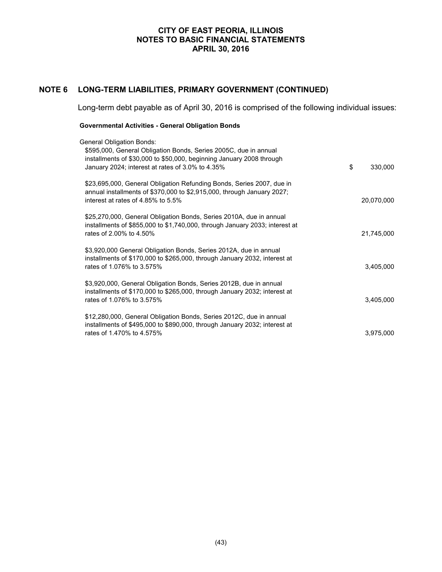# **NOTE 6 LONG-TERM LIABILITIES, PRIMARY GOVERNMENT (CONTINUED)**

Long-term debt payable as of April 30, 2016 is comprised of the following individual issues:

#### **Governmental Activities - General Obligation Bonds**

| General Obligation Bonds:<br>\$595,000, General Obligation Bonds, Series 2005C, due in annual<br>installments of \$30,000 to \$50,000, beginning January 2008 through                 |               |
|---------------------------------------------------------------------------------------------------------------------------------------------------------------------------------------|---------------|
| January 2024; interest at rates of 3.0% to 4.35%                                                                                                                                      | \$<br>330,000 |
| \$23,695,000, General Obligation Refunding Bonds, Series 2007, due in<br>annual installments of \$370,000 to \$2,915,000, through January 2027;<br>interest at rates of 4.85% to 5.5% | 20,070,000    |
| \$25,270,000, General Obligation Bonds, Series 2010A, due in annual<br>installments of \$855,000 to \$1,740,000, through January 2033; interest at<br>rates of 2,00% to 4,50%         | 21,745,000    |
| \$3,920,000 General Obligation Bonds, Series 2012A, due in annual<br>installments of \$170,000 to \$265,000, through January 2032, interest at<br>rates of 1.076% to 3.575%           | 3,405,000     |
| \$3,920,000, General Obligation Bonds, Series 2012B, due in annual<br>installments of \$170,000 to \$265,000, through January 2032; interest at<br>rates of 1.076% to 3.575%          | 3,405,000     |
| \$12,280,000, General Obligation Bonds, Series 2012C, due in annual<br>installments of \$495,000 to \$890,000, through January 2032; interest at<br>rates of 1.470% to 4.575%         | 3.975.000     |
|                                                                                                                                                                                       |               |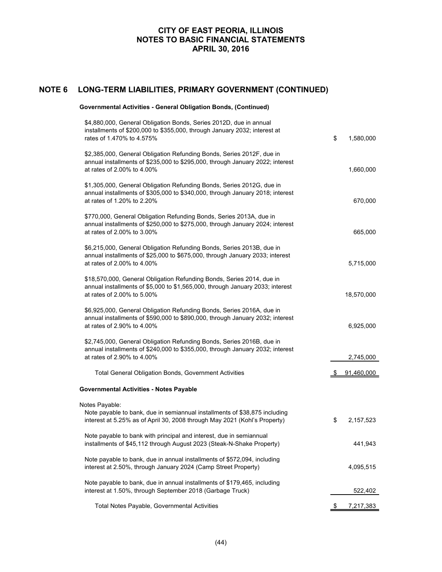#### **NOTE 6 LONG-TERM LIABILITIES, PRIMARY GOVERNMENT (CONTINUED)**

**Governmental Activities - General Obligation Bonds, (Continued)**

# \$4,880,000, General Obligation Bonds, Series 2012D, due in annual installments of \$200,000 to \$355,000, through January 2032; interest at rates of 1.470% to 4.575% **by a 1,580,000 c** 1.580,000 \$2,385,000, General Obligation Refunding Bonds, Series 2012F, due in annual installments of \$235,000 to \$295,000, through January 2022; interest at rates of 2.00% to 4.00% 1,660,000 \$1,305,000, General Obligation Refunding Bonds, Series 2012G, due in annual installments of \$305,000 to \$340,000, through January 2018; interest at rates of 1.20% to 2.20% 670,000 \$770,000, General Obligation Refunding Bonds, Series 2013A, due in annual installments of \$250,000 to \$275,000, through January 2024; interest at rates of 2.00% to 3.00% 665,000 \$6,215,000, General Obligation Refunding Bonds, Series 2013B, due in annual installments of \$25,000 to \$675,000, through January 2033; interest at rates of 2.00% to 4.00% 5,715,000 \$18,570,000, General Obligation Refunding Bonds, Series 2014, due in annual installments of \$5,000 to \$1,565,000, through January 2033; interest at rates of 2.00% to 5.00% 18,570,000 \$6,925,000, General Obligation Refunding Bonds, Series 2016A, due in annual installments of \$590,000 to \$890,000, through January 2032; interest at rates of 2.90% to 4.00% 6,925,000 for the states of 2.90% for 4.00% for the states of 2.90% for  $\epsilon$ ,  $\epsilon$ \$2,745,000, General Obligation Refunding Bonds, Series 2016B, due in annual installments of \$240,000 to \$355,000, through January 2032; interest at rates of 2.90% to 4.00% 2,745,000 Total General Obligation Bonds, Government Activities **\$ 91,460,000 Governmental Activities - Notes Payable** Notes Payable: Note payable to bank, due in semiannual installments of \$38,875 including interest at 5.25% as of April 30, 2008 through May 2021 (Kohl's Property) \$ 2,157,523 Note payable to bank with principal and interest, due in semiannual installments of \$45,112 through August 2023 (Steak-N-Shake Property) 441,943 Note payable to bank, due in annual installments of \$572,094, including interest at 2.50%, through January 2024 (Camp Street Property) 4,095,515 Note payable to bank, due in annual installments of \$179,465, including interest at 1.50%, through September 2018 (Garbage Truck) 522,402 Total Notes Payable, Governmental Activities \$ 7,217,383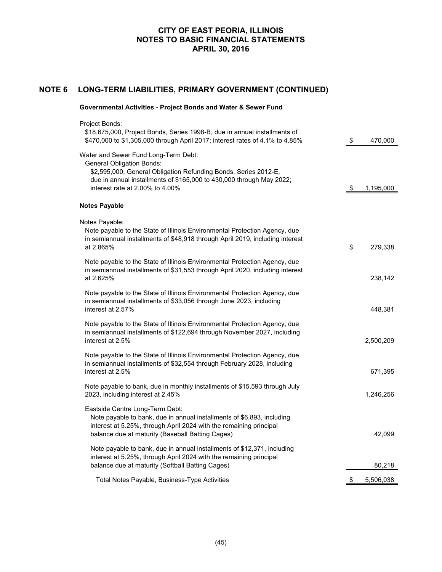# **NOTE 6 LONG-TERM LIABILITIES, PRIMARY GOVERNMENT (CONTINUED)**

| Governmental Activities - Project Bonds and Water & Sewer Fund                                                                                                                                                                                         |           |           |
|--------------------------------------------------------------------------------------------------------------------------------------------------------------------------------------------------------------------------------------------------------|-----------|-----------|
| Project Bonds:<br>\$18,675,000, Project Bonds, Series 1998-B, due in annual installments of<br>\$470,000 to \$1,305,000 through April 2017; interest rates of 4.1% to 4.85%                                                                            | <u>\$</u> | 470,000   |
| Water and Sewer Fund Long-Term Debt:<br><b>General Obligation Bonds:</b><br>\$2,595,000, General Obligation Refunding Bonds, Series 2012-E,<br>due in annual installments of \$165,000 to 430,000 through May 2022;<br>interest rate at 2.00% to 4.00% | -\$       | 1,195,000 |
| <b>Notes Payable</b>                                                                                                                                                                                                                                   |           |           |
| Notes Payable:<br>Note payable to the State of Illinois Environmental Protection Agency, due<br>in semiannual installments of \$48,918 through April 2019, including interest<br>at 2.865%                                                             | \$        | 279,338   |
| Note payable to the State of Illinois Environmental Protection Agency, due<br>in semiannual installments of \$31,553 through April 2020, including interest<br>at 2.625%                                                                               |           | 238,142   |
| Note payable to the State of Illinois Environmental Protection Agency, due<br>in semiannual installments of \$33,056 through June 2023, including<br>interest at 2.57%                                                                                 |           | 448,381   |
| Note payable to the State of Illinois Environmental Protection Agency, due<br>in semiannual installments of \$122,694 through November 2027, including<br>interest at 2.5%                                                                             |           | 2,500,209 |
| Note payable to the State of Illinois Environmental Protection Agency, due<br>in semiannual installments of \$32,554 through February 2028, including<br>interest at 2.5%                                                                              |           | 671,395   |
| Note payable to bank, due in monthly installments of \$15,593 through July<br>2023, including interest at 2.45%                                                                                                                                        |           | 1,246,256 |
| Eastside Centre Long-Term Debt:<br>Note payable to bank, due in annual installments of \$6,893, including<br>interest at 5.25%, through April 2024 with the remaining principal<br>balance due at maturity (Baseball Batting Cages)                    |           | 42,099    |
| Note payable to bank, due in annual installments of \$12,371, including<br>interest at 5.25%, through April 2024 with the remaining principal<br>balance due at maturity (Softball Batting Cages)                                                      |           | 80,218    |
| Total Notes Payable, Business-Type Activities                                                                                                                                                                                                          | \$        | 5,506,038 |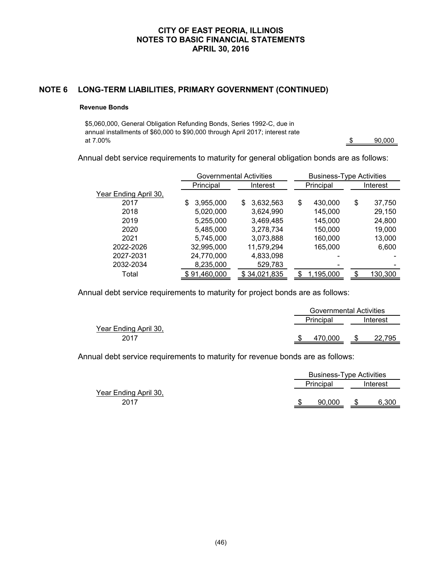# **NOTE 6 LONG-TERM LIABILITIES, PRIMARY GOVERNMENT (CONTINUED)**

#### **Revenue Bonds**

\$5,060,000, General Obligation Refunding Bonds, Series 1992-C, due in annual installments of \$60,000 to \$90,000 through April 2017; interest rate at 7.00% **\$ 90,000** 

Annual debt service requirements to maturity for general obligation bonds are as follows:

|                       | Governmental Activities | <b>Business-Type Activities</b> |               |              |
|-----------------------|-------------------------|---------------------------------|---------------|--------------|
|                       | Principal               | Interest                        | Principal     | Interest     |
| Year Ending April 30, |                         |                                 |               |              |
| 2017                  | 3,955,000<br>\$         | 3,632,563<br>\$                 | \$<br>430,000 | \$<br>37,750 |
| 2018                  | 5,020,000               | 3,624,990                       | 145,000       | 29,150       |
| 2019                  | 5,255,000               | 3,469,485                       | 145,000       | 24,800       |
| 2020                  | 5,485,000               | 3,278,734                       | 150,000       | 19,000       |
| 2021                  | 5,745,000               | 3,073,888                       | 160,000       | 13,000       |
| 2022-2026             | 32,995,000              | 11,579,294                      | 165,000       | 6,600        |
| 2027-2031             | 24,770,000              | 4,833,098                       |               |              |
| 2032-2034             | 8,235,000               | 529,783                         |               |              |
| Total                 | \$91,460,000            | \$34,021,835                    | 1,195,000     | 130,300<br>S |

Annual debt service requirements to maturity for project bonds are as follows:

|                       |           | <b>Governmental Activities</b> |  |  |
|-----------------------|-----------|--------------------------------|--|--|
|                       | Principal | Interest                       |  |  |
| Year Ending April 30, |           |                                |  |  |
| 2017                  | 470.000   | 22.795                         |  |  |

Annual debt service requirements to maturity for revenue bonds are as follows:

|                       | <b>Business-Type Activities</b> |  |          |
|-----------------------|---------------------------------|--|----------|
|                       | Principal                       |  | Interest |
| Year Ending April 30, |                                 |  |          |
| 2017                  | 90.000                          |  | 6.30C    |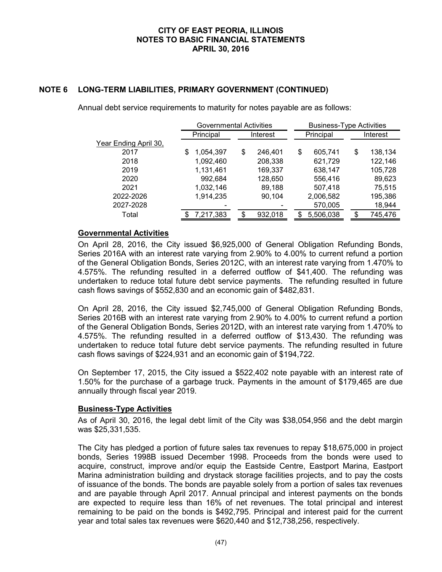# **NOTE 6 LONG-TERM LIABILITIES, PRIMARY GOVERNMENT (CONTINUED)**

|                       | <b>Governmental Activities</b> |           |  | <b>Business-Type Activities</b> |          |               |               |
|-----------------------|--------------------------------|-----------|--|---------------------------------|----------|---------------|---------------|
|                       |                                | Principal |  |                                 | Interest | Principal     | Interest      |
| Year Ending April 30, |                                |           |  |                                 |          |               |               |
| 2017                  | S                              | 1.054.397 |  | \$                              | 246.401  | \$<br>605,741 | \$<br>138,134 |
| 2018                  |                                | 1,092,460 |  |                                 | 208,338  | 621,729       | 122,146       |
| 2019                  |                                | 1,131,461 |  |                                 | 169,337  | 638,147       | 105,728       |
| 2020                  |                                | 992,684   |  |                                 | 128,650  | 556,416       | 89,623        |
| 2021                  |                                | 1,032,146 |  |                                 | 89,188   | 507,418       | 75,515        |
| 2022-2026             |                                | 1,914,235 |  |                                 | 90,104   | 2,006,582     | 195,386       |
| 2027-2028             |                                |           |  |                                 |          | 570,005       | 18,944        |
| Total                 |                                | 7,217,383 |  | .ፍ                              | 932,018  | 5,506,038     | 745,476       |

Annual debt service requirements to maturity for notes payable are as follows:

### **Governmental Activities**

On April 28, 2016, the City issued \$6,925,000 of General Obligation Refunding Bonds, Series 2016A with an interest rate varying from 2.90% to 4.00% to current refund a portion of the General Obligation Bonds, Series 2012C, with an interest rate varying from 1.470% to 4.575%. The refunding resulted in a deferred outflow of \$41,400. The refunding was undertaken to reduce total future debt service payments. The refunding resulted in future cash flows savings of \$552,830 and an economic gain of \$482,831.

On April 28, 2016, the City issued \$2,745,000 of General Obligation Refunding Bonds, Series 2016B with an interest rate varying from 2.90% to 4.00% to current refund a portion of the General Obligation Bonds, Series 2012D, with an interest rate varying from 1.470% to 4.575%. The refunding resulted in a deferred outflow of \$13,430. The refunding was undertaken to reduce total future debt service payments. The refunding resulted in future cash flows savings of \$224,931 and an economic gain of \$194,722.

On September 17, 2015, the City issued a \$522,402 note payable with an interest rate of 1.50% for the purchase of a garbage truck. Payments in the amount of \$179,465 are due annually through fiscal year 2019.

# **Business-Type Activities**

As of April 30, 2016, the legal debt limit of the City was \$38,054,956 and the debt margin was \$25,331,535.

The City has pledged a portion of future sales tax revenues to repay \$18,675,000 in project bonds, Series 1998B issued December 1998. Proceeds from the bonds were used to acquire, construct, improve and/or equip the Eastside Centre, Eastport Marina, Eastport Marina administration building and drystack storage facilities projects, and to pay the costs of issuance of the bonds. The bonds are payable solely from a portion of sales tax revenues and are payable through April 2017. Annual principal and interest payments on the bonds are expected to require less than 16% of net revenues. The total principal and interest remaining to be paid on the bonds is \$492,795. Principal and interest paid for the current year and total sales tax revenues were \$620,440 and \$12,738,256, respectively.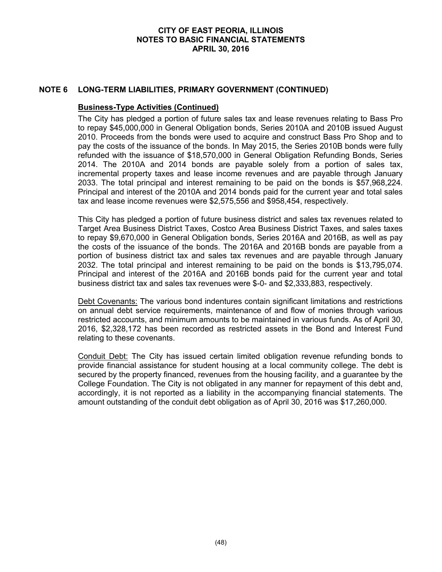### **NOTE 6 LONG-TERM LIABILITIES, PRIMARY GOVERNMENT (CONTINUED)**

#### **Business-Type Activities (Continued)**

The City has pledged a portion of future sales tax and lease revenues relating to Bass Pro to repay \$45,000,000 in General Obligation bonds, Series 2010A and 2010B issued August 2010. Proceeds from the bonds were used to acquire and construct Bass Pro Shop and to pay the costs of the issuance of the bonds. In May 2015, the Series 2010B bonds were fully refunded with the issuance of \$18,570,000 in General Obligation Refunding Bonds, Series 2014. The 2010A and 2014 bonds are payable solely from a portion of sales tax, incremental property taxes and lease income revenues and are payable through January 2033. The total principal and interest remaining to be paid on the bonds is \$57,968,224. Principal and interest of the 2010A and 2014 bonds paid for the current year and total sales tax and lease income revenues were \$2,575,556 and \$958,454, respectively.

This City has pledged a portion of future business district and sales tax revenues related to Target Area Business District Taxes, Costco Area Business District Taxes, and sales taxes to repay \$9,670,000 in General Obligation bonds, Series 2016A and 2016B, as well as pay the costs of the issuance of the bonds. The 2016A and 2016B bonds are payable from a portion of business district tax and sales tax revenues and are payable through January 2032. The total principal and interest remaining to be paid on the bonds is \$13,795,074. Principal and interest of the 2016A and 2016B bonds paid for the current year and total business district tax and sales tax revenues were \$-0- and \$2,333,883, respectively.

Debt Covenants: The various bond indentures contain significant limitations and restrictions on annual debt service requirements, maintenance of and flow of monies through various restricted accounts, and minimum amounts to be maintained in various funds. As of April 30, 2016, \$2,328,172 has been recorded as restricted assets in the Bond and Interest Fund relating to these covenants.

Conduit Debt: The City has issued certain limited obligation revenue refunding bonds to provide financial assistance for student housing at a local community college. The debt is secured by the property financed, revenues from the housing facility, and a guarantee by the College Foundation. The City is not obligated in any manner for repayment of this debt and, accordingly, it is not reported as a liability in the accompanying financial statements. The amount outstanding of the conduit debt obligation as of April 30, 2016 was \$17,260,000.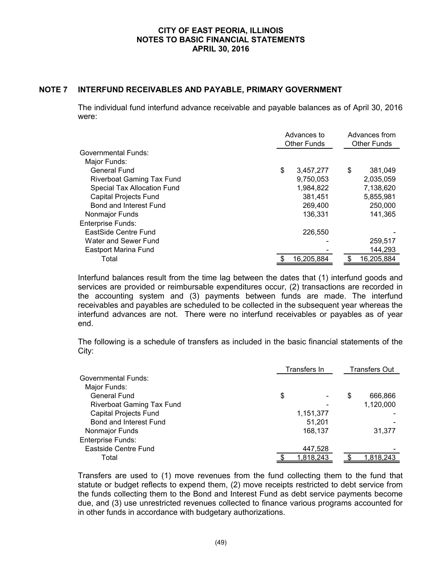### **NOTE 7 INTERFUND RECEIVABLES AND PAYABLE, PRIMARY GOVERNMENT**

The individual fund interfund advance receivable and payable balances as of April 30, 2016 were:

|                                  | Advances to<br><b>Other Funds</b> |    | Advances from<br>Other Funds |  |
|----------------------------------|-----------------------------------|----|------------------------------|--|
| Governmental Funds:              |                                   |    |                              |  |
| Major Funds:                     |                                   |    |                              |  |
| General Fund                     | \$<br>3,457,277                   | \$ | 381,049                      |  |
| <b>Riverboat Gaming Tax Fund</b> | 9,750,053                         |    | 2,035,059                    |  |
| Special Tax Allocation Fund      | 1,984,822                         |    | 7,138,620                    |  |
| <b>Capital Projects Fund</b>     | 381,451                           |    | 5,855,981                    |  |
| Bond and Interest Fund           | 269.400                           |    | 250,000                      |  |
| Nonmajor Funds                   | 136.331                           |    | 141,365                      |  |
| <b>Enterprise Funds:</b>         |                                   |    |                              |  |
| EastSide Centre Fund             | 226,550                           |    |                              |  |
| Water and Sewer Fund             |                                   |    | 259,517                      |  |
| Eastport Marina Fund             |                                   |    | 144,293                      |  |
| Total                            | 16,205,884                        |    | 16,205,884                   |  |

Interfund balances result from the time lag between the dates that (1) interfund goods and services are provided or reimbursable expenditures occur, (2) transactions are recorded in the accounting system and (3) payments between funds are made. The interfund receivables and payables are scheduled to be collected in the subsequent year whereas the interfund advances are not. There were no interfund receivables or payables as of year end.

The following is a schedule of transfers as included in the basic financial statements of the City:

|                                  | Transfers In |   | <b>Transfers Out</b> |  |
|----------------------------------|--------------|---|----------------------|--|
| Governmental Funds:              |              |   |                      |  |
| Major Funds:                     |              |   |                      |  |
| General Fund                     | \$           | S | 666,866              |  |
| <b>Riverboat Gaming Tax Fund</b> |              |   | 1,120,000            |  |
| <b>Capital Projects Fund</b>     | 1,151,377    |   |                      |  |
| Bond and Interest Fund           | 51.201       |   |                      |  |
| Nonmajor Funds                   | 168,137      |   | 31.377               |  |
| Enterprise Funds:                |              |   |                      |  |
| Eastside Centre Fund             | 447,528      |   |                      |  |
| Total                            | 1,818,243    |   | 1,818,243            |  |

Transfers are used to (1) move revenues from the fund collecting them to the fund that statute or budget reflects to expend them, (2) move receipts restricted to debt service from the funds collecting them to the Bond and Interest Fund as debt service payments become due, and (3) use unrestricted revenues collected to finance various programs accounted for in other funds in accordance with budgetary authorizations.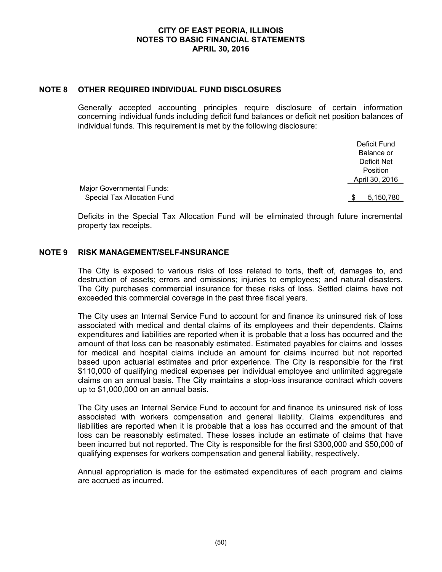# **NOTE 8 OTHER REQUIRED INDIVIDUAL FUND DISCLOSURES**

Generally accepted accounting principles require disclosure of certain information concerning individual funds including deficit fund balances or deficit net position balances of individual funds. This requirement is met by the following disclosure:

|                                                                 | Balance or<br>Deficit Net<br>Position<br>April 30, 2016 |
|-----------------------------------------------------------------|---------------------------------------------------------|
| Major Governmental Funds:<br><b>Special Tax Allocation Fund</b> | 5,150,780                                               |

Deficits in the Special Tax Allocation Fund will be eliminated through future incremental property tax receipts.

### **NOTE 9 RISK MANAGEMENT/SELF-INSURANCE**

The City is exposed to various risks of loss related to torts, theft of, damages to, and destruction of assets; errors and omissions; injuries to employees; and natural disasters. The City purchases commercial insurance for these risks of loss. Settled claims have not exceeded this commercial coverage in the past three fiscal years.

The City uses an Internal Service Fund to account for and finance its uninsured risk of loss associated with medical and dental claims of its employees and their dependents. Claims expenditures and liabilities are reported when it is probable that a loss has occurred and the amount of that loss can be reasonably estimated. Estimated payables for claims and losses for medical and hospital claims include an amount for claims incurred but not reported based upon actuarial estimates and prior experience. The City is responsible for the first \$110,000 of qualifying medical expenses per individual employee and unlimited aggregate claims on an annual basis. The City maintains a stop-loss insurance contract which covers up to \$1,000,000 on an annual basis.

The City uses an Internal Service Fund to account for and finance its uninsured risk of loss associated with workers compensation and general liability. Claims expenditures and liabilities are reported when it is probable that a loss has occurred and the amount of that loss can be reasonably estimated. These losses include an estimate of claims that have been incurred but not reported. The City is responsible for the first \$300,000 and \$50,000 of qualifying expenses for workers compensation and general liability, respectively.

Annual appropriation is made for the estimated expenditures of each program and claims are accrued as incurred.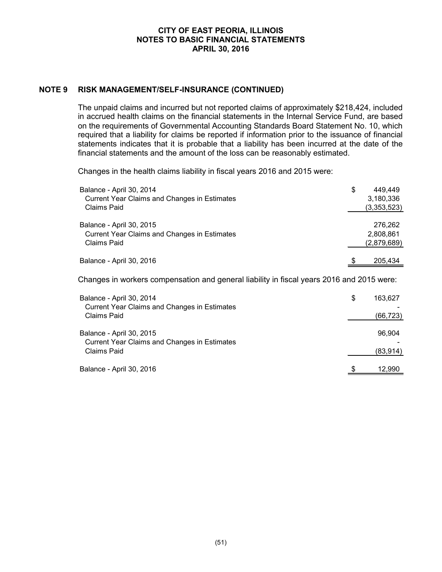# **NOTE 9 RISK MANAGEMENT/SELF-INSURANCE (CONTINUED)**

The unpaid claims and incurred but not reported claims of approximately \$218,424, included in accrued health claims on the financial statements in the Internal Service Fund, are based on the requirements of Governmental Accounting Standards Board Statement No. 10, which required that a liability for claims be reported if information prior to the issuance of financial statements indicates that it is probable that a liability has been incurred at the date of the financial statements and the amount of the loss can be reasonably estimated.

Changes in the health claims liability in fiscal years 2016 and 2015 were:

| Balance - April 30, 2014<br><b>Current Year Claims and Changes in Estimates</b><br>Claims Paid | S | 449.449<br>3,180,336<br>(3,353,523) |
|------------------------------------------------------------------------------------------------|---|-------------------------------------|
| Balance - April 30, 2015<br>Current Year Claims and Changes in Estimates<br><b>Claims Paid</b> |   | 276,262<br>2,808,861<br>(2,879,689) |
| Balance - April 30, 2016                                                                       |   | 205,434                             |

Changes in workers compensation and general liability in fiscal years 2016 and 2015 were:

| Balance - April 30, 2014                                                  | \$<br>163.627 |
|---------------------------------------------------------------------------|---------------|
| <b>Current Year Claims and Changes in Estimates</b><br><b>Claims Paid</b> | (66,723)      |
| Balance - April 30, 2015                                                  | 96.904        |
| <b>Current Year Claims and Changes in Estimates</b><br><b>Claims Paid</b> | (83, 914)     |
| Balance - April 30, 2016                                                  | 12,990        |
|                                                                           |               |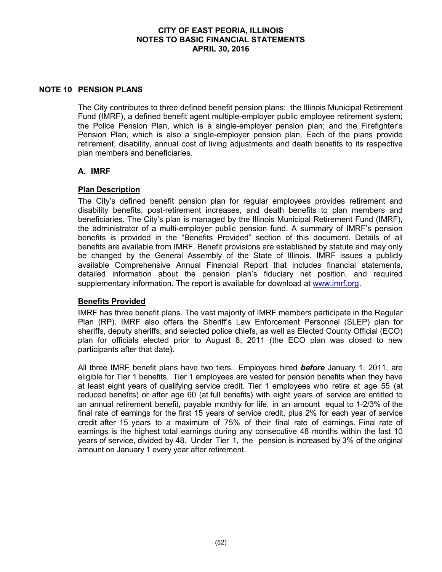#### **NOTE 10 PENSION PLANS**

The City contributes to three defined benefit pension plans: the Illinois Municipal Retirement Fund (IMRF), a defined benefit agent multiple-employer public employee retirement system; the Police Pension Plan, which is a single-employer pension plan; and the Firefighter's Pension Plan, which is also a single-employer pension plan. Each of the plans provide retirement, disability, annual cost of living adjustments and death benefits to its respective plan members and beneficiaries.

### **A. IMRF**

# **Plan Description**

The City's defined benefit pension plan for regular employees provides retirement and disability benefits, post-retirement increases, and death benefits to plan members and beneficiaries. The City's plan is managed by the Illinois Municipal Retirement Fund (IMRF), the administrator of a multi-employer public pension fund. A summary of IMRF's pension benefits is provided in the "Benefits Provided" section of this document. Details of all benefits are available from IMRF. Benefit provisions are established by statute and may only be changed by the General Assembly of the State of Illinois. IMRF issues a publicly available Comprehensive Annual Financial Report that includes financial statements, detailed information about the pension plan's fiduciary net position, and required supplementary information. The report is available for download at www.imrf.org.

# **Benefits Provided**

IMRF has three benefit plans. The vast majority of IMRF members participate in the Regular Plan (RP). IMRF also offers the Sheriff's Law Enforcement Personnel (SLEP) plan for sheriffs, deputy sheriffs, and selected police chiefs, as well as Elected County Official (ECO) plan for officials elected prior to August 8, 2011 (the ECO plan was closed to new participants after that date).

All three IMRF benefit plans have two tiers. Employees hired *before* January 1, 2011, are eligible for Tier 1 benefits. Tier 1 employees are vested for pension benefits when they have at least eight years of qualifying service credit. Tier 1 employees who retire at age 55 (at reduced benefits) or after age 60 (at full benefits) with eight years of service are entitled to an annual retirement benefit, payable monthly for life, in an amount equal to 1-2/3% of the final rate of earnings for the first 15 years of service credit, plus 2% for each year of service credit after 15 years to a maximum of 75% of their final rate of earnings. Final rate of earnings is the highest total earnings during any consecutive 48 months within the last 10 years of service, divided by 48. Under Tier 1, the pension is increased by 3% of the original amount on January 1 every year after retirement.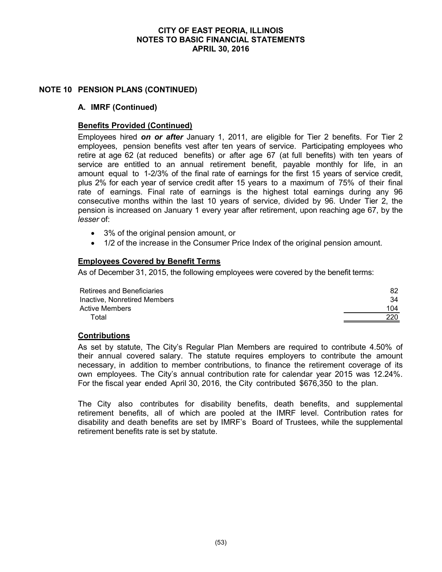# **NOTE 10 PENSION PLANS (CONTINUED)**

#### **A. IMRF (Continued)**

# **Benefits Provided (Continued)**

Employees hired *on or after* January 1, 2011, are eligible for Tier 2 benefits. For Tier 2 employees, pension benefits vest after ten years of service. Participating employees who retire at age 62 (at reduced benefits) or after age 67 (at full benefits) with ten years of service are entitled to an annual retirement benefit, payable monthly for life, in an amount equal to 1-2/3% of the final rate of earnings for the first 15 years of service credit, plus 2% for each year of service credit after 15 years to a maximum of 75% of their final rate of earnings. Final rate of earnings is the highest total earnings during any 96 consecutive months within the last 10 years of service, divided by 96. Under Tier 2, the pension is increased on January 1 every year after retirement, upon reaching age 67, by the *lesser* of:

- 3% of the original pension amount, or
- 1/2 of the increase in the Consumer Price Index of the original pension amount.

#### **Employees Covered by Benefit Terms**

As of December 31, 2015, the following employees were covered by the benefit terms:

| Retirees and Beneficiaries   | 82  |
|------------------------------|-----|
| Inactive. Nonretired Members | 34  |
| <b>Active Members</b>        | 104 |
| Total                        | 220 |

#### **Contributions**

As set by statute, The City's Regular Plan Members are required to contribute 4.50% of their annual covered salary. The statute requires employers to contribute the amount necessary, in addition to member contributions, to finance the retirement coverage of its own employees. The City's annual contribution rate for calendar year 2015 was 12.24%. For the fiscal year ended April 30, 2016, the City contributed \$676,350 to the plan.

The City also contributes for disability benefits, death benefits, and supplemental retirement benefits, all of which are pooled at the IMRF level. Contribution rates for disability and death benefits are set by IMRF's Board of Trustees, while the supplemental retirement benefits rate is set by statute.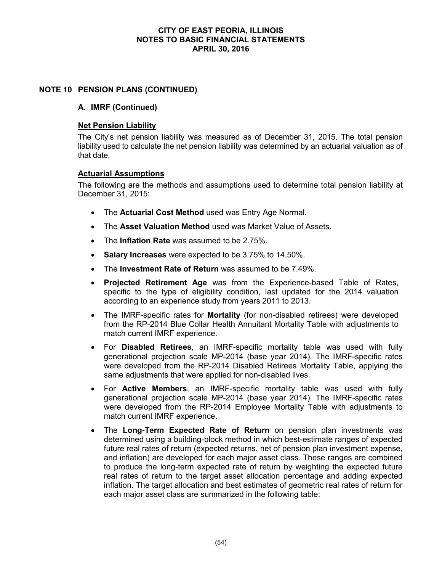# **NOTE 10 PENSION PLANS (CONTINUED)**

#### **A. IMRF (Continued)**

### **Net Pension Liability**

The City's net pension liability was measured as of December 31, 2015. The total pension liability used to calculate the net pension liability was determined by an actuarial valuation as of that date.

### **Actuarial Assumptions**

The following are the methods and assumptions used to determine total pension liability at December 31, 2015:

- The **Actuarial Cost Method** used was Entry Age Normal.
- The **Asset Valuation Method** used was Market Value of Assets.
- The **Inflation Rate** was assumed to be 2.75%.
- **Salary Increases** were expected to be 3.75% to 14.50%.
- The **Investment Rate of Return** was assumed to be 7.49%.
- **Projected Retirement Age** was from the Experience-based Table of Rates, specific to the type of eligibility condition, last updated for the 2014 valuation according to an experience study from years 2011 to 2013.
- The IMRF-specific rates for **Mortality** (for non-disabled retirees) were developed from the RP-2014 Blue Collar Health Annuitant Mortality Table with adjustments to match current IMRF experience.
- For **Disabled Retirees**, an IMRF-specific mortality table was used with fully generational projection scale MP-2014 (base year 2014). The IMRF-specific rates were developed from the RP-2014 Disabled Retirees Mortality Table, applying the same adjustments that were applied for non-disabled lives.
- For **Active Members**, an IMRF-specific mortality table was used with fully generational projection scale MP-2014 (base year 2014). The IMRF-specific rates were developed from the RP-2014 Employee Mortality Table with adjustments to match current IMRF experience.
- The **Long-Term Expected Rate of Return** on pension plan investments was determined using a building-block method in which best-estimate ranges of expected future real rates of return (expected returns, net of pension plan investment expense, and inflation) are developed for each major asset class. These ranges are combined to produce the long-term expected rate of return by weighting the expected future real rates of return to the target asset allocation percentage and adding expected inflation. The target allocation and best estimates of geometric real rates of return for each major asset class are summarized in the following table: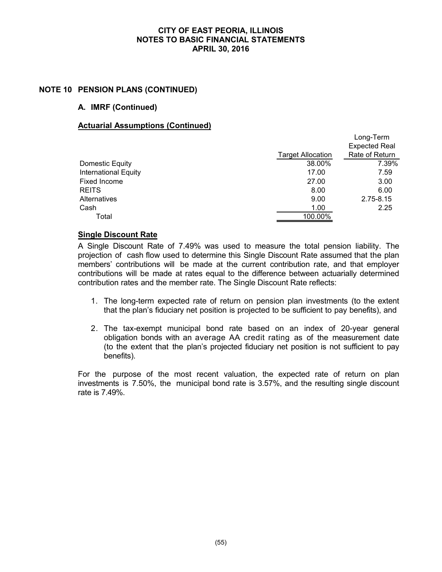### **NOTE 10 PENSION PLANS (CONTINUED)**

#### **A. IMRF (Continued)**

### **Actuarial Assumptions (Continued)**

|         | Long-Term                |
|---------|--------------------------|
|         | <b>Expected Real</b>     |
|         | Rate of Return           |
| 38.00%  | 7.39%                    |
| 17.00   | 7.59                     |
| 27.00   | 3.00                     |
| 8.00    | 6.00                     |
| 9.00    | 2.75-8.15                |
| 1.00    | 2.25                     |
| 100.00% |                          |
|         | <b>Target Allocation</b> |

#### **Single Discount Rate**

A Single Discount Rate of 7.49% was used to measure the total pension liability. The projection of cash flow used to determine this Single Discount Rate assumed that the plan members' contributions will be made at the current contribution rate, and that employer contributions will be made at rates equal to the difference between actuarially determined contribution rates and the member rate. The Single Discount Rate reflects:

- 1. The long-term expected rate of return on pension plan investments (to the extent that the plan's fiduciary net position is projected to be sufficient to pay benefits), and
- 2. The tax-exempt municipal bond rate based on an index of 20-year general obligation bonds with an average AA credit rating as of the measurement date (to the extent that the plan's projected fiduciary net position is not sufficient to pay benefits).

For the purpose of the most recent valuation, the expected rate of return on plan investments is 7.50%, the municipal bond rate is 3.57%, and the resulting single discount rate is 7.49%.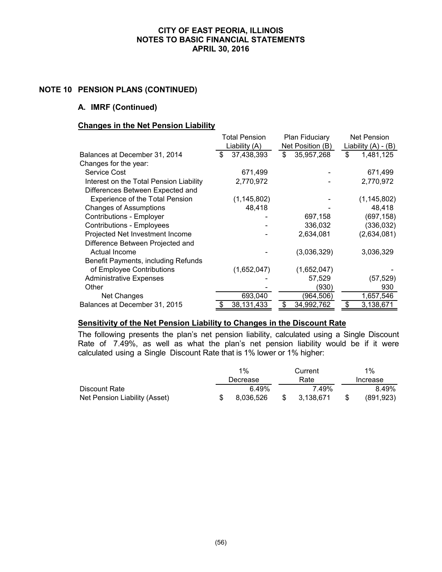# **NOTE 10 PENSION PLANS (CONTINUED)**

# **A. IMRF (Continued)**

# **Changes in the Net Pension Liability**

|                                         | Total Pension    | Plan Fiduciary   | Net Pension           |  |
|-----------------------------------------|------------------|------------------|-----------------------|--|
|                                         | Liability (A)    | Net Position (B) | Liability $(A) - (B)$ |  |
| Balances at December 31, 2014           | 37,438,393<br>S. | 35,957,268<br>\$ | 1,481,125<br>\$       |  |
| Changes for the year:                   |                  |                  |                       |  |
| Service Cost                            | 671,499          |                  | 671,499               |  |
| Interest on the Total Pension Liability | 2,770,972        |                  | 2,770,972             |  |
| Differences Between Expected and        |                  |                  |                       |  |
| Experience of the Total Pension         | (1, 145, 802)    |                  | (1, 145, 802)         |  |
| <b>Changes of Assumptions</b>           | 48,418           |                  | 48,418                |  |
| <b>Contributions - Employer</b>         |                  | 697,158          | (697, 158)            |  |
| <b>Contributions - Employees</b>        |                  | 336,032          | (336, 032)            |  |
| Projected Net Investment Income         |                  | 2,634,081        | (2,634,081)           |  |
| Difference Between Projected and        |                  |                  |                       |  |
| Actual Income                           |                  | (3,036,329)      | 3,036,329             |  |
| Benefit Payments, including Refunds     |                  |                  |                       |  |
| of Employee Contributions               | (1,652,047)      | (1,652,047)      |                       |  |
| <b>Administrative Expenses</b>          |                  | 57,529           | (57, 529)             |  |
| Other                                   |                  | (930)            | 930                   |  |
| Net Changes                             | 693,040          | (964,506)        | 1,657,546             |  |
| Balances at December 31, 2015           | 38,131,433       | 34,992,762       | 3,138,671             |  |

# **Sensitivity of the Net Pension Liability to Changes in the Discount Rate**

The following presents the plan's net pension liability, calculated using a Single Discount Rate of 7.49%, as well as what the plan's net pension liability would be if it were calculated using a Single Discount Rate that is 1% lower or 1% higher:

|                               | $1\%$     | Current   | 1%        |
|-------------------------------|-----------|-----------|-----------|
|                               | Decrease  | Rate      | Increase  |
| Discount Rate                 | 6.49%     | 7.49%     | 8.49%     |
| Net Pension Liability (Asset) | 8.036.526 | 3.138.671 | (891.923) |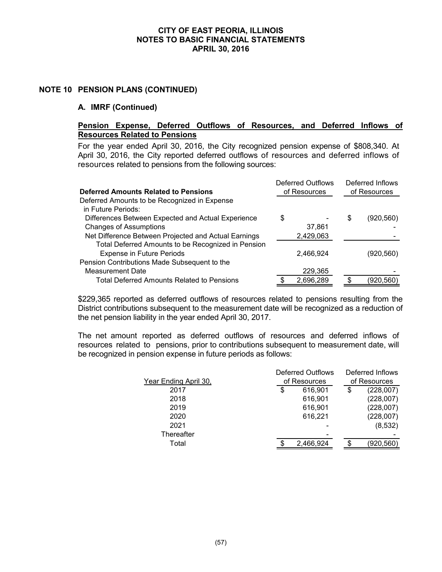# **NOTE 10 PENSION PLANS (CONTINUED)**

#### **A. IMRF (Continued)**

# **Pension Expense, Deferred Outflows of Resources, and Deferred Inflows of Resources Related to Pensions**

For the year ended April 30, 2016, the City recognized pension expense of \$808,340. At April 30, 2016, the City reported deferred outflows of resources and deferred inflows of resources related to pensions from the following sources:

|                                                      | Deferred Outflows |   | Deferred Inflows |
|------------------------------------------------------|-------------------|---|------------------|
| <b>Deferred Amounts Related to Pensions</b>          | of Resources      |   | of Resources     |
| Deferred Amounts to be Recognized in Expense         |                   |   |                  |
| in Future Periods:                                   |                   |   |                  |
| Differences Between Expected and Actual Experience   | \$                | S | (920,560)        |
| <b>Changes of Assumptions</b>                        | 37,861            |   |                  |
| Net Difference Between Projected and Actual Earnings | 2,429,063         |   |                  |
| Total Deferred Amounts to be Recognized in Pension   |                   |   |                  |
| <b>Expense in Future Periods</b>                     | 2,466,924         |   | (920, 560)       |
| Pension Contributions Made Subsequent to the         |                   |   |                  |
| <b>Measurement Date</b>                              | 229,365           |   |                  |
| Total Deferred Amounts Related to Pensions           | 2,696,289         |   | (920,560)        |

\$229,365 reported as deferred outflows of resources related to pensions resulting from the District contributions subsequent to the measurement date will be recognized as a reduction of the net pension liability in the year ended April 30, 2017.

The net amount reported as deferred outflows of resources and deferred inflows of resources related to pensions, prior to contributions subsequent to measurement date, will be recognized in pension expense in future periods as follows:

|                       |   | <b>Deferred Outflows</b> |    | Deferred Inflows |  |  |  |              |
|-----------------------|---|--------------------------|----|------------------|--|--|--|--------------|
| Year Ending April 30, |   | of Resources             |    |                  |  |  |  | of Resources |
| 2017                  | S | 616,901                  | \$ | (228,007)        |  |  |  |              |
| 2018                  |   | 616,901                  |    | (228,007)        |  |  |  |              |
| 2019                  |   | 616,901                  |    | (228,007)        |  |  |  |              |
| 2020                  |   | 616,221                  |    | (228,007)        |  |  |  |              |
| 2021                  |   |                          |    | (8,532)          |  |  |  |              |
| <b>Thereafter</b>     |   |                          |    |                  |  |  |  |              |
| Total                 |   | 2,466,924                |    | (920,560)        |  |  |  |              |
|                       |   |                          |    |                  |  |  |  |              |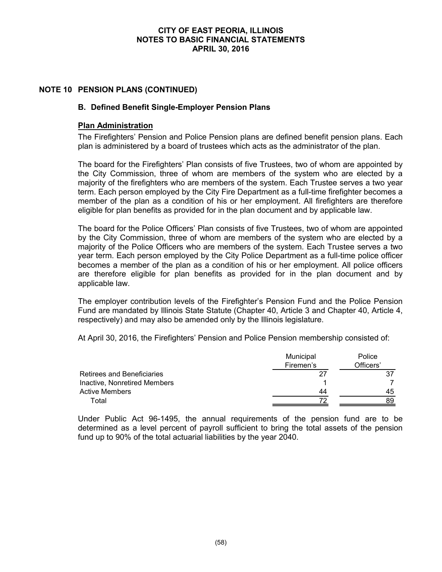# **NOTE 10 PENSION PLANS (CONTINUED)**

#### **B. Defined Benefit Single-Employer Pension Plans**

#### **Plan Administration**

The Firefighters' Pension and Police Pension plans are defined benefit pension plans. Each plan is administered by a board of trustees which acts as the administrator of the plan.

The board for the Firefighters' Plan consists of five Trustees, two of whom are appointed by the City Commission, three of whom are members of the system who are elected by a majority of the firefighters who are members of the system. Each Trustee serves a two year term. Each person employed by the City Fire Department as a full-time firefighter becomes a member of the plan as a condition of his or her employment. All firefighters are therefore eligible for plan benefits as provided for in the plan document and by applicable law.

The board for the Police Officers' Plan consists of five Trustees, two of whom are appointed by the City Commission, three of whom are members of the system who are elected by a majority of the Police Officers who are members of the system. Each Trustee serves a two year term. Each person employed by the City Police Department as a full-time police officer becomes a member of the plan as a condition of his or her employment. All police officers are therefore eligible for plan benefits as provided for in the plan document and by applicable law.

The employer contribution levels of the Firefighter's Pension Fund and the Police Pension Fund are mandated by Illinois State Statute (Chapter 40, Article 3 and Chapter 40, Article 4, respectively) and may also be amended only by the Illinois legislature.

At April 30, 2016, the Firefighters' Pension and Police Pension membership consisted of:

|                                     | <b>Municipal</b> | Police    |
|-------------------------------------|------------------|-----------|
|                                     | Firemen's        | Officers' |
| Retirees and Beneficiaries          | 27               |           |
| <b>Inactive, Nonretired Members</b> |                  |           |
| Active Members                      | 44               | 45        |
| Total                               | 70               | 89        |

Under Public Act 96-1495, the annual requirements of the pension fund are to be determined as a level percent of payroll sufficient to bring the total assets of the pension fund up to 90% of the total actuarial liabilities by the year 2040.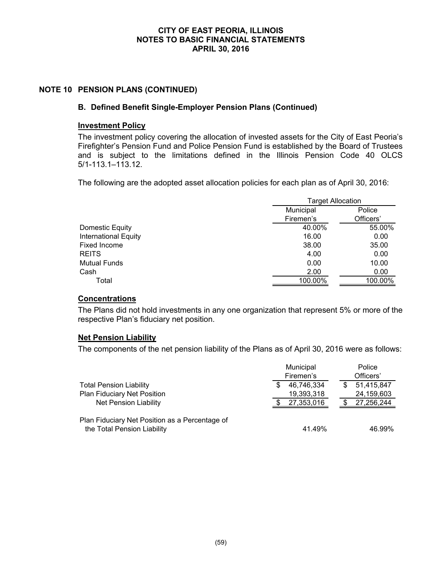# **NOTE 10 PENSION PLANS (CONTINUED)**

# **B. Defined Benefit Single-Employer Pension Plans (Continued)**

#### **Investment Policy**

The investment policy covering the allocation of invested assets for the City of East Peoria's Firefighter's Pension Fund and Police Pension Fund is established by the Board of Trustees and is subject to the limitations defined in the Illinois Pension Code 40 OLCS  $5/1 - 113.1 - 113.12$ .

The following are the adopted asset allocation policies for each plan as of April 30, 2016:

|                             | <b>Target Allocation</b> |           |  |
|-----------------------------|--------------------------|-----------|--|
|                             | Municipal                | Police    |  |
|                             | Firemen's                | Officers' |  |
| Domestic Equity             | 40.00%                   | 55.00%    |  |
| <b>International Equity</b> | 16.00                    | 0.00      |  |
| Fixed Income                | 38.00                    | 35.00     |  |
| <b>REITS</b>                | 4.00                     | 0.00      |  |
| <b>Mutual Funds</b>         | 0.00                     | 10.00     |  |
| Cash                        | 2.00                     | 0.00      |  |
| Total                       | 100.00%                  | 100.00%   |  |

#### **Concentrations**

The Plans did not hold investments in any one organization that represent 5% or more of the respective Plan's fiduciary net position.

#### **Net Pension Liability**

The components of the net pension liability of the Plans as of April 30, 2016 were as follows:

|                                                                               | Municipal        | Police     |
|-------------------------------------------------------------------------------|------------------|------------|
|                                                                               | Firemen's        | Officers'  |
| <b>Total Pension Liability</b>                                                | \$<br>46,746,334 | 51,415,847 |
| Plan Fiduciary Net Position                                                   | 19,393,318       | 24,159,603 |
| <b>Net Pension Liability</b>                                                  | 27,353,016       | 27,256,244 |
| Plan Fiduciary Net Position as a Percentage of<br>the Total Pension Liability | 41.49%           | 46.99%     |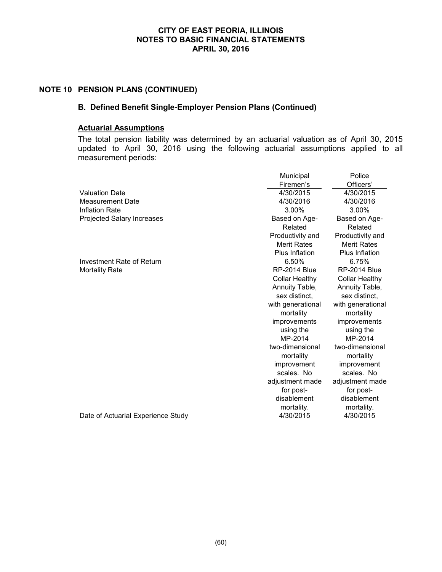# **NOTE 10 PENSION PLANS (CONTINUED)**

#### **B. Defined Benefit Single-Employer Pension Plans (Continued)**

# **Actuarial Assumptions**

The total pension liability was determined by an actuarial valuation as of April 30, 2015 updated to April 30, 2016 using the following actuarial assumptions applied to all measurement periods:

|                                    | Municipal             | Police                |
|------------------------------------|-----------------------|-----------------------|
|                                    | Firemen's             | Officers'             |
| <b>Valuation Date</b>              | 4/30/2015             | 4/30/2015             |
| <b>Measurement Date</b>            | 4/30/2016             | 4/30/2016             |
| <b>Inflation Rate</b>              | $3.00\%$              | 3.00%                 |
| Projected Salary Increases         | Based on Age-         | Based on Age-         |
|                                    | Related               | Related               |
|                                    | Productivity and      | Productivity and      |
|                                    | <b>Merit Rates</b>    | <b>Merit Rates</b>    |
|                                    | Plus Inflation        | Plus Inflation        |
| Investment Rate of Return          | 6.50%                 | 6.75%                 |
| <b>Mortality Rate</b>              | <b>RP-2014 Blue</b>   | <b>RP-2014 Blue</b>   |
|                                    | <b>Collar Healthy</b> | <b>Collar Healthy</b> |
|                                    | Annuity Table,        | Annuity Table,        |
|                                    | sex distinct,         | sex distinct,         |
|                                    | with generational     | with generational     |
|                                    | mortality             | mortality             |
|                                    | improvements          | improvements          |
|                                    | using the             | using the             |
|                                    | MP-2014               | MP-2014               |
|                                    | two-dimensional       | two-dimensional       |
|                                    | mortality             | mortality             |
|                                    | improvement           | improvement           |
|                                    | scales. No            | scales. No            |
|                                    | adjustment made       | adjustment made       |
|                                    | for post-             | for post-             |
|                                    | disablement           | disablement           |
|                                    | mortality.            | mortality.            |
| Date of Actuarial Experience Study | 4/30/2015             | 4/30/2015             |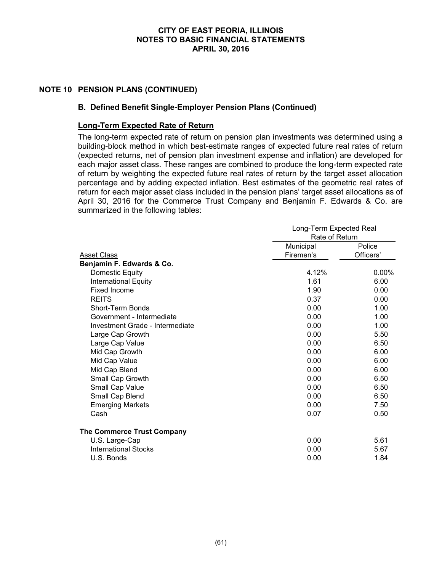# **NOTE 10 PENSION PLANS (CONTINUED)**

### **B. Defined Benefit Single-Employer Pension Plans (Continued)**

#### **Long-Term Expected Rate of Return**

The long-term expected rate of return on pension plan investments was determined using a building-block method in which best-estimate ranges of expected future real rates of return (expected returns, net of pension plan investment expense and inflation) are developed for each major asset class. These ranges are combined to produce the long-term expected rate of return by weighting the expected future real rates of return by the target asset allocation percentage and by adding expected inflation. Best estimates of the geometric real rates of return for each major asset class included in the pension plans' target asset allocations as of April 30, 2016 for the Commerce Trust Company and Benjamin F. Edwards & Co. are summarized in the following tables:

|                                   | Long-Term Expected Real |           |  |
|-----------------------------------|-------------------------|-----------|--|
|                                   | Rate of Return          |           |  |
|                                   | Municipal               | Police    |  |
| <b>Asset Class</b>                | Firemen's               | Officers' |  |
| Benjamin F. Edwards & Co.         |                         |           |  |
| Domestic Equity                   | 4.12%                   | $0.00\%$  |  |
| International Equity              | 1.61                    | 6.00      |  |
| Fixed Income                      | 1.90                    | 0.00      |  |
| <b>REITS</b>                      | 0.37                    | 0.00      |  |
| Short-Term Bonds                  | 0.00                    | 1.00      |  |
| Government - Intermediate         | 0.00                    | 1.00      |  |
| Investment Grade - Intermediate   | 0.00                    | 1.00      |  |
| Large Cap Growth                  | 0.00                    | 5.50      |  |
| Large Cap Value                   | 0.00                    | 6.50      |  |
| Mid Cap Growth                    | 0.00                    | 6.00      |  |
| Mid Cap Value                     | 0.00                    | 6.00      |  |
| Mid Cap Blend                     | 0.00                    | 6.00      |  |
| Small Cap Growth                  | 0.00                    | 6.50      |  |
| Small Cap Value                   | 0.00                    | 6.50      |  |
| Small Cap Blend                   | 0.00                    | 6.50      |  |
| <b>Emerging Markets</b>           | 0.00                    | 7.50      |  |
| Cash                              | 0.07                    | 0.50      |  |
| <b>The Commerce Trust Company</b> |                         |           |  |
| U.S. Large-Cap                    | 0.00                    | 5.61      |  |
| <b>International Stocks</b>       | 0.00                    | 5.67      |  |
| U.S. Bonds                        | 0.00                    | 1.84      |  |
|                                   |                         |           |  |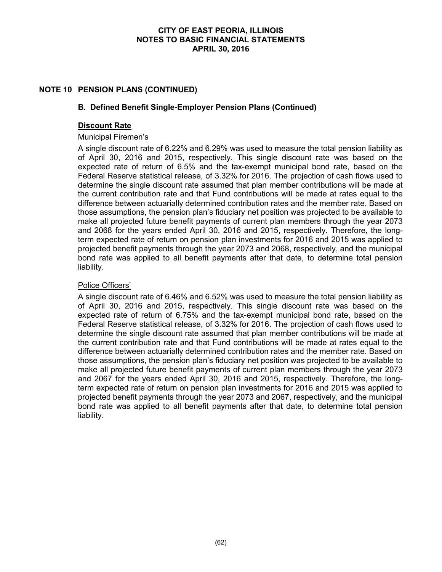# **NOTE 10 PENSION PLANS (CONTINUED)**

#### **B. Defined Benefit Single-Employer Pension Plans (Continued)**

#### **Discount Rate**

### Municipal Firemen's

A single discount rate of 6.22% and 6.29% was used to measure the total pension liability as of April 30, 2016 and 2015, respectively. This single discount rate was based on the expected rate of return of 6.5% and the tax-exempt municipal bond rate, based on the Federal Reserve statistical release, of 3.32% for 2016. The projection of cash flows used to determine the single discount rate assumed that plan member contributions will be made at the current contribution rate and that Fund contributions will be made at rates equal to the difference between actuarially determined contribution rates and the member rate. Based on those assumptions, the pension plan's fiduciary net position was projected to be available to make all projected future benefit payments of current plan members through the year 2073 and 2068 for the years ended April 30, 2016 and 2015, respectively. Therefore, the longterm expected rate of return on pension plan investments for 2016 and 2015 was applied to projected benefit payments through the year 2073 and 2068, respectively, and the municipal bond rate was applied to all benefit payments after that date, to determine total pension liability.

# Police Officers'

A single discount rate of 6.46% and 6.52% was used to measure the total pension liability as of April 30, 2016 and 2015, respectively. This single discount rate was based on the expected rate of return of 6.75% and the tax-exempt municipal bond rate, based on the Federal Reserve statistical release, of 3.32% for 2016. The projection of cash flows used to determine the single discount rate assumed that plan member contributions will be made at the current contribution rate and that Fund contributions will be made at rates equal to the difference between actuarially determined contribution rates and the member rate. Based on those assumptions, the pension plan's fiduciary net position was projected to be available to make all projected future benefit payments of current plan members through the year 2073 and 2067 for the years ended April 30, 2016 and 2015, respectively. Therefore, the longterm expected rate of return on pension plan investments for 2016 and 2015 was applied to projected benefit payments through the year 2073 and 2067, respectively, and the municipal bond rate was applied to all benefit payments after that date, to determine total pension liability.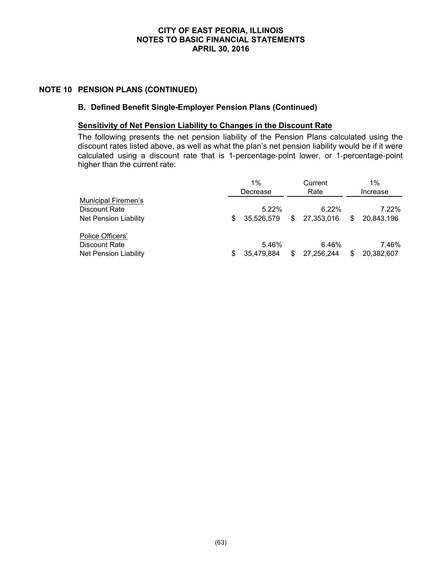# **NOTE 10 PENSION PLANS (CONTINUED)**

### **B. Defined Benefit Single-Employer Pension Plans (Continued)**

# **Sensitivity of Net Pension Liability to Changes in the Discount Rate**

The following presents the net pension liability of the Pension Plans calculated using the discount rates listed above, as well as what the plan's net pension liability would be if it were calculated using a discount rate that is 1-percentage-point lower, or 1-percentage-point higher than the current rate:

|                                                                      |   | $1\%$<br>Decrease   | Current<br>Rate     |   | 1%<br>Increase      |
|----------------------------------------------------------------------|---|---------------------|---------------------|---|---------------------|
| Municipal Firemen's<br>Discount Rate<br><b>Net Pension Liability</b> | S | 5.22%<br>35,526,579 | 6.22%<br>27,353,016 | S | 7.22%<br>20,843,196 |
| Police Officers'<br>Discount Rate<br>Net Pension Liability           | S | 5.46%<br>35.479.884 | 6.46%<br>27.256.244 |   | 7.46%<br>20,382,607 |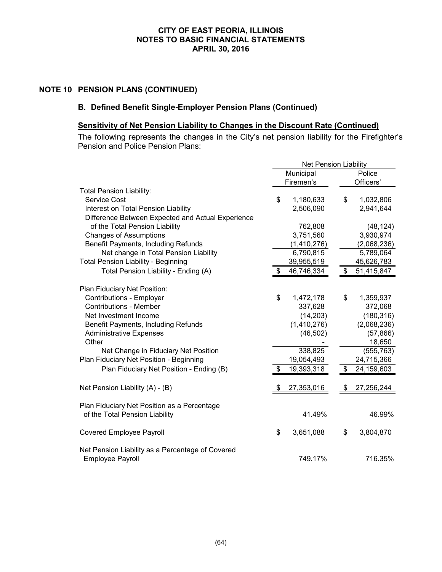# **NOTE 10 PENSION PLANS (CONTINUED)**

# **B. Defined Benefit Single-Employer Pension Plans (Continued)**

# **Sensitivity of Net Pension Liability to Changes in the Discount Rate (Continued)**

The following represents the changes in the City's net pension liability for the Firefighter's Pension and Police Pension Plans:

|                                                                 | <b>Net Pension Liability</b> |             |    |             |
|-----------------------------------------------------------------|------------------------------|-------------|----|-------------|
|                                                                 | Municipal                    |             |    | Police      |
|                                                                 |                              | Firemen's   |    | Officers'   |
| <b>Total Pension Liability:</b>                                 |                              |             |    |             |
| <b>Service Cost</b>                                             | \$                           | 1,180,633   | \$ | 1,032,806   |
| Interest on Total Pension Liability                             |                              | 2,506,090   |    | 2,941,644   |
| Difference Between Expected and Actual Experience               |                              |             |    |             |
| of the Total Pension Liability                                  |                              | 762,808     |    | (48, 124)   |
| <b>Changes of Assumptions</b>                                   |                              | 3,751,560   |    | 3,930,974   |
| Benefit Payments, Including Refunds                             |                              | (1,410,276) |    | (2,068,236) |
| Net change in Total Pension Liability                           |                              | 6,790,815   |    | 5,789,064   |
| <b>Total Pension Liability - Beginning</b>                      |                              | 39,955,519  |    | 45,626,783  |
| Total Pension Liability - Ending (A)                            |                              | 46,746,334  | \$ | 51,415,847  |
|                                                                 |                              |             |    |             |
| Plan Fiduciary Net Position:<br><b>Contributions - Employer</b> | \$                           | 1,472,178   | \$ |             |
| <b>Contributions - Member</b>                                   |                              | 337,628     |    | 1,359,937   |
| Net Investment Income                                           |                              |             |    | 372,068     |
|                                                                 |                              | (14, 203)   |    | (180, 316)  |
| Benefit Payments, Including Refunds                             |                              | (1,410,276) |    | (2,068,236) |
| <b>Administrative Expenses</b><br>Other                         |                              | (46, 502)   |    | (57, 866)   |
|                                                                 |                              |             |    | 18,650      |
| Net Change in Fiduciary Net Position                            |                              | 338,825     |    | (555, 763)  |
| Plan Fiduciary Net Position - Beginning                         |                              | 19,054,493  |    | 24,715,366  |
| Plan Fiduciary Net Position - Ending (B)                        |                              | 19,393,318  | \$ | 24,159,603  |
| Net Pension Liability (A) - (B)                                 | - \$                         | 27,353,016  | \$ | 27,256,244  |
| Plan Fiduciary Net Position as a Percentage                     |                              |             |    |             |
| of the Total Pension Liability                                  |                              | 41.49%      |    | 46.99%      |
|                                                                 |                              |             |    |             |
| <b>Covered Employee Payroll</b>                                 | \$                           | 3,651,088   | \$ | 3,804,870   |
| Net Pension Liability as a Percentage of Covered                |                              |             |    |             |
| <b>Employee Payroll</b>                                         |                              | 749.17%     |    | 716.35%     |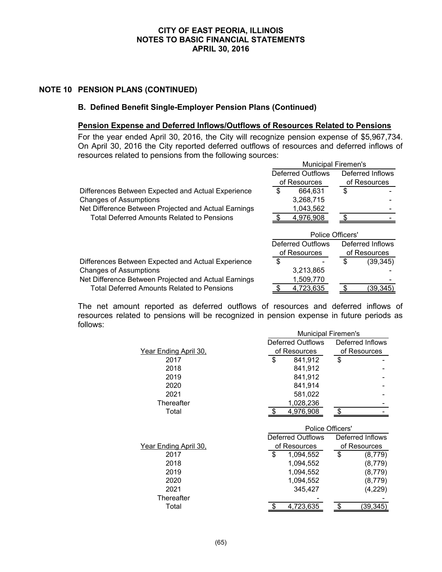# **NOTE 10 PENSION PLANS (CONTINUED)**

### **B. Defined Benefit Single-Employer Pension Plans (Continued)**

#### **Pension Expense and Deferred Inflows/Outflows of Resources Related to Pensions**

For the year ended April 30, 2016, the City will recognize pension expense of \$5,967,734. On April 30, 2016 the City reported deferred outflows of resources and deferred inflows of resources related to pensions from the following sources:

Municipal Firemen's

|                                                      | Deferred Outflows | Deferred Inflows |  |
|------------------------------------------------------|-------------------|------------------|--|
|                                                      | of Resources      | of Resources     |  |
| Differences Between Expected and Actual Experience   | 664.631<br>S      | S                |  |
| <b>Changes of Assumptions</b>                        | 3,268,715         |                  |  |
| Net Difference Between Projected and Actual Earnings | 1,043,562         |                  |  |
| <b>Total Deferred Amounts Related to Pensions</b>    | 4,976,908         |                  |  |
|                                                      | Police Officers'  |                  |  |
|                                                      | Deferred Outflows | Deferred Inflows |  |
|                                                      | of Resources      | of Resources     |  |
| Differences Between Expected and Actual Experience   | S                 | (39, 345)<br>S   |  |
| <b>Changes of Assumptions</b>                        | 3,213,865         |                  |  |
| Net Difference Between Projected and Actual Earnings | 1,509,770         |                  |  |
| <b>Total Deferred Amounts Related to Pensions</b>    | 4,723,635         | (39.345)         |  |

The net amount reported as deferred outflows of resources and deferred inflows of resources related to pensions will be recognized in pension expense in future periods as follows:

|                       | <b>Municipal Firemen's</b> |                  |  |  |  |  |
|-----------------------|----------------------------|------------------|--|--|--|--|
|                       | <b>Deferred Outflows</b>   | Deferred Inflows |  |  |  |  |
| Year Ending April 30, | of Resources               | of Resources     |  |  |  |  |
| 2017                  | \$<br>841,912              | \$               |  |  |  |  |
| 2018                  | 841,912                    |                  |  |  |  |  |
| 2019                  | 841,912                    |                  |  |  |  |  |
| 2020                  | 841,914                    |                  |  |  |  |  |
| 2021                  | 581,022                    |                  |  |  |  |  |
| Thereafter            | 1,028,236                  |                  |  |  |  |  |
| Total                 | 4,976,908<br>-\$           | \$               |  |  |  |  |
|                       |                            |                  |  |  |  |  |
|                       |                            | Police Officers' |  |  |  |  |
|                       | Deferred Outflows          | Deferred Inflows |  |  |  |  |
| Year Ending April 30, | of Resources               | of Resources     |  |  |  |  |
| 2017                  | \$<br>1,094,552            | \$<br>(8,779)    |  |  |  |  |
| 2018                  | 1,094,552                  | (8, 779)         |  |  |  |  |
| 2019                  | 1,094,552                  | (8,779)          |  |  |  |  |
| 2020                  | 1,094,552                  | (8, 779)         |  |  |  |  |
| 2021                  | 345,427                    | (4, 229)         |  |  |  |  |
| Thereafter            |                            |                  |  |  |  |  |
|                       |                            |                  |  |  |  |  |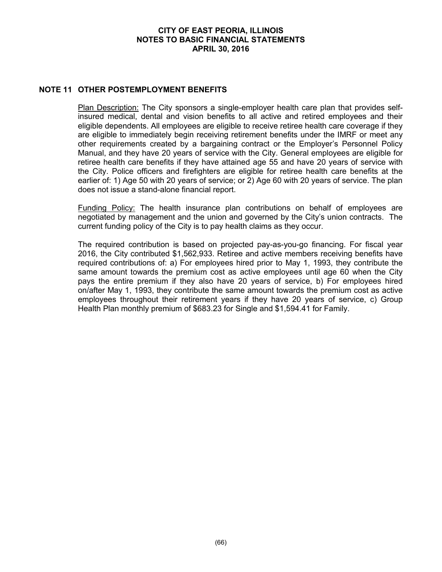# **NOTE 11 OTHER POSTEMPLOYMENT BENEFITS**

Plan Description: The City sponsors a single-employer health care plan that provides selfinsured medical, dental and vision benefits to all active and retired employees and their eligible dependents. All employees are eligible to receive retiree health care coverage if they are eligible to immediately begin receiving retirement benefits under the IMRF or meet any other requirements created by a bargaining contract or the Employer's Personnel Policy Manual, and they have 20 years of service with the City. General employees are eligible for retiree health care benefits if they have attained age 55 and have 20 years of service with the City. Police officers and firefighters are eligible for retiree health care benefits at the earlier of: 1) Age 50 with 20 years of service; or 2) Age 60 with 20 years of service. The plan does not issue a stand-alone financial report.

Funding Policy: The health insurance plan contributions on behalf of employees are negotiated by management and the union and governed by the City's union contracts. The current funding policy of the City is to pay health claims as they occur.

The required contribution is based on projected pay-as-you-go financing. For fiscal year 2016, the City contributed \$1,562,933. Retiree and active members receiving benefits have required contributions of: a) For employees hired prior to May 1, 1993, they contribute the same amount towards the premium cost as active employees until age 60 when the City pays the entire premium if they also have 20 years of service, b) For employees hired on/after May 1, 1993, they contribute the same amount towards the premium cost as active employees throughout their retirement years if they have 20 years of service, c) Group Health Plan monthly premium of \$683.23 for Single and \$1,594.41 for Family.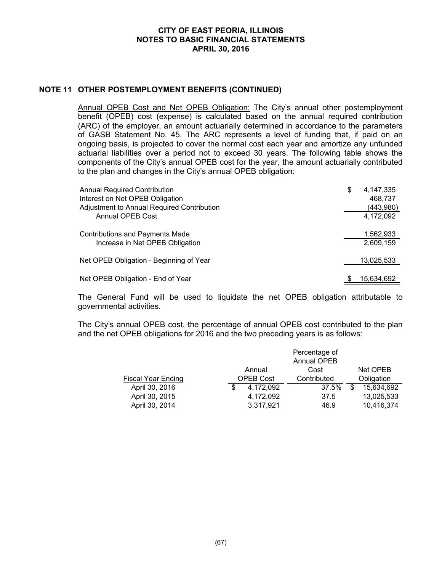# **NOTE 11 OTHER POSTEMPLOYMENT BENEFITS (CONTINUED)**

Annual OPEB Cost and Net OPEB Obligation: The City's annual other postemployment benefit (OPEB) cost (expense) is calculated based on the annual required contribution (ARC) of the employer, an amount actuarially determined in accordance to the parameters of GASB Statement No. 45. The ARC represents a level of funding that, if paid on an ongoing basis, is projected to cover the normal cost each year and amortize any unfunded actuarial liabilities over a period not to exceed 30 years. The following table shows the components of the City's annual OPEB cost for the year, the amount actuarially contributed to the plan and changes in the City's annual OPEB obligation:

| <b>Annual Required Contribution</b>                                | \$<br>4,147,335        |
|--------------------------------------------------------------------|------------------------|
| Interest on Net OPEB Obligation                                    | 468,737                |
| Adjustment to Annual Required Contribution                         | (443,980)              |
| Annual OPEB Cost                                                   | 4,172,092              |
| Contributions and Payments Made<br>Increase in Net OPEB Obligation | 1,562,933<br>2,609,159 |
| Net OPEB Obligation - Beginning of Year                            | 13,025,533             |
| Net OPEB Obligation - End of Year                                  | 15,634,692             |

The General Fund will be used to liquidate the net OPEB obligation attributable to governmental activities.

The City's annual OPEB cost, the percentage of annual OPEB cost contributed to the plan and the net OPEB obligations for 2016 and the two preceding years is as follows:

|                           |   | Percentage of      |             |       |            |            |  |
|---------------------------|---|--------------------|-------------|-------|------------|------------|--|
|                           |   | <b>Annual OPEB</b> |             |       |            |            |  |
|                           |   | Annual             |             | Cost  |            | Net OPEB   |  |
| <b>Fiscal Year Ending</b> |   | <b>OPEB Cost</b>   | Contributed |       | Obligation |            |  |
| April 30, 2016            | S | 4,172,092          |             | 37.5% | S          | 15,634,692 |  |
| April 30, 2015            |   | 4,172,092          |             | 37.5  |            | 13,025,533 |  |
| April 30, 2014            |   | 3,317,921          |             | 46.9  |            | 10,416,374 |  |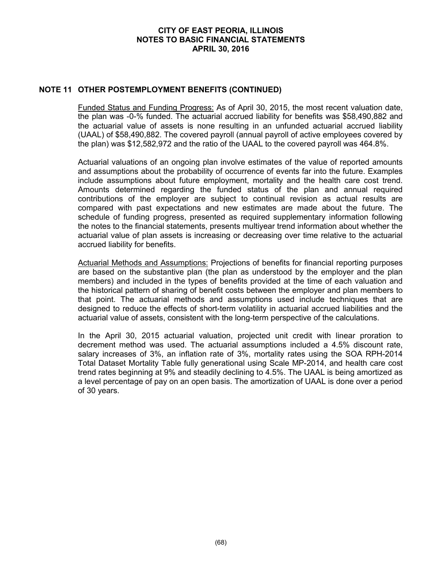# **NOTE 11 OTHER POSTEMPLOYMENT BENEFITS (CONTINUED)**

Funded Status and Funding Progress: As of April 30, 2015, the most recent valuation date, the plan was -0-% funded. The actuarial accrued liability for benefits was \$58,490,882 and the actuarial value of assets is none resulting in an unfunded actuarial accrued liability (UAAL) of \$58,490,882. The covered payroll (annual payroll of active employees covered by the plan) was \$12,582,972 and the ratio of the UAAL to the covered payroll was 464.8%.

Actuarial valuations of an ongoing plan involve estimates of the value of reported amounts and assumptions about the probability of occurrence of events far into the future. Examples include assumptions about future employment, mortality and the health care cost trend. Amounts determined regarding the funded status of the plan and annual required contributions of the employer are subject to continual revision as actual results are compared with past expectations and new estimates are made about the future. The schedule of funding progress, presented as required supplementary information following the notes to the financial statements, presents multiyear trend information about whether the actuarial value of plan assets is increasing or decreasing over time relative to the actuarial accrued liability for benefits.

Actuarial Methods and Assumptions: Projections of benefits for financial reporting purposes are based on the substantive plan (the plan as understood by the employer and the plan members) and included in the types of benefits provided at the time of each valuation and the historical pattern of sharing of benefit costs between the employer and plan members to that point. The actuarial methods and assumptions used include techniques that are designed to reduce the effects of short-term volatility in actuarial accrued liabilities and the actuarial value of assets, consistent with the long-term perspective of the calculations.

In the April 30, 2015 actuarial valuation, projected unit credit with linear proration to decrement method was used. The actuarial assumptions included a 4.5% discount rate, salary increases of 3%, an inflation rate of 3%, mortality rates using the SOA RPH-2014 Total Dataset Mortality Table fully generational using Scale MP-2014, and health care cost trend rates beginning at 9% and steadily declining to 4.5%. The UAAL is being amortized as a level percentage of pay on an open basis. The amortization of UAAL is done over a period of 30 years.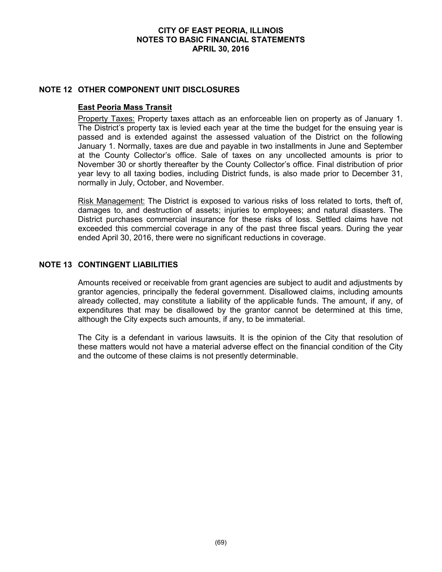# **NOTE 12 OTHER COMPONENT UNIT DISCLOSURES**

#### **East Peoria Mass Transit**

Property Taxes: Property taxes attach as an enforceable lien on property as of January 1. The District's property tax is levied each year at the time the budget for the ensuing year is passed and is extended against the assessed valuation of the District on the following January 1. Normally, taxes are due and payable in two installments in June and September at the County Collector's office. Sale of taxes on any uncollected amounts is prior to November 30 or shortly thereafter by the County Collector's office. Final distribution of prior year levy to all taxing bodies, including District funds, is also made prior to December 31, normally in July, October, and November.

Risk Management: The District is exposed to various risks of loss related to torts, theft of, damages to, and destruction of assets; injuries to employees; and natural disasters. The District purchases commercial insurance for these risks of loss. Settled claims have not exceeded this commercial coverage in any of the past three fiscal years. During the year ended April 30, 2016, there were no significant reductions in coverage.

### **NOTE 13 CONTINGENT LIABILITIES**

Amounts received or receivable from grant agencies are subject to audit and adjustments by grantor agencies, principally the federal government. Disallowed claims, including amounts already collected, may constitute a liability of the applicable funds. The amount, if any, of expenditures that may be disallowed by the grantor cannot be determined at this time, although the City expects such amounts, if any, to be immaterial.

The City is a defendant in various lawsuits. It is the opinion of the City that resolution of these matters would not have a material adverse effect on the financial condition of the City and the outcome of these claims is not presently determinable.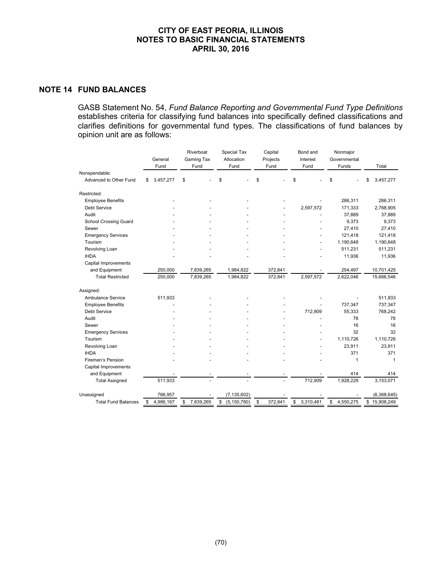#### **CITY OF EAST PEORIA, ILLINOIS NOTES TO BASIC FINANCIAL STATEMENTS APRIL 30, 2016**

# **NOTE 14 FUND BALANCES**

GASB Statement No. 54, *Fund Balance Reporting and Governmental Fund Type Definitions* establishes criteria for classifying fund balances into specifically defined classifications and clarifies definitions for governmental fund types. The classifications of fund balances by opinion unit are as follows:

|                            | General         | Riverboat<br><b>Gaming Tax</b> | Special Tax<br>Allocation | Capital<br>Bond and<br>Projects<br>Interest<br>Fund<br>Fund |             | Nonmajor<br>Governmental |                 |
|----------------------------|-----------------|--------------------------------|---------------------------|-------------------------------------------------------------|-------------|--------------------------|-----------------|
| Nonspendable:              | Fund            | Fund                           | Fund                      |                                                             |             | Funds                    | Total           |
| Advanced to Other Fund     | 3,457,277<br>\$ | \$                             | \$                        | \$                                                          | \$          | \$                       | \$<br>3,457,277 |
|                            |                 |                                |                           |                                                             |             |                          |                 |
| Restricted:                |                 |                                |                           |                                                             |             |                          |                 |
| <b>Employee Benefits</b>   |                 |                                |                           |                                                             |             | 286,311                  | 286,311         |
| Debt Service               |                 |                                |                           |                                                             | 2,597,572   | 171,333                  | 2,768,905       |
| Audit                      |                 |                                |                           |                                                             |             | 37,889                   | 37,889          |
| School Crossing Guard      |                 |                                |                           |                                                             |             | 9,373                    | 9,373           |
| Sewer                      |                 |                                |                           |                                                             |             | 27,410                   | 27,410          |
| <b>Emergency Services</b>  |                 |                                |                           |                                                             |             | 121,418                  | 121,418         |
| Tourism                    |                 |                                |                           |                                                             |             | 1,190,648                | 1,190,648       |
| Revolving Loan             |                 |                                |                           |                                                             |             | 511,231                  | 511,231         |
| <b>IHDA</b>                |                 |                                |                           |                                                             |             | 11,936                   | 11,936          |
| Capital Improvements       |                 |                                |                           |                                                             |             |                          |                 |
| and Equipment              | 250,000         | 7,839,265                      | 1,984,822                 | 372,841                                                     |             | 254,497                  | 10,701,425      |
| <b>Total Restricted</b>    | 250,000         | 7,839,265                      | 1,984,822                 | 372,841                                                     | 2,597,572   | 2,622,046                | 15,666,546      |
| Assigned:                  |                 |                                |                           |                                                             |             |                          |                 |
| Ambulance Service          | 511,933         |                                |                           |                                                             |             |                          | 511,933         |
| <b>Employee Benefits</b>   |                 |                                |                           |                                                             |             | 737,347                  | 737,347         |
| <b>Debt Service</b>        |                 |                                |                           |                                                             | 712,909     | 55,333                   | 768,242         |
| Audit                      |                 |                                |                           |                                                             |             | 78                       | 78              |
| Sewer                      |                 |                                |                           |                                                             |             | 16                       | 16              |
| <b>Emergency Services</b>  |                 |                                |                           |                                                             |             | 32                       | 32              |
| Tourism                    |                 |                                |                           |                                                             |             | 1,110,726                | 1,110,726       |
| Revolving Loan             |                 |                                |                           |                                                             |             | 23,911                   | 23,911          |
| <b>IHDA</b>                |                 |                                |                           |                                                             |             | 371                      | 371             |
| Firemen's Pension          |                 |                                |                           |                                                             |             | 1                        | $\mathbf{1}$    |
| Capital Improvements       |                 |                                |                           |                                                             |             |                          |                 |
| and Equipment              |                 |                                |                           |                                                             |             | 414                      | 414             |
| <b>Total Assigned</b>      | 511,933         |                                |                           |                                                             | 712,909     | 1,928,229                | 3,153,071       |
| Unassigned                 | 766,957         |                                | (7, 135, 602)             |                                                             |             |                          | (6,368,645)     |
| <b>Total Fund Balances</b> | 4,986,167<br>\$ | \$7,839,265                    | (5, 150, 780)<br>\$       | \$<br>372,841                                               | \$3,310,481 | \$4,550,275              | \$15,908,249    |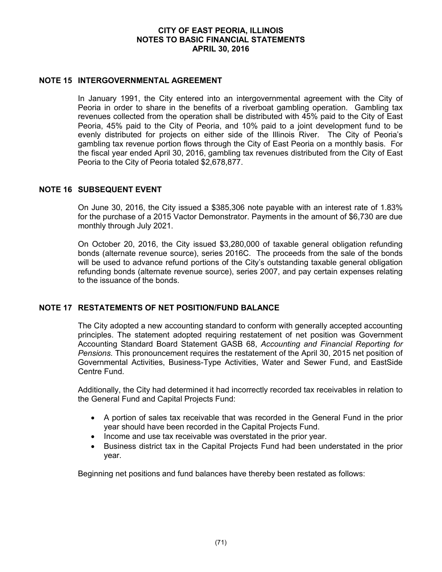### **CITY OF EAST PEORIA, ILLINOIS NOTES TO BASIC FINANCIAL STATEMENTS APRIL 30, 2016**

## **NOTE 15 INTERGOVERNMENTAL AGREEMENT**

In January 1991, the City entered into an intergovernmental agreement with the City of Peoria in order to share in the benefits of a riverboat gambling operation. Gambling tax revenues collected from the operation shall be distributed with 45% paid to the City of East Peoria, 45% paid to the City of Peoria, and 10% paid to a joint development fund to be evenly distributed for projects on either side of the Illinois River. The City of Peoria's gambling tax revenue portion flows through the City of East Peoria on a monthly basis. For the fiscal year ended April 30, 2016, gambling tax revenues distributed from the City of East Peoria to the City of Peoria totaled \$2,678,877.

## **NOTE 16 SUBSEQUENT EVENT**

On June 30, 2016, the City issued a \$385,306 note payable with an interest rate of 1.83% for the purchase of a 2015 Vactor Demonstrator. Payments in the amount of \$6,730 are due monthly through July 2021.

On October 20, 2016, the City issued \$3,280,000 of taxable general obligation refunding bonds (alternate revenue source), series 2016C. The proceeds from the sale of the bonds will be used to advance refund portions of the City's outstanding taxable general obligation refunding bonds (alternate revenue source), series 2007, and pay certain expenses relating to the issuance of the bonds.

## **NOTE 17 RESTATEMENTS OF NET POSITION/FUND BALANCE**

The City adopted a new accounting standard to conform with generally accepted accounting principles. The statement adopted requiring restatement of net position was Government Accounting Standard Board Statement GASB 68, *Accounting and Financial Reporting for Pensions*. This pronouncement requires the restatement of the April 30, 2015 net position of Governmental Activities, Business-Type Activities, Water and Sewer Fund, and EastSide Centre Fund.

Additionally, the City had determined it had incorrectly recorded tax receivables in relation to the General Fund and Capital Projects Fund:

- A portion of sales tax receivable that was recorded in the General Fund in the prior year should have been recorded in the Capital Projects Fund.
- Income and use tax receivable was overstated in the prior year.
- Business district tax in the Capital Projects Fund had been understated in the prior year.

Beginning net positions and fund balances have thereby been restated as follows: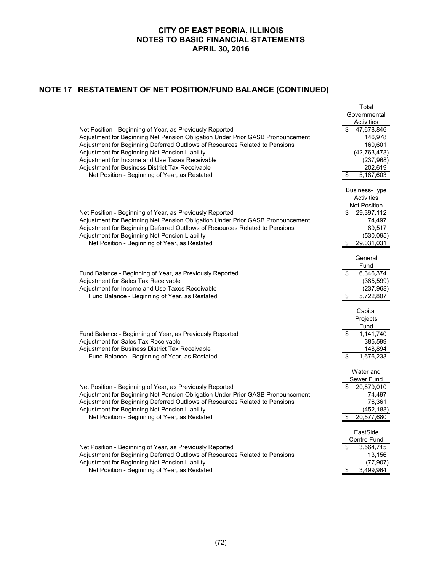## **CITY OF EAST PEORIA, ILLINOIS NOTES TO BASIC FINANCIAL STATEMENTS APRIL 30, 2016**

# **NOTE 17 RESTATEMENT OF NET POSITION/FUND BALANCE (CONTINUED)**

|                                                                                                                                            | Total                                   |
|--------------------------------------------------------------------------------------------------------------------------------------------|-----------------------------------------|
|                                                                                                                                            | Governmental                            |
|                                                                                                                                            | Activities                              |
| Net Position - Beginning of Year, as Previously Reported                                                                                   | \$<br>47,678,846                        |
| Adjustment for Beginning Net Pension Obligation Under Prior GASB Pronouncement                                                             | 146,978                                 |
| Adjustment for Beginning Deferred Outflows of Resources Related to Pensions                                                                | 160,601                                 |
| Adjustment for Beginning Net Pension Liability                                                                                             | (42, 763, 473)                          |
| Adjustment for Income and Use Taxes Receivable                                                                                             | (237,968)                               |
| Adjustment for Business District Tax Receivable                                                                                            | 202,619                                 |
| Net Position - Beginning of Year, as Restated                                                                                              | \$<br>5,187,603                         |
|                                                                                                                                            |                                         |
|                                                                                                                                            | Business-Type                           |
|                                                                                                                                            | <b>Activities</b>                       |
|                                                                                                                                            | <b>Net Position</b><br>29,397,112<br>\$ |
| Net Position - Beginning of Year, as Previously Reported<br>Adjustment for Beginning Net Pension Obligation Under Prior GASB Pronouncement | 74,497                                  |
| Adjustment for Beginning Deferred Outflows of Resources Related to Pensions                                                                | 89,517                                  |
| Adjustment for Beginning Net Pension Liability                                                                                             | (530,095)                               |
| Net Position - Beginning of Year, as Restated                                                                                              | \$<br>29,031,031                        |
|                                                                                                                                            |                                         |
|                                                                                                                                            | General                                 |
|                                                                                                                                            | Fund                                    |
| Fund Balance - Beginning of Year, as Previously Reported                                                                                   | \$<br>6,346,374                         |
| Adjustment for Sales Tax Receivable                                                                                                        | (385, 599)                              |
| Adjustment for Income and Use Taxes Receivable                                                                                             | (237, 968)                              |
| Fund Balance - Beginning of Year, as Restated                                                                                              | 5,722,807<br>\$                         |
|                                                                                                                                            | Capital                                 |
|                                                                                                                                            | Projects                                |
|                                                                                                                                            | Fund                                    |
| Fund Balance - Beginning of Year, as Previously Reported                                                                                   | \$<br>1,141,740                         |
| Adjustment for Sales Tax Receivable                                                                                                        | 385,599                                 |
| Adjustment for Business District Tax Receivable                                                                                            | 148,894                                 |
| Fund Balance - Beginning of Year, as Restated                                                                                              | \$<br>1,676,233                         |
|                                                                                                                                            |                                         |
|                                                                                                                                            | Water and                               |
|                                                                                                                                            | Sewer Fund                              |
| Net Position - Beginning of Year, as Previously Reported                                                                                   | 20,879,010                              |
| Adjustment for Beginning Net Pension Obligation Under Prior GASB Pronouncement                                                             | 74,497                                  |
| Adjustment for Beginning Deferred Outflows of Resources Related to Pensions<br>Adjustment for Beginning Net Pension Liability              | 76,361<br>(452, 188)                    |
| Net Position - Beginning of Year, as Restated                                                                                              | 20,577,680<br>\$                        |
|                                                                                                                                            |                                         |
|                                                                                                                                            | EastSide                                |
|                                                                                                                                            | Centre Fund                             |
| Net Position - Beginning of Year, as Previously Reported                                                                                   | 3,564,715<br>\$                         |
| Adjustment for Beginning Deferred Outflows of Resources Related to Pensions                                                                | 13,156                                  |
| Adjustment for Beginning Net Pension Liability                                                                                             | (77, 907)                               |
| Net Position - Beginning of Year, as Restated                                                                                              | 3,499,964<br>\$                         |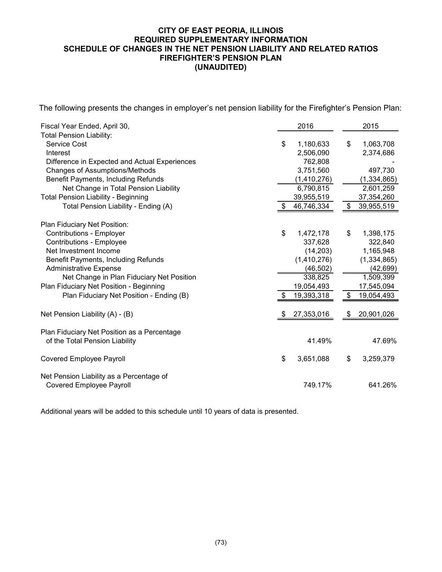## **CITY OF EAST PEORIA, ILLINOIS REQUIRED SUPPLEMENTARY INFORMATION SCHEDULE OF CHANGES IN THE NET PENSION LIABILITY AND RELATED RATIOS FIREFIGHTER'S PENSION PLAN (UNAUDITED)**

The following presents the changes in employer's net pension liability for the Firefighter's Pension Plan:

| Fiscal Year Ended, April 30,                                                                                 |     | 2016                              |     | 2015                   |
|--------------------------------------------------------------------------------------------------------------|-----|-----------------------------------|-----|------------------------|
| <b>Total Pension Liability:</b><br>Service Cost<br>Interest<br>Difference in Expected and Actual Experiences | \$  | 1,180,633<br>2,506,090<br>762,808 | \$  | 1,063,708<br>2,374,686 |
| <b>Changes of Assumptions/Methods</b>                                                                        |     | 3,751,560                         |     | 497,730                |
| Benefit Payments, Including Refunds                                                                          |     | (1,410,276)                       |     | (1, 334, 865)          |
| Net Change in Total Pension Liability                                                                        |     | 6,790,815                         |     | 2,601,259              |
| <b>Total Pension Liability - Beginning</b>                                                                   |     | 39,955,519                        |     | 37,354,260             |
| Total Pension Liability - Ending (A)                                                                         |     | 46,746,334                        | \$  | 39,955,519             |
| Plan Fiduciary Net Position:                                                                                 |     |                                   |     |                        |
| <b>Contributions - Employer</b>                                                                              | \$  | 1,472,178                         | \$  | 1,398,175              |
| <b>Contributions - Employee</b>                                                                              |     | 337,628                           |     | 322,840                |
| Net Investment Income                                                                                        |     | (14, 203)                         |     | 1,165,948              |
| Benefit Payments, Including Refunds                                                                          |     | (1,410,276)                       |     | (1, 334, 865)          |
| <b>Administrative Expense</b>                                                                                |     | (46, 502)                         |     | (42, 699)              |
| Net Change in Plan Fiduciary Net Position                                                                    |     | 338,825                           |     | 1,509,399              |
| Plan Fiduciary Net Position - Beginning                                                                      |     | 19,054,493                        |     | 17,545,094             |
| Plan Fiduciary Net Position - Ending (B)                                                                     |     | 19,393,318                        | \$  | 19,054,493             |
| Net Pension Liability (A) - (B)                                                                              | \$. | 27,353,016                        | \$. | 20,901,026             |
|                                                                                                              |     |                                   |     |                        |
| Plan Fiduciary Net Position as a Percentage<br>of the Total Pension Liability                                |     | 41.49%                            |     | 47.69%                 |
| <b>Covered Employee Payroll</b>                                                                              | \$  | 3,651,088                         | \$  | 3,259,379              |
| Net Pension Liability as a Percentage of<br><b>Covered Employee Payroll</b>                                  |     | 749.17%                           |     | 641.26%                |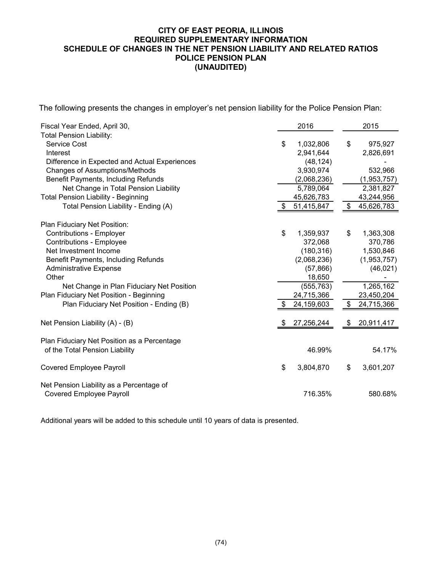#### **CITY OF EAST PEORIA, ILLINOIS REQUIRED SUPPLEMENTARY INFORMATION SCHEDULE OF CHANGES IN THE NET PENSION LIABILITY AND RELATED RATIOS POLICE PENSION PLAN (UNAUDITED)**

The following presents the changes in employer's net pension liability for the Police Pension Plan:

| Fiscal Year Ended, April 30,                                                                                                                                                                                                          |    | 2016                                                                         | 2015 |                                                             |  |
|---------------------------------------------------------------------------------------------------------------------------------------------------------------------------------------------------------------------------------------|----|------------------------------------------------------------------------------|------|-------------------------------------------------------------|--|
| <b>Total Pension Liability:</b><br>Service Cost<br>Interest<br>Difference in Expected and Actual Experiences<br><b>Changes of Assumptions/Methods</b><br>Benefit Payments, Including Refunds<br>Net Change in Total Pension Liability | \$ | 1,032,806<br>2,941,644<br>(48, 124)<br>3,930,974<br>(2,068,236)<br>5,789,064 | \$   | 975,927<br>2,826,691<br>532,966<br>(1,953,757)<br>2,381,827 |  |
| <b>Total Pension Liability - Beginning</b>                                                                                                                                                                                            |    | 45,626,783                                                                   |      | 43,244,956                                                  |  |
| Total Pension Liability - Ending (A)                                                                                                                                                                                                  |    | 51,415,847                                                                   | \$   | 45,626,783                                                  |  |
| Plan Fiduciary Net Position:<br><b>Contributions - Employer</b>                                                                                                                                                                       | \$ | 1,359,937                                                                    | \$   | 1,363,308                                                   |  |
| <b>Contributions - Employee</b>                                                                                                                                                                                                       |    | 372,068                                                                      |      | 370,786                                                     |  |
| Net Investment Income                                                                                                                                                                                                                 |    | (180, 316)                                                                   |      | 1,530,846                                                   |  |
| Benefit Payments, Including Refunds                                                                                                                                                                                                   |    | (2,068,236)                                                                  |      | (1,953,757)                                                 |  |
| <b>Administrative Expense</b><br>Other                                                                                                                                                                                                |    | (57, 866)<br>18,650                                                          |      | (46, 021)                                                   |  |
| Net Change in Plan Fiduciary Net Position                                                                                                                                                                                             |    | (555, 763)                                                                   |      | 1,265,162                                                   |  |
| Plan Fiduciary Net Position - Beginning                                                                                                                                                                                               |    | 24,715,366                                                                   |      | 23,450,204                                                  |  |
| Plan Fiduciary Net Position - Ending (B)                                                                                                                                                                                              |    | 24,159,603                                                                   | \$   | 24,715,366                                                  |  |
| Net Pension Liability (A) - (B)                                                                                                                                                                                                       | -5 | 27,256,244                                                                   | \$   | 20,911,417                                                  |  |
| Plan Fiduciary Net Position as a Percentage<br>of the Total Pension Liability                                                                                                                                                         |    | 46.99%                                                                       |      | 54.17%                                                      |  |
| <b>Covered Employee Payroll</b>                                                                                                                                                                                                       | \$ | 3,804,870                                                                    | \$   | 3,601,207                                                   |  |
| Net Pension Liability as a Percentage of<br><b>Covered Employee Payroll</b>                                                                                                                                                           |    | 716.35%                                                                      |      | 580.68%                                                     |  |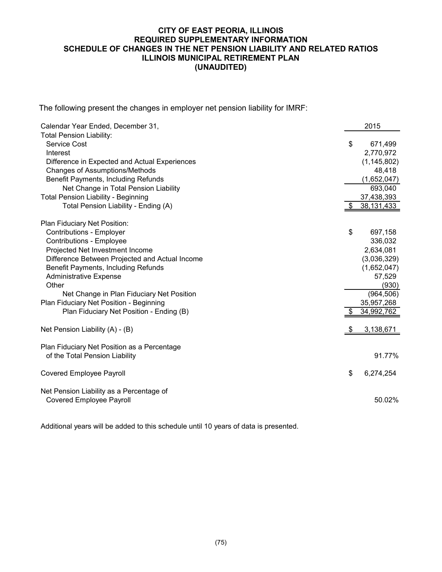## **CITY OF EAST PEORIA, ILLINOIS REQUIRED SUPPLEMENTARY INFORMATION SCHEDULE OF CHANGES IN THE NET PENSION LIABILITY AND RELATED RATIOS ILLINOIS MUNICIPAL RETIREMENT PLAN (UNAUDITED)**

The following present the changes in employer net pension liability for IMRF:

| Calendar Year Ended, December 31,<br><b>Total Pension Liability:</b>                                                                                                                                                                                                                                                                                                                                         | 2015                                                                                                                             |
|--------------------------------------------------------------------------------------------------------------------------------------------------------------------------------------------------------------------------------------------------------------------------------------------------------------------------------------------------------------------------------------------------------------|----------------------------------------------------------------------------------------------------------------------------------|
| <b>Service Cost</b><br>Interest<br>Difference in Expected and Actual Experiences                                                                                                                                                                                                                                                                                                                             | \$<br>671,499<br>2,770,972<br>(1, 145, 802)                                                                                      |
| <b>Changes of Assumptions/Methods</b><br>Benefit Payments, Including Refunds                                                                                                                                                                                                                                                                                                                                 | 48,418<br>(1,652,047)                                                                                                            |
| Net Change in Total Pension Liability                                                                                                                                                                                                                                                                                                                                                                        | 693,040                                                                                                                          |
| <b>Total Pension Liability - Beginning</b><br>Total Pension Liability - Ending (A)                                                                                                                                                                                                                                                                                                                           | \$<br>37,438,393<br>38,131,433                                                                                                   |
|                                                                                                                                                                                                                                                                                                                                                                                                              |                                                                                                                                  |
| Plan Fiduciary Net Position:<br><b>Contributions - Employer</b><br><b>Contributions - Employee</b><br>Projected Net Investment Income<br>Difference Between Projected and Actual Income<br>Benefit Payments, Including Refunds<br><b>Administrative Expense</b><br>Other<br>Net Change in Plan Fiduciary Net Position<br>Plan Fiduciary Net Position - Beginning<br>Plan Fiduciary Net Position - Ending (B) | \$<br>697,158<br>336,032<br>2,634,081<br>(3,036,329)<br>(1,652,047)<br>57,529<br>(930)<br>(964, 506)<br>35,957,268<br>34,992,762 |
| Net Pension Liability (A) - (B)                                                                                                                                                                                                                                                                                                                                                                              | 3,138,671                                                                                                                        |
| Plan Fiduciary Net Position as a Percentage<br>of the Total Pension Liability                                                                                                                                                                                                                                                                                                                                | 91.77%                                                                                                                           |
| <b>Covered Employee Payroll</b>                                                                                                                                                                                                                                                                                                                                                                              | \$<br>6,274,254                                                                                                                  |
| Net Pension Liability as a Percentage of<br><b>Covered Employee Payroll</b>                                                                                                                                                                                                                                                                                                                                  | 50.02%                                                                                                                           |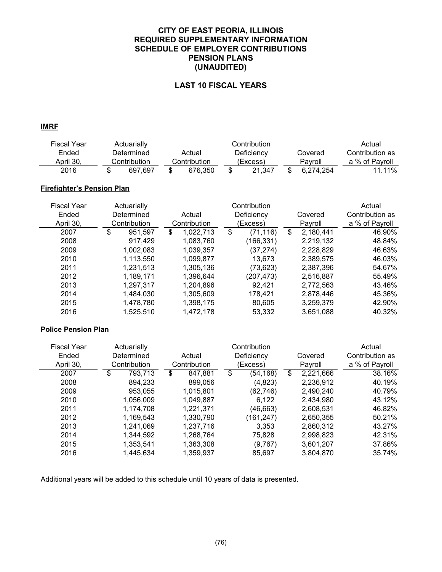#### **CITY OF EAST PEORIA, ILLINOIS REQUIRED SUPPLEMENTARY INFORMATION SCHEDULE OF EMPLOYER CONTRIBUTIONS PENSION PLANS (UNAUDITED)**

# **LAST 10 FISCAL YEARS**

#### **IMRF**

| Fiscal Year |   | Actuarially  |              | Actual                |                     |  |           |                 |
|-------------|---|--------------|--------------|-----------------------|---------------------|--|-----------|-----------------|
| Ended       |   | Determined   | Actual       | Deficiency<br>Covered |                     |  |           | Contribution as |
| April 30,   |   | Contribution | Contribution |                       | Pavroll<br>(Excess) |  |           | a % of Pavroll  |
| 2016        | S | 697.697      | 676.350      |                       | 21.347              |  | 6.274.254 | 11.11%          |

## **Firefighter's Pension Plan**

| <b>Fiscal Year</b> | Actuarially   |                | Contribution    |                 |                 |  |  |  |
|--------------------|---------------|----------------|-----------------|-----------------|-----------------|--|--|--|
| Ended              | Determined    | Actual         | Deficiency      | Covered         | Contribution as |  |  |  |
| April 30,          | Contribution  | Contribution   | (Excess)        | Payroll         | a % of Payroll  |  |  |  |
| 2007               | 951,597<br>\$ | 1,022,713<br>S | \$<br>(71, 116) | 2,180,441<br>\$ | 46.90%          |  |  |  |
| 2008               | 917,429       | 1,083,760      | (166, 331)      | 2,219,132       | 48.84%          |  |  |  |
| 2009               | 1,002,083     | 1,039,357      | (37,274)        | 2,228,829       | 46.63%          |  |  |  |
| 2010               | 1,113,550     | 1.099.877      | 13,673          | 2,389,575       | 46.03%          |  |  |  |
| 2011               | 1,231,513     | 1,305,136      | (73, 623)       | 2,387,396       | 54.67%          |  |  |  |
| 2012               | 1,189,171     | 1,396,644      | (207, 473)      | 2,516,887       | 55.49%          |  |  |  |
| 2013               | 1,297,317     | 1,204,896      | 92,421          | 2,772,563       | 43.46%          |  |  |  |
| 2014               | 1,484,030     | 1,305,609      | 178,421         | 2,878,446       | 45.36%          |  |  |  |
| 2015               | 1,478,780     | 1,398,175      | 80,605          | 3,259,379       | 42.90%          |  |  |  |
| 2016               | 1,525,510     | 1,472,178      | 53,332          | 3,651,088       | 40.32%          |  |  |  |

#### **Police Pension Plan**

| <b>Fiscal Year</b> | Actuarially   | Contribution |              |            |            |    |           | Actual          |  |
|--------------------|---------------|--------------|--------------|------------|------------|----|-----------|-----------------|--|
| Ended              | Determined    |              | Actual       | Deficiency |            |    | Covered   | Contribution as |  |
| April 30,          | Contribution  |              | Contribution |            | (Excess)   |    | Payroll   | a % of Payroll  |  |
| 2007               | \$<br>793,713 | S            | 847,881      | \$         | (54, 168)  | \$ | 2,221,666 | 38.16%          |  |
| 2008               | 894,233       |              | 899,056      |            | (4,823)    |    | 2,236,912 | 40.19%          |  |
| 2009               | 953,055       |              | 1,015,801    |            | (62, 746)  |    | 2,490,240 | 40.79%          |  |
| 2010               | 1,056,009     |              | 1,049,887    |            | 6,122      |    | 2,434,980 | 43.12%          |  |
| 2011               | 1,174,708     |              | 1,221,371    |            | (46, 663)  |    | 2,608,531 | 46.82%          |  |
| 2012               | 1,169,543     |              | 1,330,790    |            | (161, 247) |    | 2,650,355 | 50.21%          |  |
| 2013               | 1,241,069     |              | 1,237,716    |            | 3,353      |    | 2,860,312 | 43.27%          |  |
| 2014               | 1,344,592     |              | 1,268,764    |            | 75,828     |    | 2,998,823 | 42.31%          |  |
| 2015               | 1,353,541     |              | 1,363,308    |            | (9,767)    |    | 3,601,207 | 37.86%          |  |
| 2016               | 1,445,634     |              | 1,359,937    |            | 85,697     |    | 3,804,870 | 35.74%          |  |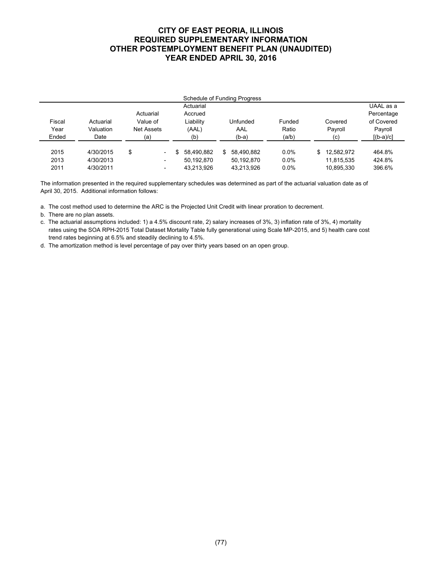## **CITY OF EAST PEORIA, ILLINOIS REQUIRED SUPPLEMENTARY INFORMATION OTHER POSTEMPLOYMENT BENEFIT PLAN (UNAUDITED) YEAR ENDED APRIL 30, 2016**

|        | <b>Schedule of Funding Progress</b> |            |   |   |            |    |            |         |    |            |             |
|--------|-------------------------------------|------------|---|---|------------|----|------------|---------|----|------------|-------------|
|        |                                     |            |   |   | Actuarial  |    |            |         |    |            | UAAL as a   |
|        |                                     | Actuarial  |   |   | Accrued    |    |            |         |    |            | Percentage  |
| Fiscal | Actuarial                           | Value of   |   |   | Liabilitv  |    | Unfunded   | Funded  |    | Covered    | of Covered  |
| Year   | Valuation                           | Net Assets |   |   | (AAL)      |    | AAL        | Ratio   |    | Payroll    | Payroll     |
| Ended  | Date                                | (a)        |   |   | (b)        |    | $(b-a)$    | (a/b)   |    | (c)        | $[(b-a)/c]$ |
|        |                                     |            |   |   |            |    |            |         |    |            |             |
| 2015   | 4/30/2015                           | \$         |   | S | 58.490.882 | \$ | 58.490.882 | $0.0\%$ | \$ | 12.582.972 | 464.8%      |
| 2013   | 4/30/2013                           |            | - |   | 50.192.870 |    | 50,192,870 | 0.0%    |    | 11.815.535 | 424.8%      |
| 2011   | 4/30/2011                           |            | - |   | 43.213.926 |    | 43.213.926 | 0.0%    |    | 10.895.330 | 396.6%      |

The information presented in the required supplementary schedules was determined as part of the actuarial valuation date as of April 30, 2015. Additional information follows:

a. The cost method used to determine the ARC is the Projected Unit Credit with linear proration to decrement.

b. There are no plan assets.

c. The actuarial assumptions included: 1) a 4.5% discount rate, 2) salary increases of 3%, 3) inflation rate of 3%, 4) mortality rates using the SOA RPH-2015 Total Dataset Mortality Table fully generational using Scale MP-2015, and 5) health care cost trend rates beginning at 6.5% and steadily declining to 4.5%.

d. The amortization method is level percentage of pay over thirty years based on an open group.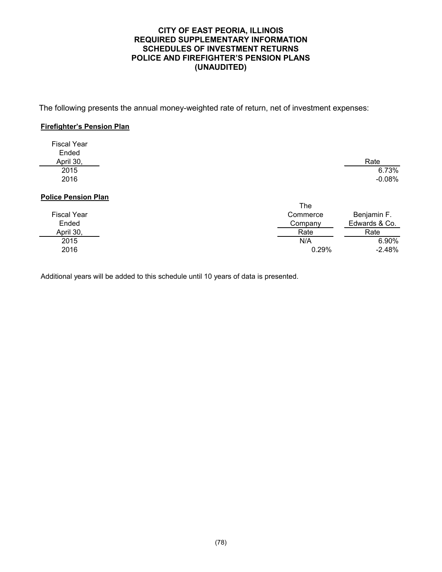#### **CITY OF EAST PEORIA, ILLINOIS REQUIRED SUPPLEMENTARY INFORMATION SCHEDULES OF INVESTMENT RETURNS POLICE AND FIREFIGHTER'S PENSION PLANS (UNAUDITED)**

The following presents the annual money-weighted rate of return, net of investment expenses:

#### **Firefighter's Pension Plan**

| <b>Fiscal Year</b>         |          |               |
|----------------------------|----------|---------------|
| Ended                      |          |               |
| April 30,                  |          | Rate          |
| 2015                       |          | 6.73%         |
| 2016                       |          | $-0.08%$      |
| <b>Police Pension Plan</b> |          |               |
|                            | The      |               |
| <b>Fiscal Year</b>         | Commerce | Benjamin F.   |
| Ended                      | Company  | Edwards & Co. |
| April 30,                  | Rate     | Rate          |
| 2015                       | N/A      | 6.90%         |
| 2016                       | 0.29%    | $-2.48%$      |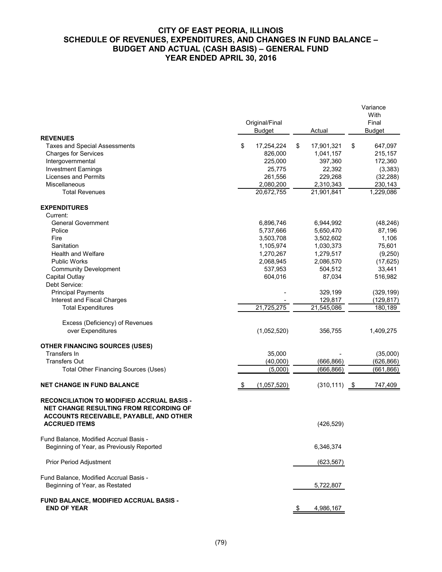#### **CITY OF EAST PEORIA, ILLINOIS SCHEDULE OF REVENUES, EXPENDITURES, AND CHANGES IN FUND BALANCE – BUDGET AND ACTUAL (CASH BASIS) – GENERAL FUND YEAR ENDED APRIL 30, 2016**

| With<br>Original/Final<br>Final<br>Actual<br><b>Budget</b><br><b>Budget</b><br><b>REVENUES</b><br>\$<br>17,901,321<br>\$<br><b>Taxes and Special Assessments</b><br>17,254,224<br>\$<br>647,097<br>826,000<br>215,157<br><b>Charges for Services</b><br>1,041,157<br>Intergovernmental<br>225,000<br>397,360<br>172,360<br><b>Investment Earnings</b><br>25,775<br>22,392<br>(3, 383)<br><b>Licenses and Permits</b><br>261,556<br>229,268<br>(32, 288)<br>Miscellaneous<br>2,080,200<br>230,143<br>2,310,343<br>20,672,755<br><b>Total Revenues</b><br>21,901,841<br>1,229,086<br><b>EXPENDITURES</b><br>Current:<br><b>General Government</b><br>6,896,746<br>6,944,992<br>(48, 246)<br>Police<br>5,737,666<br>5,650,470<br>87,196<br>Fire<br>3,503,708<br>1,106<br>3,502,602<br>75,601<br>Sanitation<br>1,105,974<br>1,030,373<br><b>Health and Welfare</b><br>1,270,267<br>1,279,517<br>(9,250)<br><b>Public Works</b><br>2,068,945<br>2,086,570<br>(17, 625)<br>33,441<br>537,953<br>504.512<br><b>Community Development</b><br>604,016<br>87,034<br>516,982<br>Capital Outlay<br>Debt Service:<br><b>Principal Payments</b><br>329,199<br>(329, 199)<br>Interest and Fiscal Charges<br>129,817<br>(129, 817)<br>21,725,275<br>21,545,086<br><b>Total Expenditures</b><br>180,189<br>Excess (Deficiency) of Revenues<br>over Expenditures<br>(1,052,520)<br>356,755<br>1,409,275<br><b>OTHER FINANCING SOURCES (USES)</b><br><b>Transfers In</b><br>35,000<br>(35,000)<br><b>Transfers Out</b><br>(666, 866)<br>(626, 866)<br>(40,000)<br><b>Total Other Financing Sources (Uses)</b><br>(5,000)<br>(666, 866)<br>(661, 866)<br><b>NET CHANGE IN FUND BALANCE</b><br>(1,057,520)<br>(310, 111)<br>747,409<br>- \$<br>SF.<br><b>RECONCILIATION TO MODIFIED ACCRUAL BASIS -</b><br><b>NET CHANGE RESULTING FROM RECORDING OF</b><br>ACCOUNTS RECEIVABLE, PAYABLE, AND OTHER<br><b>ACCRUED ITEMS</b><br>(426, 529)<br>Fund Balance, Modified Accrual Basis -<br>Beginning of Year, as Previously Reported<br>6,346,374<br>Prior Period Adjustment<br>(623, 567)<br>Fund Balance, Modified Accrual Basis -<br>Beginning of Year, as Restated<br>5,722,807<br>FUND BALANCE, MODIFIED ACCRUAL BASIS -<br><b>END OF YEAR</b><br>4,986,167 |  |  |  | Variance |
|-----------------------------------------------------------------------------------------------------------------------------------------------------------------------------------------------------------------------------------------------------------------------------------------------------------------------------------------------------------------------------------------------------------------------------------------------------------------------------------------------------------------------------------------------------------------------------------------------------------------------------------------------------------------------------------------------------------------------------------------------------------------------------------------------------------------------------------------------------------------------------------------------------------------------------------------------------------------------------------------------------------------------------------------------------------------------------------------------------------------------------------------------------------------------------------------------------------------------------------------------------------------------------------------------------------------------------------------------------------------------------------------------------------------------------------------------------------------------------------------------------------------------------------------------------------------------------------------------------------------------------------------------------------------------------------------------------------------------------------------------------------------------------------------------------------------------------------------------------------------------------------------------------------------------------------------------------------------------------------------------------------------------------------------------------------------------------------------------------------------------------------------------------------------------------------------------------------------------------------------|--|--|--|----------|
|                                                                                                                                                                                                                                                                                                                                                                                                                                                                                                                                                                                                                                                                                                                                                                                                                                                                                                                                                                                                                                                                                                                                                                                                                                                                                                                                                                                                                                                                                                                                                                                                                                                                                                                                                                                                                                                                                                                                                                                                                                                                                                                                                                                                                                         |  |  |  |          |
|                                                                                                                                                                                                                                                                                                                                                                                                                                                                                                                                                                                                                                                                                                                                                                                                                                                                                                                                                                                                                                                                                                                                                                                                                                                                                                                                                                                                                                                                                                                                                                                                                                                                                                                                                                                                                                                                                                                                                                                                                                                                                                                                                                                                                                         |  |  |  |          |
|                                                                                                                                                                                                                                                                                                                                                                                                                                                                                                                                                                                                                                                                                                                                                                                                                                                                                                                                                                                                                                                                                                                                                                                                                                                                                                                                                                                                                                                                                                                                                                                                                                                                                                                                                                                                                                                                                                                                                                                                                                                                                                                                                                                                                                         |  |  |  |          |
|                                                                                                                                                                                                                                                                                                                                                                                                                                                                                                                                                                                                                                                                                                                                                                                                                                                                                                                                                                                                                                                                                                                                                                                                                                                                                                                                                                                                                                                                                                                                                                                                                                                                                                                                                                                                                                                                                                                                                                                                                                                                                                                                                                                                                                         |  |  |  |          |
|                                                                                                                                                                                                                                                                                                                                                                                                                                                                                                                                                                                                                                                                                                                                                                                                                                                                                                                                                                                                                                                                                                                                                                                                                                                                                                                                                                                                                                                                                                                                                                                                                                                                                                                                                                                                                                                                                                                                                                                                                                                                                                                                                                                                                                         |  |  |  |          |
|                                                                                                                                                                                                                                                                                                                                                                                                                                                                                                                                                                                                                                                                                                                                                                                                                                                                                                                                                                                                                                                                                                                                                                                                                                                                                                                                                                                                                                                                                                                                                                                                                                                                                                                                                                                                                                                                                                                                                                                                                                                                                                                                                                                                                                         |  |  |  |          |
|                                                                                                                                                                                                                                                                                                                                                                                                                                                                                                                                                                                                                                                                                                                                                                                                                                                                                                                                                                                                                                                                                                                                                                                                                                                                                                                                                                                                                                                                                                                                                                                                                                                                                                                                                                                                                                                                                                                                                                                                                                                                                                                                                                                                                                         |  |  |  |          |
|                                                                                                                                                                                                                                                                                                                                                                                                                                                                                                                                                                                                                                                                                                                                                                                                                                                                                                                                                                                                                                                                                                                                                                                                                                                                                                                                                                                                                                                                                                                                                                                                                                                                                                                                                                                                                                                                                                                                                                                                                                                                                                                                                                                                                                         |  |  |  |          |
|                                                                                                                                                                                                                                                                                                                                                                                                                                                                                                                                                                                                                                                                                                                                                                                                                                                                                                                                                                                                                                                                                                                                                                                                                                                                                                                                                                                                                                                                                                                                                                                                                                                                                                                                                                                                                                                                                                                                                                                                                                                                                                                                                                                                                                         |  |  |  |          |
|                                                                                                                                                                                                                                                                                                                                                                                                                                                                                                                                                                                                                                                                                                                                                                                                                                                                                                                                                                                                                                                                                                                                                                                                                                                                                                                                                                                                                                                                                                                                                                                                                                                                                                                                                                                                                                                                                                                                                                                                                                                                                                                                                                                                                                         |  |  |  |          |
|                                                                                                                                                                                                                                                                                                                                                                                                                                                                                                                                                                                                                                                                                                                                                                                                                                                                                                                                                                                                                                                                                                                                                                                                                                                                                                                                                                                                                                                                                                                                                                                                                                                                                                                                                                                                                                                                                                                                                                                                                                                                                                                                                                                                                                         |  |  |  |          |
|                                                                                                                                                                                                                                                                                                                                                                                                                                                                                                                                                                                                                                                                                                                                                                                                                                                                                                                                                                                                                                                                                                                                                                                                                                                                                                                                                                                                                                                                                                                                                                                                                                                                                                                                                                                                                                                                                                                                                                                                                                                                                                                                                                                                                                         |  |  |  |          |
|                                                                                                                                                                                                                                                                                                                                                                                                                                                                                                                                                                                                                                                                                                                                                                                                                                                                                                                                                                                                                                                                                                                                                                                                                                                                                                                                                                                                                                                                                                                                                                                                                                                                                                                                                                                                                                                                                                                                                                                                                                                                                                                                                                                                                                         |  |  |  |          |
|                                                                                                                                                                                                                                                                                                                                                                                                                                                                                                                                                                                                                                                                                                                                                                                                                                                                                                                                                                                                                                                                                                                                                                                                                                                                                                                                                                                                                                                                                                                                                                                                                                                                                                                                                                                                                                                                                                                                                                                                                                                                                                                                                                                                                                         |  |  |  |          |
|                                                                                                                                                                                                                                                                                                                                                                                                                                                                                                                                                                                                                                                                                                                                                                                                                                                                                                                                                                                                                                                                                                                                                                                                                                                                                                                                                                                                                                                                                                                                                                                                                                                                                                                                                                                                                                                                                                                                                                                                                                                                                                                                                                                                                                         |  |  |  |          |
|                                                                                                                                                                                                                                                                                                                                                                                                                                                                                                                                                                                                                                                                                                                                                                                                                                                                                                                                                                                                                                                                                                                                                                                                                                                                                                                                                                                                                                                                                                                                                                                                                                                                                                                                                                                                                                                                                                                                                                                                                                                                                                                                                                                                                                         |  |  |  |          |
|                                                                                                                                                                                                                                                                                                                                                                                                                                                                                                                                                                                                                                                                                                                                                                                                                                                                                                                                                                                                                                                                                                                                                                                                                                                                                                                                                                                                                                                                                                                                                                                                                                                                                                                                                                                                                                                                                                                                                                                                                                                                                                                                                                                                                                         |  |  |  |          |
|                                                                                                                                                                                                                                                                                                                                                                                                                                                                                                                                                                                                                                                                                                                                                                                                                                                                                                                                                                                                                                                                                                                                                                                                                                                                                                                                                                                                                                                                                                                                                                                                                                                                                                                                                                                                                                                                                                                                                                                                                                                                                                                                                                                                                                         |  |  |  |          |
|                                                                                                                                                                                                                                                                                                                                                                                                                                                                                                                                                                                                                                                                                                                                                                                                                                                                                                                                                                                                                                                                                                                                                                                                                                                                                                                                                                                                                                                                                                                                                                                                                                                                                                                                                                                                                                                                                                                                                                                                                                                                                                                                                                                                                                         |  |  |  |          |
|                                                                                                                                                                                                                                                                                                                                                                                                                                                                                                                                                                                                                                                                                                                                                                                                                                                                                                                                                                                                                                                                                                                                                                                                                                                                                                                                                                                                                                                                                                                                                                                                                                                                                                                                                                                                                                                                                                                                                                                                                                                                                                                                                                                                                                         |  |  |  |          |
|                                                                                                                                                                                                                                                                                                                                                                                                                                                                                                                                                                                                                                                                                                                                                                                                                                                                                                                                                                                                                                                                                                                                                                                                                                                                                                                                                                                                                                                                                                                                                                                                                                                                                                                                                                                                                                                                                                                                                                                                                                                                                                                                                                                                                                         |  |  |  |          |
|                                                                                                                                                                                                                                                                                                                                                                                                                                                                                                                                                                                                                                                                                                                                                                                                                                                                                                                                                                                                                                                                                                                                                                                                                                                                                                                                                                                                                                                                                                                                                                                                                                                                                                                                                                                                                                                                                                                                                                                                                                                                                                                                                                                                                                         |  |  |  |          |
|                                                                                                                                                                                                                                                                                                                                                                                                                                                                                                                                                                                                                                                                                                                                                                                                                                                                                                                                                                                                                                                                                                                                                                                                                                                                                                                                                                                                                                                                                                                                                                                                                                                                                                                                                                                                                                                                                                                                                                                                                                                                                                                                                                                                                                         |  |  |  |          |
|                                                                                                                                                                                                                                                                                                                                                                                                                                                                                                                                                                                                                                                                                                                                                                                                                                                                                                                                                                                                                                                                                                                                                                                                                                                                                                                                                                                                                                                                                                                                                                                                                                                                                                                                                                                                                                                                                                                                                                                                                                                                                                                                                                                                                                         |  |  |  |          |
|                                                                                                                                                                                                                                                                                                                                                                                                                                                                                                                                                                                                                                                                                                                                                                                                                                                                                                                                                                                                                                                                                                                                                                                                                                                                                                                                                                                                                                                                                                                                                                                                                                                                                                                                                                                                                                                                                                                                                                                                                                                                                                                                                                                                                                         |  |  |  |          |
|                                                                                                                                                                                                                                                                                                                                                                                                                                                                                                                                                                                                                                                                                                                                                                                                                                                                                                                                                                                                                                                                                                                                                                                                                                                                                                                                                                                                                                                                                                                                                                                                                                                                                                                                                                                                                                                                                                                                                                                                                                                                                                                                                                                                                                         |  |  |  |          |
|                                                                                                                                                                                                                                                                                                                                                                                                                                                                                                                                                                                                                                                                                                                                                                                                                                                                                                                                                                                                                                                                                                                                                                                                                                                                                                                                                                                                                                                                                                                                                                                                                                                                                                                                                                                                                                                                                                                                                                                                                                                                                                                                                                                                                                         |  |  |  |          |
|                                                                                                                                                                                                                                                                                                                                                                                                                                                                                                                                                                                                                                                                                                                                                                                                                                                                                                                                                                                                                                                                                                                                                                                                                                                                                                                                                                                                                                                                                                                                                                                                                                                                                                                                                                                                                                                                                                                                                                                                                                                                                                                                                                                                                                         |  |  |  |          |
|                                                                                                                                                                                                                                                                                                                                                                                                                                                                                                                                                                                                                                                                                                                                                                                                                                                                                                                                                                                                                                                                                                                                                                                                                                                                                                                                                                                                                                                                                                                                                                                                                                                                                                                                                                                                                                                                                                                                                                                                                                                                                                                                                                                                                                         |  |  |  |          |
|                                                                                                                                                                                                                                                                                                                                                                                                                                                                                                                                                                                                                                                                                                                                                                                                                                                                                                                                                                                                                                                                                                                                                                                                                                                                                                                                                                                                                                                                                                                                                                                                                                                                                                                                                                                                                                                                                                                                                                                                                                                                                                                                                                                                                                         |  |  |  |          |
|                                                                                                                                                                                                                                                                                                                                                                                                                                                                                                                                                                                                                                                                                                                                                                                                                                                                                                                                                                                                                                                                                                                                                                                                                                                                                                                                                                                                                                                                                                                                                                                                                                                                                                                                                                                                                                                                                                                                                                                                                                                                                                                                                                                                                                         |  |  |  |          |
|                                                                                                                                                                                                                                                                                                                                                                                                                                                                                                                                                                                                                                                                                                                                                                                                                                                                                                                                                                                                                                                                                                                                                                                                                                                                                                                                                                                                                                                                                                                                                                                                                                                                                                                                                                                                                                                                                                                                                                                                                                                                                                                                                                                                                                         |  |  |  |          |
|                                                                                                                                                                                                                                                                                                                                                                                                                                                                                                                                                                                                                                                                                                                                                                                                                                                                                                                                                                                                                                                                                                                                                                                                                                                                                                                                                                                                                                                                                                                                                                                                                                                                                                                                                                                                                                                                                                                                                                                                                                                                                                                                                                                                                                         |  |  |  |          |
|                                                                                                                                                                                                                                                                                                                                                                                                                                                                                                                                                                                                                                                                                                                                                                                                                                                                                                                                                                                                                                                                                                                                                                                                                                                                                                                                                                                                                                                                                                                                                                                                                                                                                                                                                                                                                                                                                                                                                                                                                                                                                                                                                                                                                                         |  |  |  |          |
|                                                                                                                                                                                                                                                                                                                                                                                                                                                                                                                                                                                                                                                                                                                                                                                                                                                                                                                                                                                                                                                                                                                                                                                                                                                                                                                                                                                                                                                                                                                                                                                                                                                                                                                                                                                                                                                                                                                                                                                                                                                                                                                                                                                                                                         |  |  |  |          |
|                                                                                                                                                                                                                                                                                                                                                                                                                                                                                                                                                                                                                                                                                                                                                                                                                                                                                                                                                                                                                                                                                                                                                                                                                                                                                                                                                                                                                                                                                                                                                                                                                                                                                                                                                                                                                                                                                                                                                                                                                                                                                                                                                                                                                                         |  |  |  |          |
|                                                                                                                                                                                                                                                                                                                                                                                                                                                                                                                                                                                                                                                                                                                                                                                                                                                                                                                                                                                                                                                                                                                                                                                                                                                                                                                                                                                                                                                                                                                                                                                                                                                                                                                                                                                                                                                                                                                                                                                                                                                                                                                                                                                                                                         |  |  |  |          |
|                                                                                                                                                                                                                                                                                                                                                                                                                                                                                                                                                                                                                                                                                                                                                                                                                                                                                                                                                                                                                                                                                                                                                                                                                                                                                                                                                                                                                                                                                                                                                                                                                                                                                                                                                                                                                                                                                                                                                                                                                                                                                                                                                                                                                                         |  |  |  |          |
|                                                                                                                                                                                                                                                                                                                                                                                                                                                                                                                                                                                                                                                                                                                                                                                                                                                                                                                                                                                                                                                                                                                                                                                                                                                                                                                                                                                                                                                                                                                                                                                                                                                                                                                                                                                                                                                                                                                                                                                                                                                                                                                                                                                                                                         |  |  |  |          |
|                                                                                                                                                                                                                                                                                                                                                                                                                                                                                                                                                                                                                                                                                                                                                                                                                                                                                                                                                                                                                                                                                                                                                                                                                                                                                                                                                                                                                                                                                                                                                                                                                                                                                                                                                                                                                                                                                                                                                                                                                                                                                                                                                                                                                                         |  |  |  |          |
|                                                                                                                                                                                                                                                                                                                                                                                                                                                                                                                                                                                                                                                                                                                                                                                                                                                                                                                                                                                                                                                                                                                                                                                                                                                                                                                                                                                                                                                                                                                                                                                                                                                                                                                                                                                                                                                                                                                                                                                                                                                                                                                                                                                                                                         |  |  |  |          |
|                                                                                                                                                                                                                                                                                                                                                                                                                                                                                                                                                                                                                                                                                                                                                                                                                                                                                                                                                                                                                                                                                                                                                                                                                                                                                                                                                                                                                                                                                                                                                                                                                                                                                                                                                                                                                                                                                                                                                                                                                                                                                                                                                                                                                                         |  |  |  |          |
|                                                                                                                                                                                                                                                                                                                                                                                                                                                                                                                                                                                                                                                                                                                                                                                                                                                                                                                                                                                                                                                                                                                                                                                                                                                                                                                                                                                                                                                                                                                                                                                                                                                                                                                                                                                                                                                                                                                                                                                                                                                                                                                                                                                                                                         |  |  |  |          |
|                                                                                                                                                                                                                                                                                                                                                                                                                                                                                                                                                                                                                                                                                                                                                                                                                                                                                                                                                                                                                                                                                                                                                                                                                                                                                                                                                                                                                                                                                                                                                                                                                                                                                                                                                                                                                                                                                                                                                                                                                                                                                                                                                                                                                                         |  |  |  |          |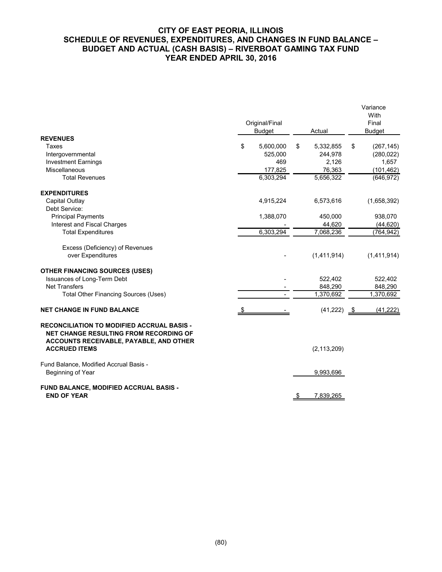## **CITY OF EAST PEORIA, ILLINOIS SCHEDULE OF REVENUES, EXPENDITURES, AND CHANGES IN FUND BALANCE – BUDGET AND ACTUAL (CASH BASIS) – RIVERBOAT GAMING TAX FUND YEAR ENDED APRIL 30, 2016**

|                                                                                                                                               | Original/Final<br><b>Budget</b><br>Actual |    |               |      |               |
|-----------------------------------------------------------------------------------------------------------------------------------------------|-------------------------------------------|----|---------------|------|---------------|
| <b>REVENUES</b>                                                                                                                               |                                           |    |               |      | <b>Budget</b> |
| <b>Taxes</b>                                                                                                                                  | \$<br>5,600,000                           | \$ | 5,332,855     | \$   | (267, 145)    |
| Intergovernmental                                                                                                                             | 525,000                                   |    | 244,978       |      | (280, 022)    |
| <b>Investment Earnings</b>                                                                                                                    | 469                                       |    | 2,126         |      | 1,657         |
| Miscellaneous                                                                                                                                 | 177,825                                   |    | 76,363        |      | (101, 462)    |
| <b>Total Revenues</b>                                                                                                                         | 6,303,294                                 |    | 5,656,322     |      | (646, 972)    |
| <b>EXPENDITURES</b>                                                                                                                           |                                           |    |               |      |               |
| Capital Outlay                                                                                                                                | 4,915,224                                 |    | 6,573,616     |      | (1,658,392)   |
| Debt Service:                                                                                                                                 |                                           |    |               |      |               |
| <b>Principal Payments</b>                                                                                                                     | 1,388,070                                 |    | 450,000       |      | 938,070       |
| Interest and Fiscal Charges                                                                                                                   |                                           |    | 44,620        |      | (44, 620)     |
| <b>Total Expenditures</b>                                                                                                                     | 6,303,294                                 |    | 7,068,236     |      | (764, 942)    |
| Excess (Deficiency) of Revenues                                                                                                               |                                           |    |               |      |               |
| over Expenditures                                                                                                                             |                                           |    | (1,411,914)   |      | (1,411,914)   |
| <b>OTHER FINANCING SOURCES (USES)</b>                                                                                                         |                                           |    |               |      |               |
| Issuances of Long-Term Debt                                                                                                                   |                                           |    | 522,402       |      | 522,402       |
| <b>Net Transfers</b>                                                                                                                          |                                           |    | 848,290       |      | 848,290       |
| <b>Total Other Financing Sources (Uses)</b>                                                                                                   |                                           |    | 1,370,692     |      | 1,370,692     |
| <b>NET CHANGE IN FUND BALANCE</b>                                                                                                             |                                           |    | (41, 222)     | - \$ | (41, 222)     |
| <b>RECONCILIATION TO MODIFIED ACCRUAL BASIS -</b><br><b>NET CHANGE RESULTING FROM RECORDING OF</b><br>ACCOUNTS RECEIVABLE, PAYABLE, AND OTHER |                                           |    |               |      |               |
| <b>ACCRUED ITEMS</b>                                                                                                                          |                                           |    | (2, 113, 209) |      |               |
| Fund Balance, Modified Accrual Basis -                                                                                                        |                                           |    |               |      |               |
| Beginning of Year                                                                                                                             |                                           |    | 9,993,696     |      |               |
| FUND BALANCE, MODIFIED ACCRUAL BASIS -                                                                                                        |                                           |    |               |      |               |
| <b>END OF YEAR</b>                                                                                                                            |                                           | \$ | 7,839,265     |      |               |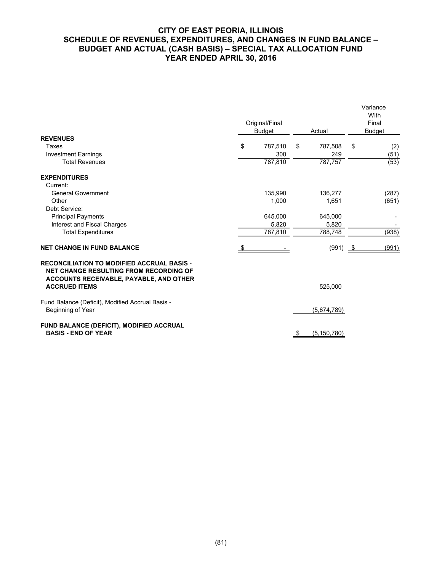## **CITY OF EAST PEORIA, ILLINOIS SCHEDULE OF REVENUES, EXPENDITURES, AND CHANGES IN FUND BALANCE – BUDGET AND ACTUAL (CASH BASIS) – SPECIAL TAX ALLOCATION FUND YEAR ENDED APRIL 30, 2016**

|                                                                                                                                               | Original/Final |                     |    | Variance<br>With<br>Final |
|-----------------------------------------------------------------------------------------------------------------------------------------------|----------------|---------------------|----|---------------------------|
|                                                                                                                                               | <b>Budget</b>  | Actual              |    | Budget                    |
| <b>REVENUES</b>                                                                                                                               |                |                     |    |                           |
| Taxes                                                                                                                                         | \$<br>787,510  | \$<br>787,508       | \$ | (2)                       |
| <b>Investment Earnings</b>                                                                                                                    | 300            | 249                 |    | (51)                      |
| <b>Total Revenues</b>                                                                                                                         | 787,810        | 787,757             |    | (53)                      |
| <b>EXPENDITURES</b>                                                                                                                           |                |                     |    |                           |
| Current:                                                                                                                                      |                |                     |    |                           |
| <b>General Government</b>                                                                                                                     | 135,990        | 136,277             |    | (287)                     |
| Other                                                                                                                                         | 1,000          | 1,651               |    | (651)                     |
| Debt Service:                                                                                                                                 |                |                     |    |                           |
| <b>Principal Payments</b>                                                                                                                     | 645,000        | 645,000             |    |                           |
| Interest and Fiscal Charges                                                                                                                   | 5,820          | 5,820               |    |                           |
| <b>Total Expenditures</b>                                                                                                                     | 787,810        | 788,748             |    | (938)                     |
| <b>NET CHANGE IN FUND BALANCE</b>                                                                                                             |                | (991)               | ა  | (991)                     |
| <b>RECONCILIATION TO MODIFIED ACCRUAL BASIS -</b><br><b>NET CHANGE RESULTING FROM RECORDING OF</b><br>ACCOUNTS RECEIVABLE, PAYABLE, AND OTHER |                |                     |    |                           |
| <b>ACCRUED ITEMS</b>                                                                                                                          |                | 525,000             |    |                           |
| Fund Balance (Deficit), Modified Accrual Basis -                                                                                              |                |                     |    |                           |
| Beginning of Year                                                                                                                             |                | (5,674,789)         |    |                           |
| FUND BALANCE (DEFICIT), MODIFIED ACCRUAL                                                                                                      |                |                     |    |                           |
| <b>BASIS - END OF YEAR</b>                                                                                                                    |                | \$<br>(5, 150, 780) |    |                           |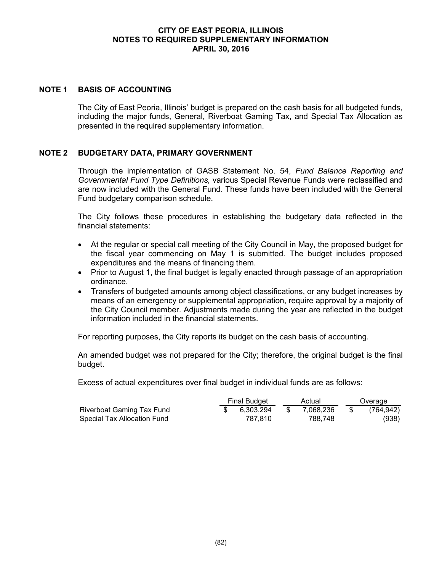#### **CITY OF EAST PEORIA, ILLINOIS NOTES TO REQUIRED SUPPLEMENTARY INFORMATION APRIL 30, 2016**

## **NOTE 1 BASIS OF ACCOUNTING**

The City of East Peoria, Illinois' budget is prepared on the cash basis for all budgeted funds, including the major funds, General, Riverboat Gaming Tax, and Special Tax Allocation as presented in the required supplementary information.

## **NOTE 2 BUDGETARY DATA, PRIMARY GOVERNMENT**

Through the implementation of GASB Statement No. 54, *Fund Balance Reporting and Governmental Fund Type Definitions,* various Special Revenue Funds were reclassified and are now included with the General Fund. These funds have been included with the General Fund budgetary comparison schedule.

The City follows these procedures in establishing the budgetary data reflected in the financial statements:

- At the regular or special call meeting of the City Council in May, the proposed budget for the fiscal year commencing on May 1 is submitted. The budget includes proposed expenditures and the means of financing them.
- Prior to August 1, the final budget is legally enacted through passage of an appropriation ordinance.
- Transfers of budgeted amounts among object classifications, or any budget increases by means of an emergency or supplemental appropriation, require approval by a majority of the City Council member. Adjustments made during the year are reflected in the budget information included in the financial statements.

For reporting purposes, the City reports its budget on the cash basis of accounting.

An amended budget was not prepared for the City; therefore, the original budget is the final budget.

Excess of actual expenditures over final budget in individual funds are as follows:

|                             | <b>Final Budget</b> | Actual    | Overage   |
|-----------------------------|---------------------|-----------|-----------|
| Riverboat Gaming Tax Fund   | 6.303.294           | 7.068.236 | (764.942) |
| Special Tax Allocation Fund | 787.810             | 788.748   | (938)     |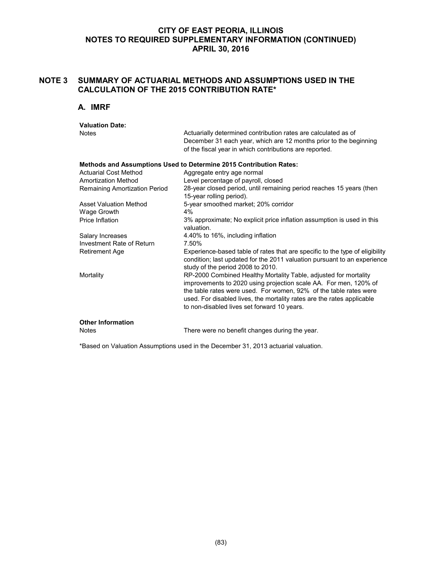### **CITY OF EAST PEORIA, ILLINOIS NOTES TO REQUIRED SUPPLEMENTARY INFORMATION (CONTINUED) APRIL 30, 2016**

## **NOTE 3 SUMMARY OF ACTUARIAL METHODS AND ASSUMPTIONS USED IN THE CALCULATION OF THE 2015 CONTRIBUTION RATE\***

#### **A. IMRF**

| <b>Valuation Date:</b>        |                                                                                                                                                                                                                                                                                                                                    |
|-------------------------------|------------------------------------------------------------------------------------------------------------------------------------------------------------------------------------------------------------------------------------------------------------------------------------------------------------------------------------|
| <b>Notes</b>                  | Actuarially determined contribution rates are calculated as of<br>December 31 each year, which are 12 months prior to the beginning                                                                                                                                                                                                |
|                               | of the fiscal year in which contributions are reported.                                                                                                                                                                                                                                                                            |
|                               | <b>Methods and Assumptions Used to Determine 2015 Contribution Rates:</b>                                                                                                                                                                                                                                                          |
| <b>Actuarial Cost Method</b>  | Aggregate entry age normal                                                                                                                                                                                                                                                                                                         |
| <b>Amortization Method</b>    | Level percentage of payroll, closed                                                                                                                                                                                                                                                                                                |
| Remaining Amortization Period | 28-year closed period, until remaining period reaches 15 years (then<br>15-year rolling period).                                                                                                                                                                                                                                   |
| Asset Valuation Method        | 5-year smoothed market; 20% corridor                                                                                                                                                                                                                                                                                               |
| Wage Growth                   | 4%                                                                                                                                                                                                                                                                                                                                 |
| Price Inflation               | 3% approximate; No explicit price inflation assumption is used in this<br>valuation.                                                                                                                                                                                                                                               |
| Salary Increases              | 4.40% to 16%, including inflation                                                                                                                                                                                                                                                                                                  |
| Investment Rate of Return     | 7.50%                                                                                                                                                                                                                                                                                                                              |
| <b>Retirement Age</b>         | Experience-based table of rates that are specific to the type of eligibility<br>condition; last updated for the 2011 valuation pursuant to an experience<br>study of the period 2008 to 2010.                                                                                                                                      |
| Mortality                     | RP-2000 Combined Healthy Mortality Table, adjusted for mortality<br>improvements to 2020 using projection scale AA. For men, 120% of<br>the table rates were used. For women, 92% of the table rates were<br>used. For disabled lives, the mortality rates are the rates applicable<br>to non-disabled lives set forward 10 years. |
| <b>Other Information</b>      |                                                                                                                                                                                                                                                                                                                                    |
| <b>Notes</b>                  | There were no benefit changes during the year.                                                                                                                                                                                                                                                                                     |
|                               |                                                                                                                                                                                                                                                                                                                                    |

\*Based on Valuation Assumptions used in the December 31, 2013 actuarial valuation.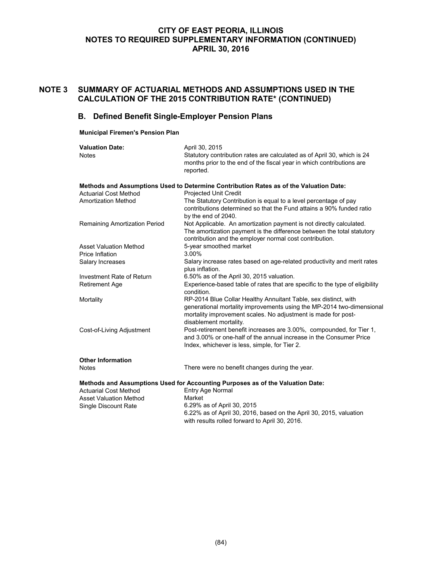#### **CITY OF EAST PEORIA, ILLINOIS NOTES TO REQUIRED SUPPLEMENTARY INFORMATION (CONTINUED) APRIL 30, 2016**

## **NOTE 3 SUMMARY OF ACTUARIAL METHODS AND ASSUMPTIONS USED IN THE CALCULATION OF THE 2015 CONTRIBUTION RATE\* (CONTINUED)**

# **B. Defined Benefit Single-Employer Pension Plans**

#### **Municipal Firemen's Pension Plan**

| <b>Valuation Date:</b><br><b>Notes</b> | April 30, 2015<br>Statutory contribution rates are calculated as of April 30, which is 24<br>months prior to the end of the fiscal year in which contributions are                                                                  |
|----------------------------------------|-------------------------------------------------------------------------------------------------------------------------------------------------------------------------------------------------------------------------------------|
|                                        | reported.                                                                                                                                                                                                                           |
|                                        | Methods and Assumptions Used to Determine Contribution Rates as of the Valuation Date:                                                                                                                                              |
| <b>Actuarial Cost Method</b>           | <b>Projected Unit Credit</b>                                                                                                                                                                                                        |
| Amortization Method                    | The Statutory Contribution is equal to a level percentage of pay<br>contributions determined so that the Fund attains a 90% funded ratio<br>by the end of 2040.                                                                     |
| Remaining Amortization Period          | Not Applicable. An amortization payment is not directly calculated.<br>The amortization payment is the difference between the total statutory<br>contribution and the employer normal cost contribution.                            |
| <b>Asset Valuation Method</b>          | 5-year smoothed market                                                                                                                                                                                                              |
| Price Inflation                        | 3.00%                                                                                                                                                                                                                               |
| Salary Increases                       | Salary increase rates based on age-related productivity and merit rates<br>plus inflation.                                                                                                                                          |
| Investment Rate of Return              | 6.50% as of the April 30, 2015 valuation.                                                                                                                                                                                           |
| <b>Retirement Age</b>                  | Experience-based table of rates that are specific to the type of eligibility<br>condition.                                                                                                                                          |
| Mortality                              | RP-2014 Blue Collar Healthy Annuitant Table, sex distinct, with<br>generational mortality improvements using the MP-2014 two-dimensional<br>mortality improvement scales. No adjustment is made for post-<br>disablement mortality. |
| Cost-of-Living Adjustment              | Post-retirement benefit increases are 3.00%, compounded, for Tier 1,<br>and 3.00% or one-half of the annual increase in the Consumer Price<br>Index, whichever is less, simple, for Tier 2.                                         |
| <b>Other Information</b>               |                                                                                                                                                                                                                                     |
| <b>Notes</b>                           | There were no benefit changes during the year.                                                                                                                                                                                      |
| <b>Actuarial Cost Method</b>           | Methods and Assumptions Used for Accounting Purposes as of the Valuation Date:<br>Entry Age Normal                                                                                                                                  |
| <b>Asset Valuation Method</b>          | Market                                                                                                                                                                                                                              |
|                                        | 6.29% as of April 30, 2015                                                                                                                                                                                                          |
| Single Discount Rate                   | 6.22% as of April 30, 2016, based on the April 30, 2015, valuation                                                                                                                                                                  |
|                                        | with results rolled forward to April 30, 2016.                                                                                                                                                                                      |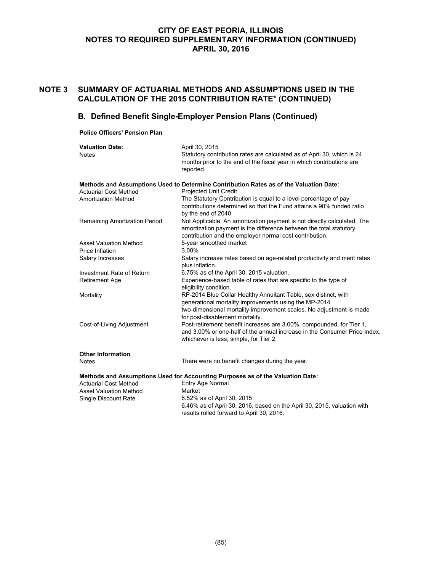### **CITY OF EAST PEORIA, ILLINOIS NOTES TO REQUIRED SUPPLEMENTARY INFORMATION (CONTINUED) APRIL 30, 2016**

## **NOTE 3 SUMMARY OF ACTUARIAL METHODS AND ASSUMPTIONS USED IN THE CALCULATION OF THE 2015 CONTRIBUTION RATE\* (CONTINUED)**

# **B. Defined Benefit Single-Employer Pension Plans (Continued)**

#### **Police Officers' Pension Plan**

| <b>Valuation Date:</b>        | April 30, 2015                                                                                                                                   |
|-------------------------------|--------------------------------------------------------------------------------------------------------------------------------------------------|
| <b>Notes</b>                  | Statutory contribution rates are calculated as of April 30, which is 24<br>months prior to the end of the fiscal year in which contributions are |
|                               | reported.                                                                                                                                        |
|                               | Methods and Assumptions Used to Determine Contribution Rates as of the Valuation Date:                                                           |
| <b>Actuarial Cost Method</b>  | <b>Projected Unit Credit</b>                                                                                                                     |
| <b>Amortization Method</b>    | The Statutory Contribution is equal to a level percentage of pay                                                                                 |
|                               | contributions determined so that the Fund attains a 90% funded ratio                                                                             |
|                               | by the end of 2040.                                                                                                                              |
| Remaining Amortization Period | Not Applicable. An amortization payment is not directly calculated. The                                                                          |
|                               | amortization payment is the difference between the total statutory                                                                               |
|                               | contribution and the employer normal cost contribution.                                                                                          |
| <b>Asset Valuation Method</b> | 5-year smoothed market                                                                                                                           |
| Price Inflation               | 3.00%                                                                                                                                            |
| Salary Increases              | Salary increase rates based on age-related productivity and merit rates                                                                          |
| Investment Rate of Return     | plus inflation.<br>6.75% as of the April 30, 2015 valuation.                                                                                     |
|                               | Experience-based table of rates that are specific to the type of                                                                                 |
| <b>Retirement Age</b>         | eligibility condition.                                                                                                                           |
| Mortality                     | RP-2014 Blue Collar Healthy Annuitant Table, sex distinct, with                                                                                  |
|                               | generational mortality improvements using the MP-2014                                                                                            |
|                               | two-dimensional mortality improvement scales. No adjustment is made                                                                              |
|                               | for post-disablement mortality.                                                                                                                  |
| Cost-of-Living Adjustment     | Post-retirement benefit increases are 3.00%, compounded, for Tier 1,                                                                             |
|                               | and 3.00% or one-half of the annual increase in the Consumer Price Index.                                                                        |
|                               | whichever is less, simple, for Tier 2.                                                                                                           |
| <b>Other Information</b>      |                                                                                                                                                  |
| Notes                         | There were no benefit changes during the year.                                                                                                   |
|                               |                                                                                                                                                  |
|                               | Methods and Assumptions Used for Accounting Purposes as of the Valuation Date:                                                                   |
| <b>Actuarial Cost Method</b>  | Entry Age Normal                                                                                                                                 |
| <b>Asset Valuation Method</b> | Market                                                                                                                                           |
| Single Discount Rate          | 6.52% as of April 30, 2015                                                                                                                       |
|                               | 6.46% as of April 30, 2016, based on the April 30, 2015, valuation with                                                                          |
|                               | results rolled forward to April 30, 2016.                                                                                                        |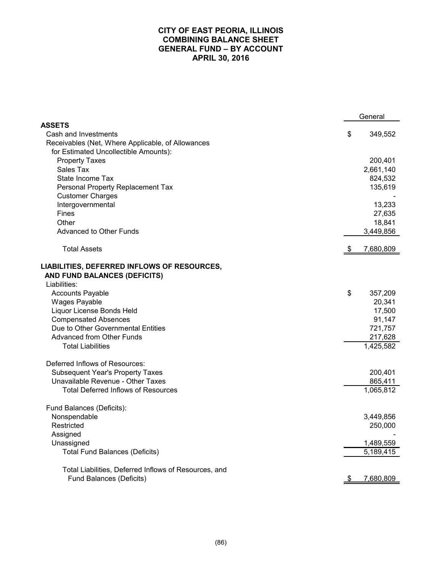## **CITY OF EAST PEORIA, ILLINOIS COMBINING BALANCE SHEET GENERAL FUND – BY ACCOUNT APRIL 30, 2016**

|                                                       | General         |
|-------------------------------------------------------|-----------------|
| <b>ASSETS</b>                                         |                 |
| Cash and Investments                                  | \$<br>349,552   |
| Receivables (Net, Where Applicable, of Allowances     |                 |
| for Estimated Uncollectible Amounts):                 |                 |
| <b>Property Taxes</b>                                 | 200,401         |
| Sales Tax                                             | 2,661,140       |
| State Income Tax                                      | 824,532         |
| Personal Property Replacement Tax                     | 135,619         |
| <b>Customer Charges</b>                               |                 |
| Intergovernmental                                     | 13,233          |
| <b>Fines</b>                                          | 27,635          |
| Other                                                 | 18,841          |
| <b>Advanced to Other Funds</b>                        | 3,449,856       |
| <b>Total Assets</b>                                   | \$<br>7,680,809 |
| LIABILITIES, DEFERRED INFLOWS OF RESOURCES,           |                 |
| AND FUND BALANCES (DEFICITS)                          |                 |
| Liabilities:                                          |                 |
| <b>Accounts Payable</b>                               | \$<br>357,209   |
| Wages Payable                                         | 20,341          |
| Liquor License Bonds Held                             | 17,500          |
| <b>Compensated Absences</b>                           | 91,147          |
| Due to Other Governmental Entities                    | 721,757         |
| <b>Advanced from Other Funds</b>                      | 217,628         |
| <b>Total Liabilities</b>                              | 1,425,582       |
|                                                       |                 |
| Deferred Inflows of Resources:                        |                 |
| <b>Subsequent Year's Property Taxes</b>               | 200,401         |
| Unavailable Revenue - Other Taxes                     | 865,411         |
| <b>Total Deferred Inflows of Resources</b>            | 1,065,812       |
| Fund Balances (Deficits):                             |                 |
| Nonspendable                                          | 3,449,856       |
| Restricted                                            | 250,000         |
| Assigned                                              |                 |
| Unassigned                                            | 1,489,559       |
| <b>Total Fund Balances (Deficits)</b>                 | 5,189,415       |
|                                                       |                 |
| Total Liabilities, Deferred Inflows of Resources, and |                 |
| Fund Balances (Deficits)                              | \$<br>7,680,809 |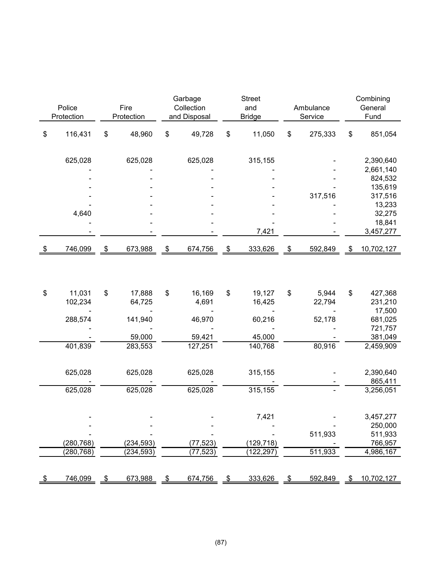| Police<br>Protection |            |               | Fire<br>Protection |               | Garbage<br>Collection<br>and Disposal |               | <b>Street</b><br>and<br><b>Bridge</b> |               | Ambulance<br>Service |               | Combining<br>General<br>Fund |
|----------------------|------------|---------------|--------------------|---------------|---------------------------------------|---------------|---------------------------------------|---------------|----------------------|---------------|------------------------------|
| \$                   | 116,431    | \$            | 48,960             | \$            | 49,728                                | \$            | 11,050                                | \$            | 275,333              | \$            | 851,054                      |
|                      | 625,028    |               | 625,028            |               | 625,028                               |               | 315,155                               |               |                      |               | 2,390,640                    |
|                      |            |               |                    |               |                                       |               |                                       |               |                      |               | 2,661,140                    |
|                      |            |               |                    |               |                                       |               |                                       |               |                      |               | 824,532                      |
|                      |            |               |                    |               |                                       |               |                                       |               |                      |               | 135,619                      |
|                      |            |               |                    |               |                                       |               |                                       |               | 317,516              |               | 317,516                      |
|                      |            |               |                    |               |                                       |               |                                       |               |                      |               | 13,233                       |
|                      | 4,640      |               |                    |               |                                       |               |                                       |               |                      |               | 32,275                       |
|                      |            |               |                    |               |                                       |               |                                       |               |                      |               | 18,841                       |
|                      |            |               |                    |               |                                       |               | 7,421                                 |               |                      |               | 3,457,277                    |
| \$                   | 746,099    | $\frac{1}{2}$ | 673,988            | $\frac{1}{2}$ | 674,756                               | $\frac{1}{2}$ | 333,626                               | $\frac{1}{2}$ | 592,849              | $\frac{3}{2}$ | 10,702,127                   |
|                      |            |               |                    |               |                                       |               |                                       |               |                      |               |                              |
| \$                   | 11,031     | \$            | 17,888             | \$            | 16,169                                | \$            | 19,127                                | \$            | 5,944                | \$            | 427,368                      |
|                      | 102,234    |               | 64,725             |               | 4,691                                 |               | 16,425                                |               | 22,794               |               | 231,210                      |
|                      |            |               |                    |               |                                       |               |                                       |               |                      |               | 17,500                       |
|                      | 288,574    |               | 141,940            |               | 46,970                                |               | 60,216                                |               | 52,178               |               | 681,025                      |
|                      |            |               | 59,000             |               | 59,421                                |               | 45,000                                |               |                      |               | 721,757<br>381,049           |
|                      | 401,839    |               | 283,553            |               | 127,251                               |               | 140,768                               |               | 80,916               |               | 2,459,909                    |
|                      |            |               |                    |               |                                       |               |                                       |               |                      |               |                              |
|                      | 625,028    |               | 625,028            |               | 625,028                               |               | 315,155                               |               |                      |               | 2,390,640                    |
|                      |            |               |                    |               |                                       |               |                                       |               |                      |               | 865,411                      |
|                      | 625,028    |               | 625,028            |               | 625,028                               |               | 315,155                               |               |                      |               | 3,256,051                    |
|                      |            |               |                    |               |                                       |               | 7,421                                 |               |                      |               | 3,457,277                    |
|                      |            |               |                    |               |                                       |               |                                       |               |                      |               | 250,000                      |
|                      |            |               |                    |               |                                       |               |                                       |               | 511,933              |               | 511,933                      |
|                      | (280, 768) |               | (234, 593)         |               | (77, 523)                             |               | (129, 718)                            |               |                      |               | 766,957                      |
|                      | (280, 768) |               | (234, 593)         |               | (77, 523)                             |               | (122, 297)                            |               | 511,933              |               | 4,986,167                    |
|                      |            |               |                    |               |                                       |               |                                       |               |                      |               |                              |
| \$                   | 746,099    | \$            | 673,988            | $\frac{1}{2}$ | 674,756                               | $\frac{1}{2}$ | 333,626                               | $\frac{1}{2}$ | 592,849              | $\frac{1}{2}$ | 10,702,127                   |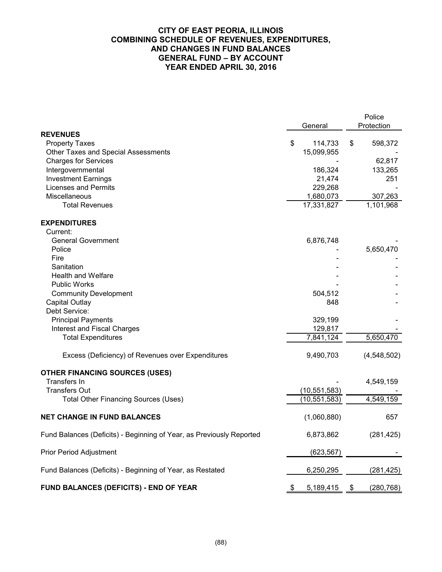## **CITY OF EAST PEORIA, ILLINOIS COMBINING SCHEDULE OF REVENUES, EXPENDITURES, AND CHANGES IN FUND BALANCES GENERAL FUND – BY ACCOUNT YEAR ENDED APRIL 30, 2016**

|                                                                      | General         | Police<br>Protection |
|----------------------------------------------------------------------|-----------------|----------------------|
| <b>REVENUES</b><br><b>Property Taxes</b>                             | \$<br>114,733   | \$<br>598,372        |
| Other Taxes and Special Assessments                                  | 15,099,955      |                      |
| <b>Charges for Services</b>                                          |                 | 62,817               |
| Intergovernmental                                                    | 186,324         | 133,265              |
| <b>Investment Earnings</b>                                           | 21,474          | 251                  |
| <b>Licenses and Permits</b>                                          | 229,268         |                      |
| Miscellaneous                                                        | 1,680,073       | 307,263              |
| <b>Total Revenues</b>                                                | 17,331,827      | 1,101,968            |
| <b>EXPENDITURES</b>                                                  |                 |                      |
| Current:                                                             |                 |                      |
| <b>General Government</b>                                            | 6,876,748       |                      |
| Police                                                               |                 | 5,650,470            |
| Fire                                                                 |                 |                      |
| Sanitation                                                           |                 |                      |
| <b>Health and Welfare</b>                                            |                 |                      |
| <b>Public Works</b>                                                  |                 |                      |
| <b>Community Development</b>                                         | 504,512<br>848  |                      |
| <b>Capital Outlay</b><br>Debt Service:                               |                 |                      |
| <b>Principal Payments</b>                                            | 329,199         |                      |
| Interest and Fiscal Charges                                          | 129,817         |                      |
| <b>Total Expenditures</b>                                            | 7,841,124       | 5,650,470            |
|                                                                      |                 |                      |
| Excess (Deficiency) of Revenues over Expenditures                    | 9,490,703       | (4,548,502)          |
| <b>OTHER FINANCING SOURCES (USES)</b>                                |                 |                      |
| <b>Transfers In</b>                                                  |                 | 4,549,159            |
| <b>Transfers Out</b>                                                 | (10, 551, 583)  |                      |
| <b>Total Other Financing Sources (Uses)</b>                          | (10, 551, 583)  | 4,549,159            |
| <b>NET CHANGE IN FUND BALANCES</b>                                   | (1,060,880)     | 657                  |
| Fund Balances (Deficits) - Beginning of Year, as Previously Reported | 6,873,862       | (281, 425)           |
| <b>Prior Period Adjustment</b>                                       | (623, 567)      |                      |
| Fund Balances (Deficits) - Beginning of Year, as Restated            | 6,250,295       | (281, 425)           |
| FUND BALANCES (DEFICITS) - END OF YEAR                               | \$<br>5,189,415 | \$<br>(280, 768)     |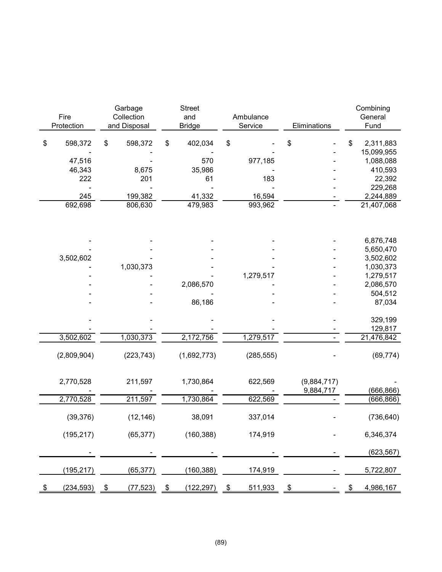| Fire<br>Protection |      | Garbage<br>Collection<br>and Disposal |            | <b>Street</b><br>and<br><b>Bridge</b> |            | Ambulance<br>Service |               | Eliminations | Combining<br>General<br>Fund  |
|--------------------|------|---------------------------------------|------------|---------------------------------------|------------|----------------------|---------------|--------------|-------------------------------|
| \$<br>598,372      | \$   | 598,372                               | \$         | 402,034                               | \$         |                      | \$            |              | \$<br>2,311,883<br>15,099,955 |
| 47,516             |      |                                       |            | 570                                   |            | 977,185              |               |              | 1,088,088                     |
| 46,343             |      | 8,675                                 |            | 35,986                                |            |                      |               |              | 410,593                       |
| 222                |      | 201                                   |            | 61                                    |            | 183                  |               |              | 22,392<br>229,268             |
| 245                |      | 199,382                               |            | 41,332                                |            | 16,594               |               |              | 2,244,889                     |
| 692,698            |      | 806,630                               |            | 479,983                               |            | 993,962              |               |              | 21,407,068                    |
|                    |      |                                       |            |                                       |            |                      |               |              | 6,876,748                     |
|                    |      |                                       |            |                                       |            |                      |               |              | 5,650,470                     |
| 3,502,602          |      |                                       |            |                                       |            |                      |               |              | 3,502,602                     |
|                    |      | 1,030,373                             |            |                                       |            |                      |               |              | 1,030,373                     |
|                    |      |                                       |            |                                       |            | 1,279,517            |               |              | 1,279,517                     |
|                    |      |                                       |            | 2,086,570                             |            |                      |               |              | 2,086,570<br>504,512          |
|                    |      |                                       |            | 86,186                                |            |                      |               |              | 87,034                        |
|                    |      |                                       |            |                                       |            |                      |               |              | 329,199                       |
| 3,502,602          |      | 1,030,373                             |            | 2,172,756                             |            | 1,279,517            |               |              | 129,817<br>21,476,842         |
|                    |      |                                       |            |                                       |            |                      |               |              |                               |
| (2,809,904)        |      | (223, 743)                            |            | (1,692,773)                           |            | (285, 555)           |               |              | (69, 774)                     |
| 2,770,528          |      | 211,597                               |            | 1,730,864                             |            | 622,569              |               | (9,884,717)  |                               |
| 2,770,528          |      | 211,597                               |            | 1,730,864                             |            | 622,569              |               | 9,884,717    | (666, 866)<br>(666, 866)      |
|                    |      |                                       |            |                                       |            |                      |               |              |                               |
| (39, 376)          |      | (12, 146)                             |            | 38,091                                |            | 337,014              |               |              | (736, 640)                    |
| (195, 217)         |      | (65, 377)                             |            | (160, 388)                            |            | 174,919              |               |              | 6,346,374                     |
|                    |      |                                       |            |                                       |            |                      |               |              | (623, 567)                    |
| (195, 217)         |      | (65, 377)                             |            | (160, 388)                            |            | 174,919              |               |              | 5,722,807                     |
| <u>(234,593)</u>   | - \$ | (77, 523)                             | <u>_\$</u> | (122, 297)                            | <u>_\$</u> | <u>511,933  </u>     | $\mathcal{S}$ |              | 4,986,167                     |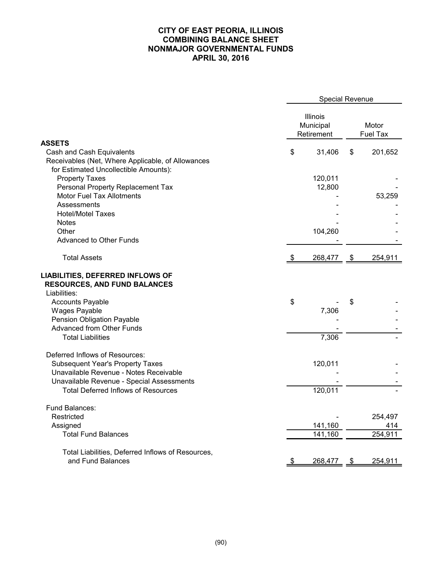## **CITY OF EAST PEORIA, ILLINOIS COMBINING BALANCE SHEET NONMAJOR GOVERNMENTAL FUNDS APRIL 30, 2016**

| <b>Illinois</b><br>Municipal<br>Motor<br>Retirement<br><b>Fuel Tax</b><br><b>ASSETS</b><br>\$<br>Cash and Cash Equivalents<br>31,406<br>\$<br>201,652<br>Receivables (Net, Where Applicable, of Allowances<br>for Estimated Uncollectible Amounts):<br><b>Property Taxes</b><br>120,011<br>Personal Property Replacement Tax<br>12,800<br><b>Motor Fuel Tax Allotments</b><br>53,259<br>Assessments<br><b>Hotel/Motel Taxes</b><br><b>Notes</b><br>Other<br>104,260<br><b>Advanced to Other Funds</b><br><b>Total Assets</b><br>268,477<br>254,911<br>-SS<br>S.<br><b>LIABILITIES, DEFERRED INFLOWS OF</b><br><b>RESOURCES, AND FUND BALANCES</b><br>Liabilities:<br><b>Accounts Payable</b><br>\$<br>\$<br><b>Wages Payable</b><br>7,306<br>Pension Obligation Payable<br><b>Advanced from Other Funds</b><br>7,306<br><b>Total Liabilities</b><br>Deferred Inflows of Resources:<br><b>Subsequent Year's Property Taxes</b><br>120,011<br>Unavailable Revenue - Notes Receivable<br>Unavailable Revenue - Special Assessments<br><b>Total Deferred Inflows of Resources</b><br>120,011<br>Fund Balances:<br>Restricted<br>254,497<br>141,160<br>Assigned<br>414<br>$\overline{141,160}$<br>254,911<br><b>Total Fund Balances</b><br>Total Liabilities, Deferred Inflows of Resources,<br>and Fund Balances<br>268,477<br>254,911<br>\$<br>\$ |  | <b>Special Revenue</b> |  |
|------------------------------------------------------------------------------------------------------------------------------------------------------------------------------------------------------------------------------------------------------------------------------------------------------------------------------------------------------------------------------------------------------------------------------------------------------------------------------------------------------------------------------------------------------------------------------------------------------------------------------------------------------------------------------------------------------------------------------------------------------------------------------------------------------------------------------------------------------------------------------------------------------------------------------------------------------------------------------------------------------------------------------------------------------------------------------------------------------------------------------------------------------------------------------------------------------------------------------------------------------------------------------------------------------------------------------------------------|--|------------------------|--|
|                                                                                                                                                                                                                                                                                                                                                                                                                                                                                                                                                                                                                                                                                                                                                                                                                                                                                                                                                                                                                                                                                                                                                                                                                                                                                                                                                |  |                        |  |
|                                                                                                                                                                                                                                                                                                                                                                                                                                                                                                                                                                                                                                                                                                                                                                                                                                                                                                                                                                                                                                                                                                                                                                                                                                                                                                                                                |  |                        |  |
|                                                                                                                                                                                                                                                                                                                                                                                                                                                                                                                                                                                                                                                                                                                                                                                                                                                                                                                                                                                                                                                                                                                                                                                                                                                                                                                                                |  |                        |  |
|                                                                                                                                                                                                                                                                                                                                                                                                                                                                                                                                                                                                                                                                                                                                                                                                                                                                                                                                                                                                                                                                                                                                                                                                                                                                                                                                                |  |                        |  |
|                                                                                                                                                                                                                                                                                                                                                                                                                                                                                                                                                                                                                                                                                                                                                                                                                                                                                                                                                                                                                                                                                                                                                                                                                                                                                                                                                |  |                        |  |
|                                                                                                                                                                                                                                                                                                                                                                                                                                                                                                                                                                                                                                                                                                                                                                                                                                                                                                                                                                                                                                                                                                                                                                                                                                                                                                                                                |  |                        |  |
|                                                                                                                                                                                                                                                                                                                                                                                                                                                                                                                                                                                                                                                                                                                                                                                                                                                                                                                                                                                                                                                                                                                                                                                                                                                                                                                                                |  |                        |  |
|                                                                                                                                                                                                                                                                                                                                                                                                                                                                                                                                                                                                                                                                                                                                                                                                                                                                                                                                                                                                                                                                                                                                                                                                                                                                                                                                                |  |                        |  |
|                                                                                                                                                                                                                                                                                                                                                                                                                                                                                                                                                                                                                                                                                                                                                                                                                                                                                                                                                                                                                                                                                                                                                                                                                                                                                                                                                |  |                        |  |
|                                                                                                                                                                                                                                                                                                                                                                                                                                                                                                                                                                                                                                                                                                                                                                                                                                                                                                                                                                                                                                                                                                                                                                                                                                                                                                                                                |  |                        |  |
|                                                                                                                                                                                                                                                                                                                                                                                                                                                                                                                                                                                                                                                                                                                                                                                                                                                                                                                                                                                                                                                                                                                                                                                                                                                                                                                                                |  |                        |  |
|                                                                                                                                                                                                                                                                                                                                                                                                                                                                                                                                                                                                                                                                                                                                                                                                                                                                                                                                                                                                                                                                                                                                                                                                                                                                                                                                                |  |                        |  |
|                                                                                                                                                                                                                                                                                                                                                                                                                                                                                                                                                                                                                                                                                                                                                                                                                                                                                                                                                                                                                                                                                                                                                                                                                                                                                                                                                |  |                        |  |
|                                                                                                                                                                                                                                                                                                                                                                                                                                                                                                                                                                                                                                                                                                                                                                                                                                                                                                                                                                                                                                                                                                                                                                                                                                                                                                                                                |  |                        |  |
|                                                                                                                                                                                                                                                                                                                                                                                                                                                                                                                                                                                                                                                                                                                                                                                                                                                                                                                                                                                                                                                                                                                                                                                                                                                                                                                                                |  |                        |  |
|                                                                                                                                                                                                                                                                                                                                                                                                                                                                                                                                                                                                                                                                                                                                                                                                                                                                                                                                                                                                                                                                                                                                                                                                                                                                                                                                                |  |                        |  |
|                                                                                                                                                                                                                                                                                                                                                                                                                                                                                                                                                                                                                                                                                                                                                                                                                                                                                                                                                                                                                                                                                                                                                                                                                                                                                                                                                |  |                        |  |
|                                                                                                                                                                                                                                                                                                                                                                                                                                                                                                                                                                                                                                                                                                                                                                                                                                                                                                                                                                                                                                                                                                                                                                                                                                                                                                                                                |  |                        |  |
|                                                                                                                                                                                                                                                                                                                                                                                                                                                                                                                                                                                                                                                                                                                                                                                                                                                                                                                                                                                                                                                                                                                                                                                                                                                                                                                                                |  |                        |  |
|                                                                                                                                                                                                                                                                                                                                                                                                                                                                                                                                                                                                                                                                                                                                                                                                                                                                                                                                                                                                                                                                                                                                                                                                                                                                                                                                                |  |                        |  |
|                                                                                                                                                                                                                                                                                                                                                                                                                                                                                                                                                                                                                                                                                                                                                                                                                                                                                                                                                                                                                                                                                                                                                                                                                                                                                                                                                |  |                        |  |
|                                                                                                                                                                                                                                                                                                                                                                                                                                                                                                                                                                                                                                                                                                                                                                                                                                                                                                                                                                                                                                                                                                                                                                                                                                                                                                                                                |  |                        |  |
|                                                                                                                                                                                                                                                                                                                                                                                                                                                                                                                                                                                                                                                                                                                                                                                                                                                                                                                                                                                                                                                                                                                                                                                                                                                                                                                                                |  |                        |  |
|                                                                                                                                                                                                                                                                                                                                                                                                                                                                                                                                                                                                                                                                                                                                                                                                                                                                                                                                                                                                                                                                                                                                                                                                                                                                                                                                                |  |                        |  |
|                                                                                                                                                                                                                                                                                                                                                                                                                                                                                                                                                                                                                                                                                                                                                                                                                                                                                                                                                                                                                                                                                                                                                                                                                                                                                                                                                |  |                        |  |
|                                                                                                                                                                                                                                                                                                                                                                                                                                                                                                                                                                                                                                                                                                                                                                                                                                                                                                                                                                                                                                                                                                                                                                                                                                                                                                                                                |  |                        |  |
|                                                                                                                                                                                                                                                                                                                                                                                                                                                                                                                                                                                                                                                                                                                                                                                                                                                                                                                                                                                                                                                                                                                                                                                                                                                                                                                                                |  |                        |  |
|                                                                                                                                                                                                                                                                                                                                                                                                                                                                                                                                                                                                                                                                                                                                                                                                                                                                                                                                                                                                                                                                                                                                                                                                                                                                                                                                                |  |                        |  |
|                                                                                                                                                                                                                                                                                                                                                                                                                                                                                                                                                                                                                                                                                                                                                                                                                                                                                                                                                                                                                                                                                                                                                                                                                                                                                                                                                |  |                        |  |
|                                                                                                                                                                                                                                                                                                                                                                                                                                                                                                                                                                                                                                                                                                                                                                                                                                                                                                                                                                                                                                                                                                                                                                                                                                                                                                                                                |  |                        |  |
|                                                                                                                                                                                                                                                                                                                                                                                                                                                                                                                                                                                                                                                                                                                                                                                                                                                                                                                                                                                                                                                                                                                                                                                                                                                                                                                                                |  |                        |  |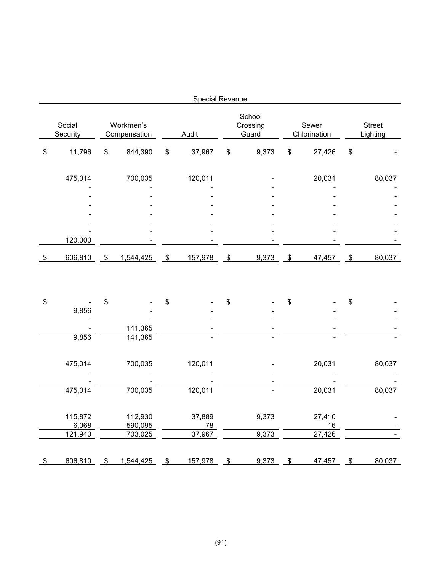|                             |               |                               |            | <b>Special Revenue</b> |               |                             |            |                        |               |                           |  |
|-----------------------------|---------------|-------------------------------|------------|------------------------|---------------|-----------------------------|------------|------------------------|---------------|---------------------------|--|
| Social<br>Security          |               | Workmen's<br>Compensation     |            | Audit                  |               | School<br>Crossing<br>Guard |            | Sewer<br>Chlorination  |               | <b>Street</b><br>Lighting |  |
| \$<br>11,796                | \$            | 844,390                       | $\,$       | 37,967                 | \$            | 9,373                       | \$         | 27,426                 | \$            |                           |  |
| 475,014                     |               | 700,035                       |            | 120,011                |               |                             |            | 20,031                 |               | 80,037                    |  |
|                             |               |                               |            |                        |               |                             |            |                        |               |                           |  |
|                             |               |                               |            |                        |               |                             |            |                        |               |                           |  |
|                             |               |                               |            |                        |               |                             |            |                        |               |                           |  |
|                             |               |                               |            |                        |               |                             |            |                        |               |                           |  |
| 120,000                     |               |                               |            |                        |               |                             |            |                        |               |                           |  |
| \$<br>606,810               | $\frac{1}{2}$ | 1,544,425                     | $\sqrt{2}$ | 157,978                | $\frac{1}{2}$ | 9,373                       | $\sqrt{2}$ | 47,457                 | $\sqrt{3}$    | 80,037                    |  |
| \$<br>9,856                 | \$            | 141,365                       | \$         |                        | \$            |                             | \$         |                        | \$            |                           |  |
| 9,856                       |               | 141,365                       |            |                        |               |                             |            |                        |               |                           |  |
| 475,014                     |               | 700,035                       |            | 120,011                |               |                             |            | 20,031                 |               | 80,037                    |  |
| 475,014                     |               | 700,035                       |            | 120,011                |               |                             |            | 20,031                 |               | 80,037                    |  |
| 115,872<br>6,068<br>121,940 |               | 112,930<br>590,095<br>703,025 |            | 37,889<br>78<br>37,967 |               | 9,373<br>9,373              |            | 27,410<br>16<br>27,426 |               |                           |  |
| \$<br>606,810               | \$            | 1,544,425                     | \$         | 157,978                | \$            | 9,373                       | $\$\$      | 47,457                 | $\frac{1}{2}$ | 80,037                    |  |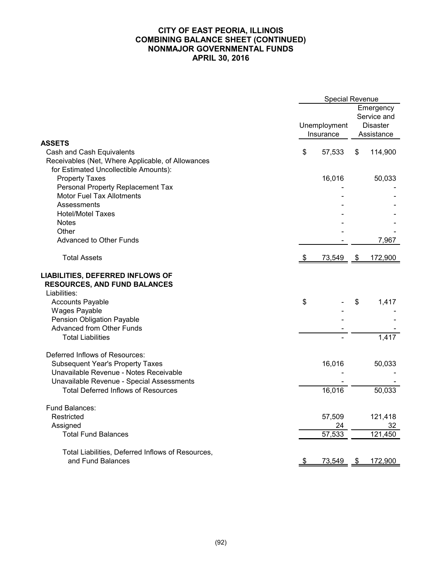## **CITY OF EAST PEORIA, ILLINOIS COMBINING BALANCE SHEET (CONTINUED) NONMAJOR GOVERNMENTAL FUNDS APRIL 30, 2016**

|                                                                                                                                            | Special Revenue           |    |                                                           |
|--------------------------------------------------------------------------------------------------------------------------------------------|---------------------------|----|-----------------------------------------------------------|
|                                                                                                                                            | Unemployment<br>Insurance |    | Emergency<br>Service and<br><b>Disaster</b><br>Assistance |
| <b>ASSETS</b>                                                                                                                              |                           |    |                                                           |
| Cash and Cash Equivalents<br>Receivables (Net, Where Applicable, of Allowances<br>for Estimated Uncollectible Amounts):                    | \$<br>57,533              | \$ | 114,900                                                   |
| <b>Property Taxes</b><br>Personal Property Replacement Tax<br><b>Motor Fuel Tax Allotments</b>                                             | 16,016                    |    | 50,033                                                    |
| Assessments<br><b>Hotel/Motel Taxes</b>                                                                                                    |                           |    |                                                           |
| <b>Notes</b><br>Other                                                                                                                      |                           |    |                                                           |
| <b>Advanced to Other Funds</b>                                                                                                             |                           |    | 7,967                                                     |
| <b>Total Assets</b>                                                                                                                        | 73,549                    | \$ | 172,900                                                   |
| LIABILITIES, DEFERRED INFLOWS OF<br><b>RESOURCES, AND FUND BALANCES</b><br>Liabilities:<br><b>Accounts Payable</b><br><b>Wages Payable</b> | \$                        | S  | 1,417                                                     |
| Pension Obligation Payable                                                                                                                 |                           |    |                                                           |
| <b>Advanced from Other Funds</b>                                                                                                           |                           |    |                                                           |
| <b>Total Liabilities</b>                                                                                                                   |                           |    | 1,417                                                     |
| Deferred Inflows of Resources:<br><b>Subsequent Year's Property Taxes</b><br>Unavailable Revenue - Notes Receivable                        | 16,016                    |    | 50,033                                                    |
| Unavailable Revenue - Special Assessments<br><b>Total Deferred Inflows of Resources</b>                                                    | 16,016                    |    | 50,033                                                    |
| <b>Fund Balances:</b><br>Restricted<br>Assigned<br><b>Total Fund Balances</b>                                                              | 57,509<br>24<br>57,533    |    | 121,418<br>32<br>121,450                                  |
| Total Liabilities, Deferred Inflows of Resources,<br>and Fund Balances                                                                     | \$<br>73,549              | \$ | 172,900                                                   |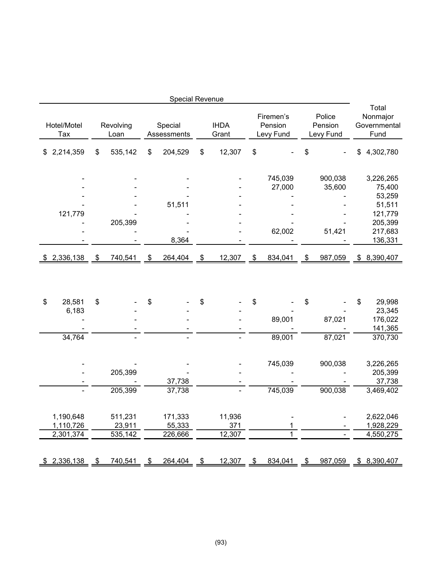| <b>Special Revenue</b>                                                                                                         |       |                              |                           |                              |               |                                          |               |                                |    |                                           |    |                                                    |
|--------------------------------------------------------------------------------------------------------------------------------|-------|------------------------------|---------------------------|------------------------------|---------------|------------------------------------------|---------------|--------------------------------|----|-------------------------------------------|----|----------------------------------------------------|
| Firemen's<br>Hotel/Motel<br>Revolving<br>Special<br><b>IHDA</b><br>Pension<br>Tax<br>Loan<br>Grant<br>Levy Fund<br>Assessments |       |                              |                           |                              |               |                                          |               | Police<br>Pension<br>Levy Fund |    | Total<br>Nonmajor<br>Governmental<br>Fund |    |                                                    |
| 2,214,359<br>S.                                                                                                                | \$    | 535,142                      | $\boldsymbol{\mathsf{S}}$ | 204,529                      | \$            | 12,307                                   | \$            |                                | \$ |                                           | \$ | 4,302,780                                          |
| 121,779                                                                                                                        |       |                              |                           | 51,511                       |               |                                          |               | 745,039<br>27,000              |    | 900,038<br>35,600                         |    | 3,226,265<br>75,400<br>53,259<br>51,511<br>121,779 |
|                                                                                                                                |       | 205,399                      |                           | 8,364                        |               |                                          |               | 62,002                         |    | 51,421                                    |    | 205,399<br>217,683<br>136,331                      |
| 2,336,138                                                                                                                      | \$    | 740,541                      | \$                        | 264,404                      | $\frac{1}{2}$ | 12,307<br>834,041<br>\$<br>$\frac{3}{2}$ |               | 987,059                        |    | \$8,390,407                               |    |                                                    |
| \$<br>28,581<br>6,183                                                                                                          | \$    |                              | \$                        |                              | \$            |                                          | \$            | 89,001                         | \$ | 87,021                                    | \$ | 29,998<br>23,345<br>176,022<br>141,365             |
| 34,764                                                                                                                         |       |                              |                           |                              |               |                                          |               | 89,001                         |    | 87,021                                    |    | 370,730                                            |
|                                                                                                                                |       | 205,399                      |                           | 37,738                       |               |                                          |               | 745,039                        |    | 900,038                                   |    | 3,226,265<br>205,399<br>37,738                     |
|                                                                                                                                |       | 205,399                      |                           | 37,738                       |               |                                          |               | 745,039                        |    | 900,038                                   |    | 3,469,402                                          |
| 1,190,648<br>1,110,726<br>2,301,374                                                                                            |       | 511,231<br>23,911<br>535,142 |                           | 171,333<br>55,333<br>226,666 |               | 11,936<br>371<br>12,307                  |               | 1<br>$\overline{1}$            |    |                                           |    | 2,622,046<br>1,928,229<br>4,550,275                |
| \$2,336,138                                                                                                                    | $\$\$ | 740,541                      | \$                        | 264,404                      | \$            | 12,307                                   | $\frac{1}{2}$ | 834,041                        | \$ | 987,059                                   |    | \$8,390,407                                        |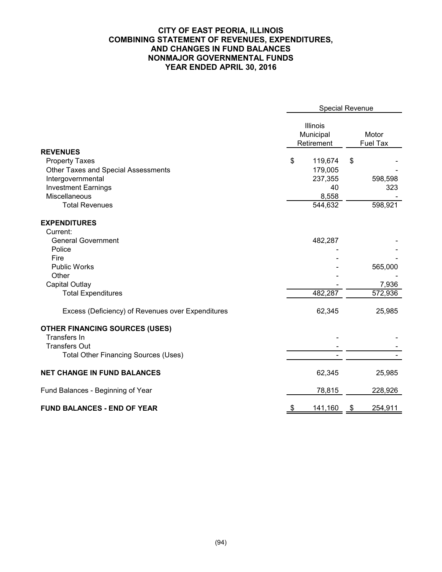## **CITY OF EAST PEORIA, ILLINOIS COMBINING STATEMENT OF REVENUES, EXPENDITURES, AND CHANGES IN FUND BALANCES NONMAJOR GOVERNMENTAL FUNDS YEAR ENDED APRIL 30, 2016**

|                                                   | <b>Special Revenue</b>                     |               |                   |
|---------------------------------------------------|--------------------------------------------|---------------|-------------------|
|                                                   | <b>Illinois</b><br>Municipal<br>Retirement |               | Motor<br>Fuel Tax |
| <b>REVENUES</b>                                   |                                            |               |                   |
| <b>Property Taxes</b>                             | \$<br>119,674                              | \$            |                   |
| Other Taxes and Special Assessments               | 179,005                                    |               |                   |
| Intergovernmental                                 | 237,355                                    |               | 598,598           |
| <b>Investment Earnings</b>                        | 40                                         |               | 323               |
| <b>Miscellaneous</b>                              | 8,558                                      |               |                   |
| <b>Total Revenues</b>                             | 544,632                                    |               | 598,921           |
| <b>EXPENDITURES</b>                               |                                            |               |                   |
| Current:                                          |                                            |               |                   |
| <b>General Government</b>                         | 482,287                                    |               |                   |
| Police                                            |                                            |               |                   |
| Fire                                              |                                            |               |                   |
| <b>Public Works</b>                               |                                            |               | 565,000           |
| Other                                             |                                            |               |                   |
| Capital Outlay                                    |                                            |               | 7,936             |
| <b>Total Expenditures</b>                         | 482,287                                    |               | 572,936           |
| Excess (Deficiency) of Revenues over Expenditures | 62,345                                     |               | 25,985            |
| <b>OTHER FINANCING SOURCES (USES)</b>             |                                            |               |                   |
| <b>Transfers In</b>                               |                                            |               |                   |
| <b>Transfers Out</b>                              |                                            |               |                   |
| <b>Total Other Financing Sources (Uses)</b>       |                                            |               |                   |
| <b>NET CHANGE IN FUND BALANCES</b>                | 62,345                                     |               | 25,985            |
| Fund Balances - Beginning of Year                 | 78,815                                     |               | 228,926           |
| <b>FUND BALANCES - END OF YEAR</b>                | \$<br>141,160                              | $\frac{1}{2}$ | 254,911           |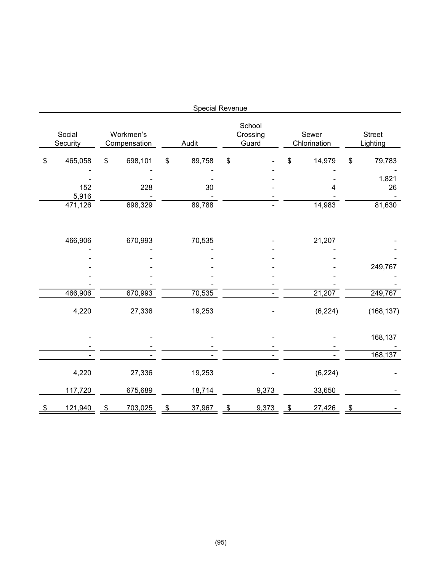|                    |                                                                   |               | Special Revenue |    |       |                       |          |                          |                           |
|--------------------|-------------------------------------------------------------------|---------------|-----------------|----|-------|-----------------------|----------|--------------------------|---------------------------|
| Social<br>Security | School<br>Workmen's<br>Crossing<br>Audit<br>Guard<br>Compensation |               |                 |    |       | Sewer<br>Chlorination |          |                          | <b>Street</b><br>Lighting |
| \$<br>465,058      | \$<br>698,101                                                     | \$            | 89,758          | \$ |       | \$                    | 14,979   | \$                       | 79,783                    |
| 152<br>5,916       | 228                                                               |               | 30              |    |       |                       | 4        |                          | 1,821<br>26               |
| 471,126            | 698,329                                                           |               | 89,788          |    |       |                       | 14,983   |                          | 81,630                    |
|                    |                                                                   |               |                 |    |       |                       |          |                          |                           |
| 466,906            | 670,993                                                           |               | 70,535          |    |       |                       | 21,207   |                          |                           |
|                    |                                                                   |               |                 |    |       |                       |          |                          |                           |
|                    |                                                                   |               |                 |    |       |                       |          |                          | 249,767                   |
|                    |                                                                   |               |                 |    |       |                       |          |                          |                           |
| 466,906            | 670,993                                                           |               | 70,535          |    |       |                       | 21,207   |                          | 249,767                   |
| 4,220              | 27,336                                                            |               | 19,253          |    |       |                       | (6, 224) |                          | (168, 137)                |
|                    |                                                                   |               |                 |    |       |                       |          |                          | 168,137                   |
|                    |                                                                   |               |                 |    |       |                       |          |                          | 168,137                   |
| 4,220              | 27,336                                                            |               | 19,253          |    |       |                       | (6, 224) |                          |                           |
| 117,720            | 675,689                                                           |               | 18,714          |    | 9,373 |                       | 33,650   |                          |                           |
| \$<br>121,940      | \$<br>703,025                                                     | $\frac{1}{2}$ | 37,967          | \$ | 9,373 | $\frac{1}{2}$         | 27,426   | $\overline{\mathcal{S}}$ |                           |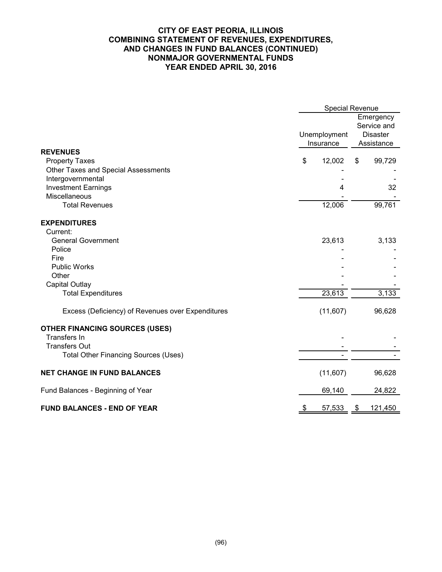## **CITY OF EAST PEORIA, ILLINOIS COMBINING STATEMENT OF REVENUES, EXPENDITURES, AND CHANGES IN FUND BALANCES (CONTINUED) NONMAJOR GOVERNMENTAL FUNDS YEAR ENDED APRIL 30, 2016**

|                                                                                                                                     |           | <b>Special Revenue</b>    |                |                                                           |  |
|-------------------------------------------------------------------------------------------------------------------------------------|-----------|---------------------------|----------------|-----------------------------------------------------------|--|
|                                                                                                                                     |           | Unemployment<br>Insurance |                | Emergency<br>Service and<br><b>Disaster</b><br>Assistance |  |
| <b>REVENUES</b><br><b>Property Taxes</b><br>Other Taxes and Special Assessments<br>Intergovernmental<br><b>Investment Earnings</b>  | \$        | 12,002<br>4               | \$             | 99,729<br>32                                              |  |
| Miscellaneous<br><b>Total Revenues</b>                                                                                              |           | 12,006                    |                | 99,761                                                    |  |
| <b>EXPENDITURES</b><br>Current:                                                                                                     |           |                           |                |                                                           |  |
| <b>General Government</b><br>Police<br>Fire                                                                                         |           | 23,613                    |                | 3,133                                                     |  |
| <b>Public Works</b><br>Other<br>Capital Outlay                                                                                      |           |                           |                |                                                           |  |
| <b>Total Expenditures</b>                                                                                                           |           | 23,613                    |                | 3,133                                                     |  |
| Excess (Deficiency) of Revenues over Expenditures                                                                                   |           | (11,607)                  |                | 96,628                                                    |  |
| <b>OTHER FINANCING SOURCES (USES)</b><br><b>Transfers In</b><br><b>Transfers Out</b><br><b>Total Other Financing Sources (Uses)</b> |           |                           |                |                                                           |  |
| <b>NET CHANGE IN FUND BALANCES</b>                                                                                                  |           | (11,607)                  |                | 96,628                                                    |  |
| Fund Balances - Beginning of Year                                                                                                   |           | 69,140                    |                | 24,822                                                    |  |
| <b>FUND BALANCES - END OF YEAR</b>                                                                                                  | <u>\$</u> | 57,533                    | $-\frac{1}{2}$ | 121,450                                                   |  |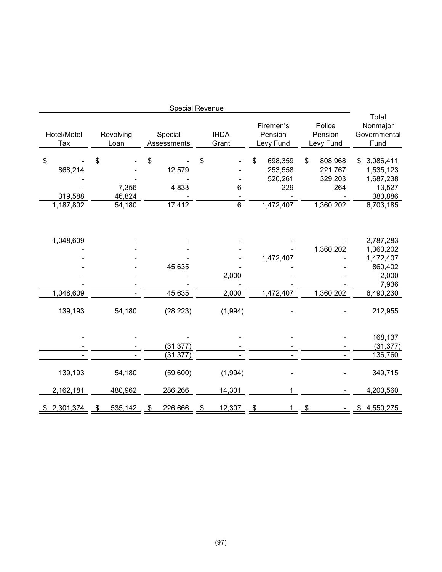|                      |                   |                  |                        | <b>Special Revenue</b> |                      |                |                                            |            |                                      |                                                         |
|----------------------|-------------------|------------------|------------------------|------------------------|----------------------|----------------|--------------------------------------------|------------|--------------------------------------|---------------------------------------------------------|
| Hotel/Motel<br>Tax   | Revolving<br>Loan |                  | Special<br>Assessments |                        | <b>IHDA</b><br>Grant |                | Firemen's<br>Pension<br>Levy Fund          |            | Police<br>Pension<br>Levy Fund       | Total<br>Nonmajor<br>Governmental<br>Fund               |
| \$<br>868,214        | \$                | 7,356            | \$                     | 12,579<br>4,833        | \$                   | 6              | \$<br>698,359<br>253,558<br>520,261<br>229 | \$         | 808,968<br>221,767<br>329,203<br>264 | 3,086,411<br>\$<br>1,535,123<br>1,687,238<br>13,527     |
| 319,588<br>1,187,802 |                   | 46,824<br>54,180 |                        | 17,412                 |                      | $\overline{6}$ | 1,472,407                                  |            | 1,360,202                            | 380,886<br>6,703,185                                    |
| 1,048,609            |                   |                  |                        | 45,635                 |                      | 2,000          | 1,472,407                                  |            | 1,360,202                            | 2,787,283<br>1,360,202<br>1,472,407<br>860,402<br>2,000 |
| 1,048,609            |                   |                  |                        | 45,635                 |                      | 2,000          | 1,472,407                                  |            | 1,360,202                            | 7,936<br>6,490,230                                      |
| 139,193              |                   | 54,180           |                        | (28, 223)              |                      | (1,994)        |                                            |            |                                      | 212,955                                                 |
|                      |                   |                  |                        | (31, 377)<br>(31, 377) |                      |                |                                            |            |                                      | 168,137<br>(31, 377)<br>136,760                         |
| 139,193              |                   | 54,180           |                        | (59,600)               |                      | (1,994)        |                                            |            |                                      | 349,715                                                 |
| 2,162,181            |                   | 480,962          |                        | 286,266                |                      | 14,301         | 1                                          |            |                                      | 4,200,560                                               |
| 2,301,374            | -\$               | 535,142          | £.                     | 226,666                | \$                   | 12,307         | \$                                         | $\sqrt{3}$ |                                      | \$4,550,275                                             |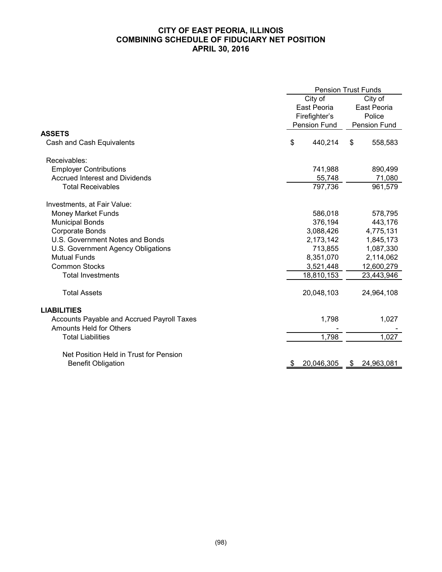#### **CITY OF EAST PEORIA, ILLINOIS COMBINING SCHEDULE OF FIDUCIARY NET POSITION APRIL 30, 2016**

|                                            | <b>Pension Trust Funds</b> |                  |
|--------------------------------------------|----------------------------|------------------|
|                                            | City of                    | City of          |
|                                            | East Peoria                | East Peoria      |
|                                            | Firefighter's              | Police           |
|                                            | Pension Fund               | Pension Fund     |
| <b>ASSETS</b>                              |                            |                  |
| Cash and Cash Equivalents                  | \$<br>440,214              | \$<br>558,583    |
| Receivables:                               |                            |                  |
| <b>Employer Contributions</b>              | 741,988                    | 890,499          |
| <b>Accrued Interest and Dividends</b>      | 55,748                     | 71,080           |
| <b>Total Receivables</b>                   | 797,736                    | 961,579          |
| Investments, at Fair Value:                |                            |                  |
| <b>Money Market Funds</b>                  | 586,018                    | 578,795          |
| <b>Municipal Bonds</b>                     | 376,194                    | 443,176          |
| <b>Corporate Bonds</b>                     | 3,088,426                  | 4,775,131        |
| U.S. Government Notes and Bonds            | 2,173,142                  | 1,845,173        |
| U.S. Government Agency Obligations         | 713,855                    | 1,087,330        |
| <b>Mutual Funds</b>                        | 8,351,070                  | 2,114,062        |
| <b>Common Stocks</b>                       | 3,521,448                  | 12,600,279       |
| <b>Total Investments</b>                   | 18,810,153                 | 23,443,946       |
| <b>Total Assets</b>                        | 20,048,103                 | 24,964,108       |
| <b>LIABILITIES</b>                         |                            |                  |
| Accounts Payable and Accrued Payroll Taxes | 1,798                      | 1,027            |
| <b>Amounts Held for Others</b>             |                            |                  |
| <b>Total Liabilities</b>                   | 1,798                      | 1,027            |
| Net Position Held in Trust for Pension     |                            |                  |
| <b>Benefit Obligation</b>                  | 20,046,305                 | \$<br>24,963,081 |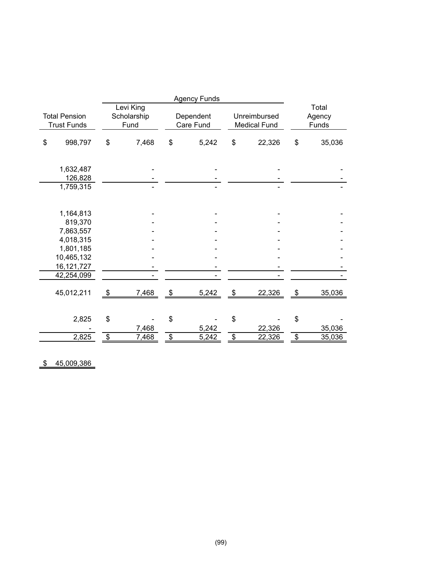| <b>Total Pension</b><br><b>Trust Funds</b> |                | Levi King<br>Scholarship<br>Fund |            | Dependent<br>Care Fund |            | Unreimbursed<br><b>Medical Fund</b> |                          | Total<br>Agency<br>Funds |
|--------------------------------------------|----------------|----------------------------------|------------|------------------------|------------|-------------------------------------|--------------------------|--------------------------|
| \$<br>998,797                              | \$             | 7,468                            | \$         | 5,242                  | \$         | 22,326                              | \$                       | 35,036                   |
| 1,632,487<br>126,828                       |                |                                  |            |                        |            |                                     |                          |                          |
| 1,759,315                                  |                |                                  |            |                        |            |                                     |                          |                          |
| 1,164,813                                  |                |                                  |            |                        |            |                                     |                          |                          |
| 819,370                                    |                |                                  |            |                        |            |                                     |                          |                          |
| 7,863,557                                  |                |                                  |            |                        |            |                                     |                          |                          |
| 4,018,315                                  |                |                                  |            |                        |            |                                     |                          |                          |
| 1,801,185                                  |                |                                  |            |                        |            |                                     |                          |                          |
| 10,465,132                                 |                |                                  |            |                        |            |                                     |                          |                          |
| 16, 121, 727                               |                |                                  |            |                        |            |                                     |                          |                          |
| 42,254,099                                 |                |                                  |            |                        |            |                                     |                          |                          |
| 45,012,211                                 | $\mathfrak{L}$ | 7,468                            | $\sqrt{3}$ | 5,242                  | $\sqrt{3}$ | 22,326                              | $\overline{\mathcal{S}}$ | 35,036                   |
|                                            |                |                                  |            |                        |            |                                     |                          |                          |
| 2,825                                      | \$             |                                  | \$         |                        | \$         |                                     | \$                       |                          |
|                                            |                | 7,468                            |            | 5,242                  |            | 22,326                              |                          | 35,036                   |
| 2,825                                      | \$             | 7,468                            | \$         | 5,242                  | \$         | 22,326                              | \$                       | 35,036                   |

\$ 45,009,386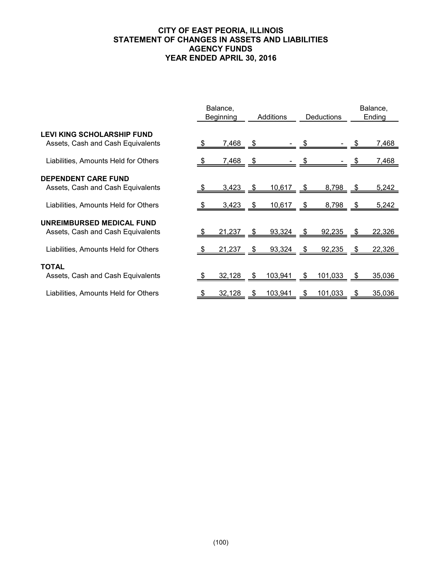#### **CITY OF EAST PEORIA, ILLINOIS STATEMENT OF CHANGES IN ASSETS AND LIABILITIES AGENCY FUNDS YEAR ENDED APRIL 30, 2016**

|                                                                        | Balance,<br>Beginning |      | Additions   | <b>Deductions</b> |      | Balance,<br>Ending |
|------------------------------------------------------------------------|-----------------------|------|-------------|-------------------|------|--------------------|
| <b>LEVI KING SCHOLARSHIP FUND</b><br>Assets, Cash and Cash Equivalents | 7,468                 |      |             |                   |      | 7,468              |
| Liabilities, Amounts Held for Others                                   | 7,468                 | \$   |             |                   |      | 7,468              |
| <b>DEPENDENT CARE FUND</b><br>Assets, Cash and Cash Equivalents        | $3,423$ \$            |      | $10,617$ \$ | 8,798             |      | 5,242              |
| Liabilities, Amounts Held for Others                                   | 3,423                 | -\$  | 10,617      | \$<br>8,798       | \$   | 5,242              |
| UNREIMBURSED MEDICAL FUND<br>Assets, Cash and Cash Equivalents         | 21,237                | - \$ | $93,324$ \$ | 92,235            | - \$ | <u>22,326</u>      |
| Liabilities, Amounts Held for Others                                   | 21,237                | \$   | 93,324      | \$<br>92,235      | - \$ | 22,326             |
| <b>TOTAL</b><br>Assets, Cash and Cash Equivalents                      | 32,128                | \$   | 103,941     | 101,033           |      | 35,036             |
| Liabilities, Amounts Held for Others                                   | 32,128                |      | 103,941     | 101,033           |      | 35,036             |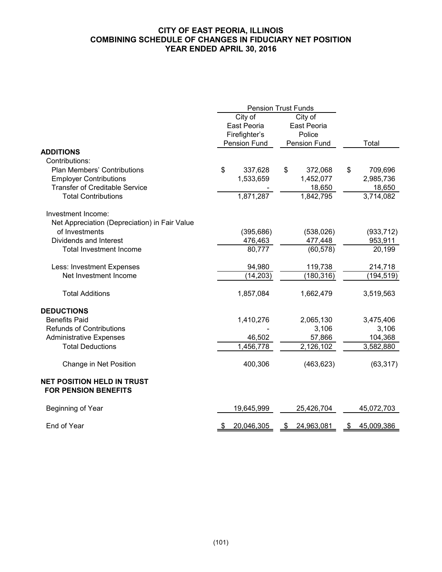#### **CITY OF EAST PEORIA, ILLINOIS COMBINING SCHEDULE OF CHANGES IN FIDUCIARY NET POSITION YEAR ENDED APRIL 30, 2016**

|                                                                  |                                                         | <b>Pension Trust Funds</b>                       |                  |
|------------------------------------------------------------------|---------------------------------------------------------|--------------------------------------------------|------------------|
|                                                                  | City of<br>East Peoria<br>Firefighter's<br>Pension Fund | City of<br>East Peoria<br>Police<br>Pension Fund | Total            |
| <b>ADDITIONS</b>                                                 |                                                         |                                                  |                  |
| Contributions:                                                   |                                                         |                                                  |                  |
| <b>Plan Members' Contributions</b>                               | \$<br>337,628                                           | \$<br>372,068                                    | \$<br>709,696    |
| <b>Employer Contributions</b>                                    | 1,533,659                                               | 1,452,077                                        | 2,985,736        |
| <b>Transfer of Creditable Service</b>                            |                                                         | 18,650                                           | 18,650           |
| <b>Total Contributions</b>                                       | 1,871,287                                               | 1,842,795                                        | 3,714,082        |
| Investment Income:                                               |                                                         |                                                  |                  |
| Net Appreciation (Depreciation) in Fair Value                    |                                                         |                                                  |                  |
| of Investments                                                   | (395, 686)                                              | (538, 026)                                       | (933, 712)       |
| Dividends and Interest                                           | 476,463                                                 | 477,448                                          | 953,911          |
| <b>Total Investment Income</b>                                   | 80,777                                                  | (60, 578)                                        | 20,199           |
| Less: Investment Expenses                                        | 94,980                                                  | 119,738                                          | 214,718          |
| Net Investment Income                                            | (14, 203)                                               | (180, 316)                                       | (194, 519)       |
| <b>Total Additions</b>                                           | 1,857,084                                               | 1,662,479                                        | 3,519,563        |
| <b>DEDUCTIONS</b>                                                |                                                         |                                                  |                  |
| <b>Benefits Paid</b>                                             | 1,410,276                                               | 2,065,130                                        | 3,475,406        |
| <b>Refunds of Contributions</b>                                  |                                                         | 3,106                                            | 3,106            |
| <b>Administrative Expenses</b>                                   | 46,502                                                  | 57,866                                           | 104,368          |
| <b>Total Deductions</b>                                          | 1,456,778                                               | 2,126,102                                        | 3,582,880        |
| Change in Net Position                                           | 400,306                                                 | (463, 623)                                       | (63, 317)        |
| <b>NET POSITION HELD IN TRUST</b><br><b>FOR PENSION BENEFITS</b> |                                                         |                                                  |                  |
| Beginning of Year                                                | 19,645,999                                              | 25,426,704                                       | 45,072,703       |
| End of Year                                                      | 20,046,305<br>S                                         | 24,963,081<br>\$                                 | \$<br>45,009,386 |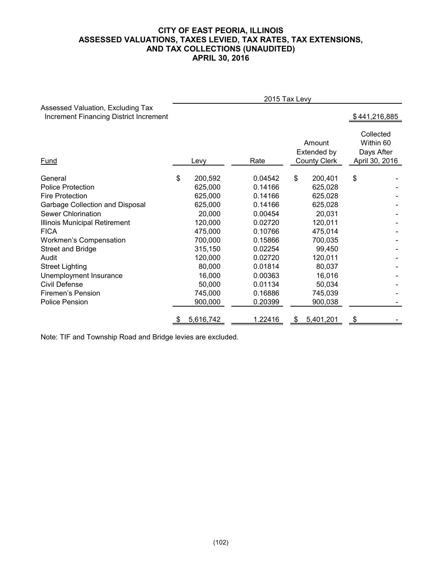#### **CITY OF EAST PEORIA, ILLINOIS ASSESSED VALUATIONS, TAXES LEVIED, TAX RATES, TAX EXTENSIONS, AND TAX COLLECTIONS (UNAUDITED) APRIL 30, 2016**

|                                                                                    |               |         | 2015 Tax Levy |    |                                              |                                                        |
|------------------------------------------------------------------------------------|---------------|---------|---------------|----|----------------------------------------------|--------------------------------------------------------|
| Assessed Valuation, Excluding Tax<br><b>Increment Financing District Increment</b> |               |         |               |    |                                              | \$441,216,885                                          |
| <b>Fund</b>                                                                        | Levy          | Rate    |               |    | Amount<br>Extended by<br><b>County Clerk</b> | Collected<br>Within 60<br>Days After<br>April 30, 2016 |
| General                                                                            | \$<br>200,592 | 0.04542 |               | \$ | 200,401                                      | \$                                                     |
| <b>Police Protection</b>                                                           | 625,000       | 0.14166 |               |    | 625,028                                      |                                                        |
| <b>Fire Protection</b>                                                             | 625,000       | 0.14166 |               |    | 625,028                                      |                                                        |
| Garbage Collection and Disposal                                                    | 625,000       | 0.14166 |               |    | 625,028                                      |                                                        |
| Sewer Chlorination                                                                 | 20,000        | 0.00454 |               |    | 20,031                                       |                                                        |
| Illinois Municipal Retirement                                                      | 120,000       | 0.02720 |               |    | 120,011                                      |                                                        |
| <b>FICA</b>                                                                        | 475,000       | 0.10766 |               |    | 475,014                                      |                                                        |
| Workmen's Compensation                                                             | 700,000       | 0.15866 |               |    | 700,035                                      |                                                        |
| <b>Street and Bridge</b>                                                           | 315,150       | 0.02254 |               |    | 99,450                                       |                                                        |
| Audit                                                                              | 120,000       | 0.02720 |               |    | 120,011                                      |                                                        |
| <b>Street Lighting</b>                                                             | 80,000        | 0.01814 |               |    | 80,037                                       |                                                        |
| Unemployment Insurance                                                             | 16,000        | 0.00363 |               |    | 16,016                                       |                                                        |
| Civil Defense                                                                      | 50,000        | 0.01134 |               |    | 50,034                                       |                                                        |
| Firemen's Pension                                                                  | 745,000       | 0.16886 |               |    | 745,039                                      |                                                        |
| <b>Police Pension</b>                                                              | 900,000       | 0.20399 |               |    | 900,038                                      |                                                        |
|                                                                                    | 5,616,742     |         | 1.22416       | S  | 5,401,201                                    |                                                        |

Note: TIF and Township Road and Bridge levies are excluded.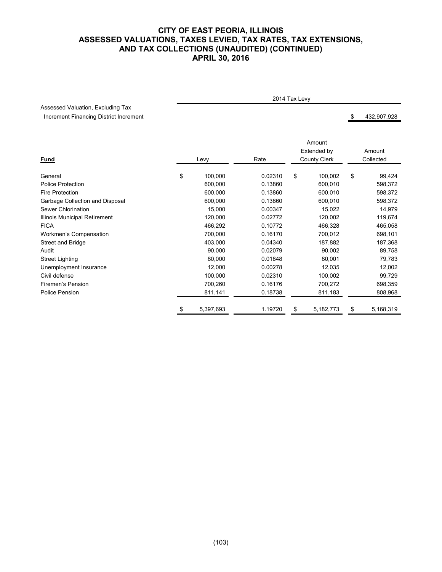#### **CITY OF EAST PEORIA, ILLINOIS ASSESSED VALUATIONS, TAXES LEVIED, TAX RATES, TAX EXTENSIONS, AND TAX COLLECTIONS (UNAUDITED) (CONTINUED) APRIL 30, 2016**

2014 Tax Levy Assessed Valuation, Excluding Tax Increment Financing District Increment \$ 432,907,928

Extended by Amount **Fund** Levy Rate County Clerk Collected General \$ 100,000 0.02310 \$ 100,002 \$ 99,424 Police Protection 600,000 600,000 600,000 600,000 600,010 598,372 Fire Protection 600,000 0.13860 600,010 598,372 Garbage Collection and Disposal 600,000 600,000 0.13860 600,010 598,372 Sewer Chlorination 15,000 0.00347 15,022 14,979 Illinois Municipal Retirement 120,000 120,000 0.02772 120,002 119,674 FICA 466,292 0.10772 466,328 465,058 Workmen's Compensation 700,000 0.16170 700,012 698,101 Street and Bridge 187,368 187,368 187,368 187,368 187,368 187,368 187,368 187,368 187,368 187,368 187,368 187, Audit 90,000 0.02079 90,002 89,758 Street Lighting 80,000 0.01848 80,001 80,001 80,001 79,783 Unemployment Insurance 12,000 12,000 12,000 0.00278 12,035 12,002 Civil defense 100,000 0.02310 100,002 99,729 Firemen's Pension 700,260 0.16176 700,272 698,359 Police Pension 811,141 0.18738 811,183 808,968 \$ 5,397,693 1.19720 \$ 5,182,773 \$ 5,168,319

Amount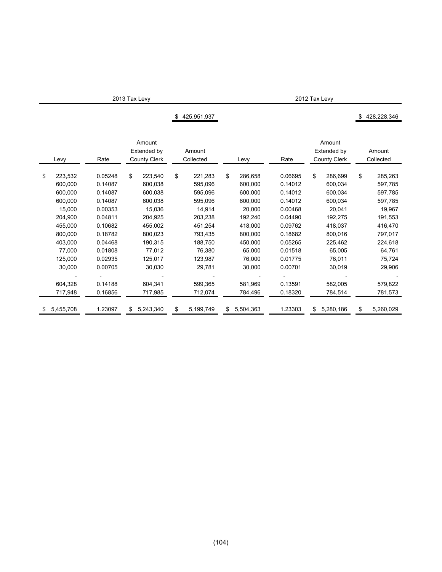2013 Tax Levy 2012 Tax Levy

|                 |         |                                              | \$425,951,937       |                 |         |                                       | \$428,228,346       |
|-----------------|---------|----------------------------------------------|---------------------|-----------------|---------|---------------------------------------|---------------------|
| Levy            | Rate    | Amount<br>Extended by<br><b>County Clerk</b> | Amount<br>Collected | Levy            | Rate    | Amount<br>Extended by<br>County Clerk | Amount<br>Collected |
| \$<br>223,532   | 0.05248 | \$<br>223,540                                | \$<br>221,283       | \$<br>286,658   | 0.06695 | \$<br>286,699                         | \$<br>285,263       |
| 600,000         | 0.14087 | 600,038                                      | 595,096             | 600,000         | 0.14012 | 600,034                               | 597,785             |
| 600,000         | 0.14087 | 600,038                                      | 595,096             | 600,000         | 0.14012 | 600,034                               | 597,785             |
| 600,000         | 0.14087 | 600,038                                      | 595,096             | 600,000         | 0.14012 | 600,034                               | 597,785             |
| 15,000          | 0.00353 | 15,036                                       | 14,914              | 20,000          | 0.00468 | 20,041                                | 19,967              |
| 204,900         | 0.04811 | 204,925                                      | 203,238             | 192,240         | 0.04490 | 192,275                               | 191,553             |
| 455,000         | 0.10682 | 455,002                                      | 451,254             | 418,000         | 0.09762 | 418,037                               | 416,470             |
| 800,000         | 0.18782 | 800,023                                      | 793,435             | 800,000         | 0.18682 | 800,016                               | 797,017             |
| 403,000         | 0.04468 | 190,315                                      | 188,750             | 450,000         | 0.05265 | 225,462                               | 224,618             |
| 77,000          | 0.01808 | 77,012                                       | 76,380              | 65,000          | 0.01518 | 65,005                                | 64,761              |
| 125,000         | 0.02935 | 125,017                                      | 123,987             | 76,000          | 0.01775 | 76,011                                | 75,724              |
| 30,000          | 0.00705 | 30,030                                       | 29,781              | 30,000          | 0.00701 | 30,019                                | 29,906              |
|                 |         |                                              |                     |                 |         |                                       |                     |
| 604,328         | 0.14188 | 604,341                                      | 599,365             | 581,969         | 0.13591 | 582,005                               | 579,822             |
| 717,948         | 0.16856 | 717,985                                      | 712,074             | 784,496         | 0.18320 | 784,514                               | 781,573             |
| \$<br>5,455,708 | 1.23097 | \$<br>5,243,340                              | \$<br>5,199,749     | \$<br>5,504,363 | 1.23303 | \$<br>5,280,186                       | \$<br>5,260,029     |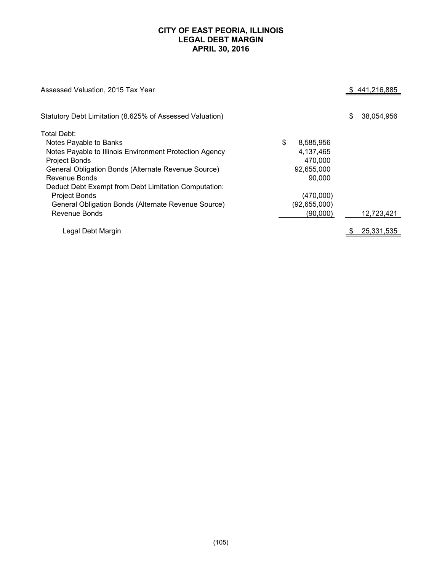## **CITY OF EAST PEORIA, ILLINOIS LEGAL DEBT MARGIN APRIL 30, 2016**

| Assessed Valuation, 2015 Tax Year                        |                 | \$441,216,885    |
|----------------------------------------------------------|-----------------|------------------|
| Statutory Debt Limitation (8.625% of Assessed Valuation) |                 | \$<br>38,054,956 |
| Total Debt:                                              |                 |                  |
| Notes Payable to Banks                                   | \$<br>8,585,956 |                  |
| Notes Payable to Illinois Environment Protection Agency  | 4.137.465       |                  |
| <b>Project Bonds</b>                                     | 470,000         |                  |
| General Obligation Bonds (Alternate Revenue Source)      | 92,655,000      |                  |
| Revenue Bonds                                            | 90.000          |                  |
| Deduct Debt Exempt from Debt Limitation Computation:     |                 |                  |
| <b>Project Bonds</b>                                     | (470,000)       |                  |
| General Obligation Bonds (Alternate Revenue Source)      | (92,655,000)    |                  |
| Revenue Bonds                                            | (90,000)        | 12,723,421       |
| Legal Debt Margin                                        |                 | 25,331,535       |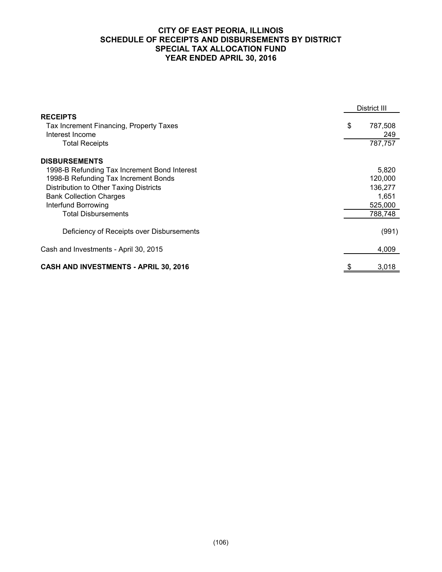## **CITY OF EAST PEORIA, ILLINOIS SCHEDULE OF RECEIPTS AND DISBURSEMENTS BY DISTRICT SPECIAL TAX ALLOCATION FUND YEAR ENDED APRIL 30, 2016**

|                                              | District III  |
|----------------------------------------------|---------------|
| <b>RECEIPTS</b>                              |               |
| Tax Increment Financing, Property Taxes      | \$<br>787,508 |
| Interest Income                              | 249           |
| <b>Total Receipts</b>                        | 787,757       |
| <b>DISBURSEMENTS</b>                         |               |
| 1998-B Refunding Tax Increment Bond Interest | 5,820         |
| 1998-B Refunding Tax Increment Bonds         | 120,000       |
| Distribution to Other Taxing Districts       | 136,277       |
| <b>Bank Collection Charges</b>               | 1,651         |
| Interfund Borrowing                          | 525,000       |
| <b>Total Disbursements</b>                   | 788,748       |
| Deficiency of Receipts over Disbursements    | (991)         |
| Cash and Investments - April 30, 2015        | 4,009         |
| <b>CASH AND INVESTMENTS - APRIL 30, 2016</b> | 3,018         |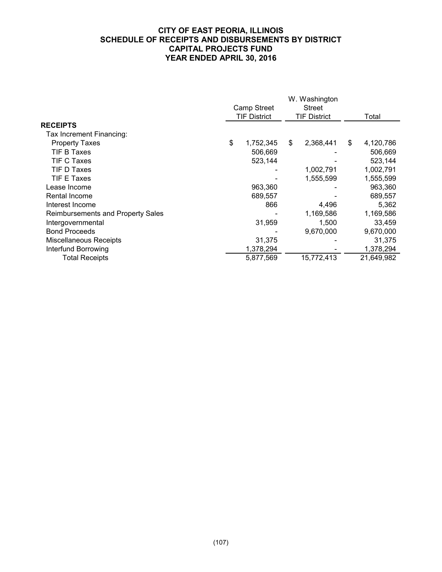## **CITY OF EAST PEORIA, ILLINOIS SCHEDULE OF RECEIPTS AND DISBURSEMENTS BY DISTRICT CAPITAL PROJECTS FUND YEAR ENDED APRIL 30, 2016**

|                                   | W. Washington       |           |                     |            |       |            |
|-----------------------------------|---------------------|-----------|---------------------|------------|-------|------------|
|                                   | Camp Street         |           | <b>Street</b>       |            |       |            |
|                                   | <b>TIF District</b> |           | <b>TIF District</b> |            | Total |            |
| <b>RECEIPTS</b>                   |                     |           |                     |            |       |            |
| Tax Increment Financing:          |                     |           |                     |            |       |            |
| <b>Property Taxes</b>             | \$                  | 1,752,345 | \$                  | 2,368,441  | \$    | 4,120,786  |
| TIF B Taxes                       |                     | 506,669   |                     |            |       | 506,669    |
| TIF C Taxes                       |                     | 523,144   |                     |            |       | 523,144    |
| TIF D Taxes                       |                     |           |                     | 1,002,791  |       | 1,002,791  |
| TIF E Taxes                       |                     |           |                     | 1,555,599  |       | 1,555,599  |
| Lease Income                      |                     | 963,360   |                     |            |       | 963,360    |
| Rental Income                     |                     | 689,557   |                     |            |       | 689,557    |
| Interest Income                   |                     | 866       |                     | 4,496      |       | 5,362      |
| Reimbursements and Property Sales |                     |           |                     | 1,169,586  |       | 1,169,586  |
| Intergovernmental                 |                     | 31,959    |                     | 1,500      |       | 33,459     |
| <b>Bond Proceeds</b>              |                     |           |                     | 9,670,000  |       | 9,670,000  |
| Miscellaneous Receipts            |                     | 31,375    |                     |            |       | 31,375     |
| Interfund Borrowing               |                     | 1,378,294 |                     |            |       | 1,378,294  |
| <b>Total Receipts</b>             |                     | 5,877,569 |                     | 15,772,413 |       | 21,649,982 |